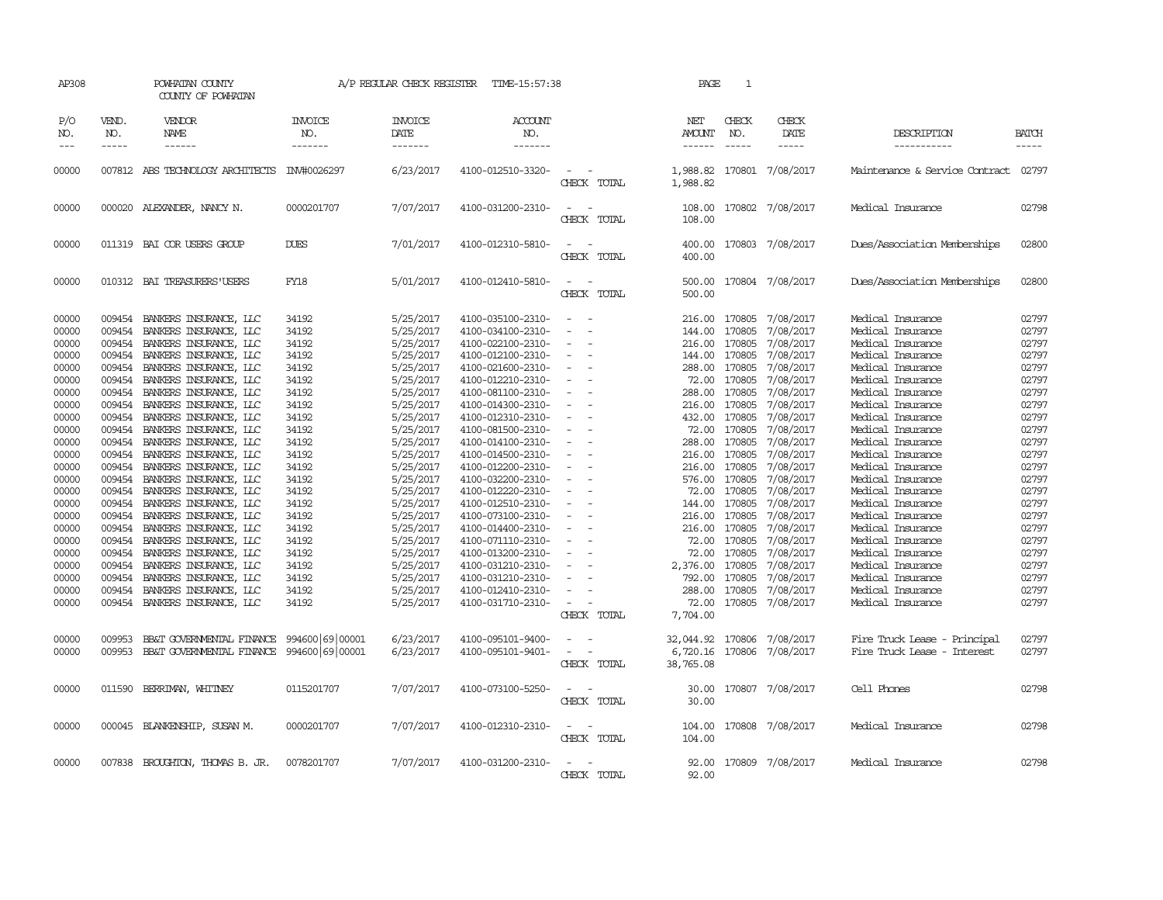| AP308                                                                                                                                                                                                                                                                                                                                                                                                      |                                                                                                                                                                                                                          | POWHATAN COUNTY<br>COUNTY OF POWHATAN                                                                                                                                                                                                                                                                                                                                                                                                                                                                                                                                                                                     |                                                                                                                                                                                                             | A/P REGULAR CHECK REGISTER                                                                                                                                                                                                                                                                              | TIME-15:57:38                                                                                                                                                                                                                                                                                                                                                                                                                                                                                   |                                                                                                                                                                                                                                                                                                                                                                                                                                                                                                                  | PAGE                                                                                                                                                                                                                                                                                                | 1                                                                                                                          |                                                                                                                                                                                                                                                                                                         |                                                                                                                                                                                                                                                                                                                                                                                                                                                                                                 |                                                                                                                                                                                                             |
|------------------------------------------------------------------------------------------------------------------------------------------------------------------------------------------------------------------------------------------------------------------------------------------------------------------------------------------------------------------------------------------------------------|--------------------------------------------------------------------------------------------------------------------------------------------------------------------------------------------------------------------------|---------------------------------------------------------------------------------------------------------------------------------------------------------------------------------------------------------------------------------------------------------------------------------------------------------------------------------------------------------------------------------------------------------------------------------------------------------------------------------------------------------------------------------------------------------------------------------------------------------------------------|-------------------------------------------------------------------------------------------------------------------------------------------------------------------------------------------------------------|---------------------------------------------------------------------------------------------------------------------------------------------------------------------------------------------------------------------------------------------------------------------------------------------------------|-------------------------------------------------------------------------------------------------------------------------------------------------------------------------------------------------------------------------------------------------------------------------------------------------------------------------------------------------------------------------------------------------------------------------------------------------------------------------------------------------|------------------------------------------------------------------------------------------------------------------------------------------------------------------------------------------------------------------------------------------------------------------------------------------------------------------------------------------------------------------------------------------------------------------------------------------------------------------------------------------------------------------|-----------------------------------------------------------------------------------------------------------------------------------------------------------------------------------------------------------------------------------------------------------------------------------------------------|----------------------------------------------------------------------------------------------------------------------------|---------------------------------------------------------------------------------------------------------------------------------------------------------------------------------------------------------------------------------------------------------------------------------------------------------|-------------------------------------------------------------------------------------------------------------------------------------------------------------------------------------------------------------------------------------------------------------------------------------------------------------------------------------------------------------------------------------------------------------------------------------------------------------------------------------------------|-------------------------------------------------------------------------------------------------------------------------------------------------------------------------------------------------------------|
| P/O<br>NO.<br>$\frac{1}{2} \frac{1}{2} \frac{1}{2} \frac{1}{2} \frac{1}{2} \frac{1}{2} \frac{1}{2} \frac{1}{2} \frac{1}{2} \frac{1}{2} \frac{1}{2} \frac{1}{2} \frac{1}{2} \frac{1}{2} \frac{1}{2} \frac{1}{2} \frac{1}{2} \frac{1}{2} \frac{1}{2} \frac{1}{2} \frac{1}{2} \frac{1}{2} \frac{1}{2} \frac{1}{2} \frac{1}{2} \frac{1}{2} \frac{1}{2} \frac{1}{2} \frac{1}{2} \frac{1}{2} \frac{1}{2} \frac{$ | VEND.<br>NO.<br>$- - - - -$                                                                                                                                                                                              | VENDOR<br>NAME<br>$- - - - - -$                                                                                                                                                                                                                                                                                                                                                                                                                                                                                                                                                                                           | <b>INVOICE</b><br>NO.<br>-------                                                                                                                                                                            | <b>INVOICE</b><br>DATE<br>-------                                                                                                                                                                                                                                                                       | <b>ACCOUNT</b><br>NO.<br>-------                                                                                                                                                                                                                                                                                                                                                                                                                                                                |                                                                                                                                                                                                                                                                                                                                                                                                                                                                                                                  | NET<br>AMOUNT<br>$- - - - - -$                                                                                                                                                                                                                                                                      | CHECK<br>NO.<br>$- - - - -$                                                                                                | CHECK<br>DATE<br>$- - - - -$                                                                                                                                                                                                                                                                            | DESCRIPTION<br>-----------                                                                                                                                                                                                                                                                                                                                                                                                                                                                      | <b>BATCH</b><br>$- - - - -$                                                                                                                                                                                 |
| 00000                                                                                                                                                                                                                                                                                                                                                                                                      |                                                                                                                                                                                                                          | 007812 ABS TECHNOLOGY ARCHITECTS                                                                                                                                                                                                                                                                                                                                                                                                                                                                                                                                                                                          | INV#0026297                                                                                                                                                                                                 | 6/23/2017                                                                                                                                                                                                                                                                                               | 4100-012510-3320-                                                                                                                                                                                                                                                                                                                                                                                                                                                                               | CHECK TOTAL                                                                                                                                                                                                                                                                                                                                                                                                                                                                                                      | 1,988.82<br>1,988.82                                                                                                                                                                                                                                                                                |                                                                                                                            | 170801 7/08/2017                                                                                                                                                                                                                                                                                        | Maintenance & Service Contract                                                                                                                                                                                                                                                                                                                                                                                                                                                                  | 02797                                                                                                                                                                                                       |
| 00000                                                                                                                                                                                                                                                                                                                                                                                                      |                                                                                                                                                                                                                          | 000020 ALEXANDER, NANCY N.                                                                                                                                                                                                                                                                                                                                                                                                                                                                                                                                                                                                | 0000201707                                                                                                                                                                                                  | 7/07/2017                                                                                                                                                                                                                                                                                               | 4100-031200-2310-                                                                                                                                                                                                                                                                                                                                                                                                                                                                               | $\overline{\phantom{a}}$<br>CHECK TOTAL                                                                                                                                                                                                                                                                                                                                                                                                                                                                          | 108.00<br>108.00                                                                                                                                                                                                                                                                                    |                                                                                                                            | 170802 7/08/2017                                                                                                                                                                                                                                                                                        | Medical Insurance                                                                                                                                                                                                                                                                                                                                                                                                                                                                               | 02798                                                                                                                                                                                                       |
| 00000                                                                                                                                                                                                                                                                                                                                                                                                      |                                                                                                                                                                                                                          | 011319 BAI COR USERS GROUP                                                                                                                                                                                                                                                                                                                                                                                                                                                                                                                                                                                                | <b>DUES</b>                                                                                                                                                                                                 | 7/01/2017                                                                                                                                                                                                                                                                                               | 4100-012310-5810-                                                                                                                                                                                                                                                                                                                                                                                                                                                                               | $\sim$<br>CHECK TOTAL                                                                                                                                                                                                                                                                                                                                                                                                                                                                                            | 400.00<br>400.00                                                                                                                                                                                                                                                                                    |                                                                                                                            | 170803 7/08/2017                                                                                                                                                                                                                                                                                        | Dues/Association Memberships                                                                                                                                                                                                                                                                                                                                                                                                                                                                    | 02800                                                                                                                                                                                                       |
| 00000                                                                                                                                                                                                                                                                                                                                                                                                      |                                                                                                                                                                                                                          | 010312 BAI TREASURERS USERS                                                                                                                                                                                                                                                                                                                                                                                                                                                                                                                                                                                               | FY18                                                                                                                                                                                                        | 5/01/2017                                                                                                                                                                                                                                                                                               | 4100-012410-5810-                                                                                                                                                                                                                                                                                                                                                                                                                                                                               | $\sim$<br>CHECK TOTAL                                                                                                                                                                                                                                                                                                                                                                                                                                                                                            | 500.00<br>500.00                                                                                                                                                                                                                                                                                    |                                                                                                                            | 170804 7/08/2017                                                                                                                                                                                                                                                                                        | Dues/Association Memberships                                                                                                                                                                                                                                                                                                                                                                                                                                                                    | 02800                                                                                                                                                                                                       |
| 00000<br>00000<br>00000<br>00000<br>00000<br>00000<br>00000<br>00000<br>00000<br>00000<br>00000<br>00000<br>00000<br>00000<br>00000<br>00000<br>00000<br>00000<br>00000<br>00000<br>00000<br>00000<br>00000                                                                                                                                                                                                | 009454<br>009454<br>009454<br>009454<br>009454<br>009454<br>009454<br>009454<br>009454<br>009454<br>009454<br>009454<br>009454<br>009454<br>009454<br>009454<br>009454<br>009454<br>009454<br>009454<br>009454<br>009454 | BANKERS INSURANCE, LLC<br>BANKERS INSURANCE, LLC<br>BANKERS INSURANCE, LLC<br>BANKERS INSURANCE, LLC<br>BANKERS INSURANCE, LLC<br>BANKERS INSURANCE, LLC<br>BANKERS INSURANCE, LLC<br>BANKERS INSURANCE, LLC<br>BANKERS INSURANCE, LLC<br>BANKERS INSURANCE, LLC<br>BANKERS INSURANCE, LLC<br>BANKERS INSURANCE, LLC<br>BANKERS INSURANCE, LLC<br>BANKERS INSURANCE, LLC<br>BANKERS INSURANCE, LLC<br>BANKERS INSURANCE, LLC<br>BANKERS INSURANCE, LLC<br>009454 BANKERS INSURANCE, LLC<br>BANKERS INSURANCE, LLC<br>BANKERS INSURANCE, LLC<br>BANKERS INSURANCE, LLC<br>BANKERS INSURANCE, LLC<br>BANKERS INSURANCE, LLC | 34192<br>34192<br>34192<br>34192<br>34192<br>34192<br>34192<br>34192<br>34192<br>34192<br>34192<br>34192<br>34192<br>34192<br>34192<br>34192<br>34192<br>34192<br>34192<br>34192<br>34192<br>34192<br>34192 | 5/25/2017<br>5/25/2017<br>5/25/2017<br>5/25/2017<br>5/25/2017<br>5/25/2017<br>5/25/2017<br>5/25/2017<br>5/25/2017<br>5/25/2017<br>5/25/2017<br>5/25/2017<br>5/25/2017<br>5/25/2017<br>5/25/2017<br>5/25/2017<br>5/25/2017<br>5/25/2017<br>5/25/2017<br>5/25/2017<br>5/25/2017<br>5/25/2017<br>5/25/2017 | 4100-035100-2310-<br>4100-034100-2310-<br>4100-022100-2310-<br>4100-012100-2310-<br>4100-021600-2310-<br>4100-012210-2310-<br>4100-081100-2310-<br>4100-014300-2310-<br>4100-012310-2310-<br>4100-081500-2310-<br>4100-014100-2310-<br>4100-014500-2310-<br>4100-012200-2310-<br>4100-032200-2310-<br>4100-012220-2310-<br>4100-012510-2310-<br>4100-073100-2310-<br>4100-014400-2310-<br>4100-071110-2310-<br>4100-013200-2310-<br>4100-031210-2310-<br>4100-031210-2310-<br>4100-012410-2310- | $\sim$<br>$\overline{\phantom{a}}$<br>$\overline{\phantom{a}}$<br>$\equiv$<br>$\sim$<br>$\overline{\phantom{a}}$<br>$\overline{\phantom{a}}$<br>$\overline{\phantom{a}}$<br>$\overline{\phantom{a}}$<br>$\overline{\phantom{a}}$<br>$\overline{\phantom{a}}$<br>$\overline{\phantom{a}}$<br>$\sim$<br>$\equiv$<br>$\sim$<br>$\overline{\phantom{a}}$<br>$\overline{\phantom{a}}$<br>$\sim$<br>$\sim$<br>$\equiv$<br>$\overline{\phantom{a}}$<br>$\overline{\phantom{a}}$<br>$\overline{\phantom{a}}$<br>$\equiv$ | 216.00 170805<br>144.00<br>216.00 170805<br>144.00 170805<br>288.00 170805<br>72.00<br>288.00<br>216.00<br>432.00 170805<br>288.00<br>216.00<br>216.00 170805<br>576.00 170805<br>72.00<br>144.00<br>216.00 170805<br>216.00 170805<br>72.00<br>72.00<br>2,376.00<br>792.00 170805<br>288.00 170805 | 170805<br>170805<br>170805<br>170805<br>72.00 170805<br>170805<br>170805<br>170805<br>170805<br>170805<br>170805<br>170805 | 7/08/2017<br>7/08/2017<br>7/08/2017<br>7/08/2017<br>7/08/2017<br>7/08/2017<br>7/08/2017<br>7/08/2017<br>7/08/2017<br>7/08/2017<br>7/08/2017<br>7/08/2017<br>7/08/2017<br>7/08/2017<br>7/08/2017<br>7/08/2017<br>7/08/2017<br>7/08/2017<br>7/08/2017<br>7/08/2017<br>7/08/2017<br>7/08/2017<br>7/08/2017 | Medical Insurance<br>Medical Insurance<br>Medical Insurance<br>Medical Insurance<br>Medical Insurance<br>Medical Insurance<br>Medical Insurance<br>Medical Insurance<br>Medical Insurance<br>Medical Insurance<br>Medical Insurance<br>Medical Insurance<br>Medical Insurance<br>Medical Insurance<br>Medical Insurance<br>Medical Insurance<br>Medical Insurance<br>Medical Insurance<br>Medical Insurance<br>Medical Insurance<br>Medical Insurance<br>Medical Insurance<br>Medical Insurance | 02797<br>02797<br>02797<br>02797<br>02797<br>02797<br>02797<br>02797<br>02797<br>02797<br>02797<br>02797<br>02797<br>02797<br>02797<br>02797<br>02797<br>02797<br>02797<br>02797<br>02797<br>02797<br>02797 |
| 00000                                                                                                                                                                                                                                                                                                                                                                                                      | 009454                                                                                                                                                                                                                   | BANKERS INSURANCE, LLC                                                                                                                                                                                                                                                                                                                                                                                                                                                                                                                                                                                                    | 34192                                                                                                                                                                                                       | 5/25/2017                                                                                                                                                                                                                                                                                               | 4100-031710-2310-                                                                                                                                                                                                                                                                                                                                                                                                                                                                               | $\overline{\phantom{a}}$<br>CHECK TOTAL                                                                                                                                                                                                                                                                                                                                                                                                                                                                          | 72.00<br>7,704.00                                                                                                                                                                                                                                                                                   |                                                                                                                            | 170805 7/08/2017                                                                                                                                                                                                                                                                                        | Medical Insurance                                                                                                                                                                                                                                                                                                                                                                                                                                                                               | 02797                                                                                                                                                                                                       |
| 00000<br>00000                                                                                                                                                                                                                                                                                                                                                                                             | 009953<br>009953                                                                                                                                                                                                         | BB&T GOVERNMENTAL FINANCE<br>BB&T GOVERNMENTAL FINANCE                                                                                                                                                                                                                                                                                                                                                                                                                                                                                                                                                                    | 994600 69 00001<br>994600 69 00001                                                                                                                                                                          | 6/23/2017<br>6/23/2017                                                                                                                                                                                                                                                                                  | 4100-095101-9400-<br>4100-095101-9401-                                                                                                                                                                                                                                                                                                                                                                                                                                                          | $ -$<br>$\sim$<br>CHECK TOTAL                                                                                                                                                                                                                                                                                                                                                                                                                                                                                    | 32,044.92 170806 7/08/2017<br>6,720.16<br>38,765.08                                                                                                                                                                                                                                                 | 170806                                                                                                                     | 7/08/2017                                                                                                                                                                                                                                                                                               | Fire Truck Lease - Principal<br>Fire Truck Lease - Interest                                                                                                                                                                                                                                                                                                                                                                                                                                     | 02797<br>02797                                                                                                                                                                                              |
| 00000                                                                                                                                                                                                                                                                                                                                                                                                      | 011590                                                                                                                                                                                                                   | BERRIMAN, WHITNEY                                                                                                                                                                                                                                                                                                                                                                                                                                                                                                                                                                                                         | 0115201707                                                                                                                                                                                                  | 7/07/2017                                                                                                                                                                                                                                                                                               | 4100-073100-5250-                                                                                                                                                                                                                                                                                                                                                                                                                                                                               | $\overline{\phantom{a}}$<br>CHECK TOTAL                                                                                                                                                                                                                                                                                                                                                                                                                                                                          | 30.00<br>30.00                                                                                                                                                                                                                                                                                      |                                                                                                                            | 170807 7/08/2017                                                                                                                                                                                                                                                                                        | Cell Phones                                                                                                                                                                                                                                                                                                                                                                                                                                                                                     | 02798                                                                                                                                                                                                       |
| 00000                                                                                                                                                                                                                                                                                                                                                                                                      |                                                                                                                                                                                                                          | 000045 BLANKENSHIP, SUSAN M.                                                                                                                                                                                                                                                                                                                                                                                                                                                                                                                                                                                              | 0000201707                                                                                                                                                                                                  | 7/07/2017                                                                                                                                                                                                                                                                                               | 4100-012310-2310-                                                                                                                                                                                                                                                                                                                                                                                                                                                                               | $\sim$<br>CHECK TOTAL                                                                                                                                                                                                                                                                                                                                                                                                                                                                                            | 104.00<br>104.00                                                                                                                                                                                                                                                                                    |                                                                                                                            | 170808 7/08/2017                                                                                                                                                                                                                                                                                        | Medical Insurance                                                                                                                                                                                                                                                                                                                                                                                                                                                                               | 02798                                                                                                                                                                                                       |
| 00000                                                                                                                                                                                                                                                                                                                                                                                                      |                                                                                                                                                                                                                          | 007838 BROUGHTON, THOMAS B. JR.                                                                                                                                                                                                                                                                                                                                                                                                                                                                                                                                                                                           | 0078201707                                                                                                                                                                                                  | 7/07/2017                                                                                                                                                                                                                                                                                               | 4100-031200-2310-                                                                                                                                                                                                                                                                                                                                                                                                                                                                               | $\overline{\phantom{a}}$<br>CHECK TOTAL                                                                                                                                                                                                                                                                                                                                                                                                                                                                          | 92.00<br>92.00                                                                                                                                                                                                                                                                                      |                                                                                                                            | 170809 7/08/2017                                                                                                                                                                                                                                                                                        | Medical Insurance                                                                                                                                                                                                                                                                                                                                                                                                                                                                               | 02798                                                                                                                                                                                                       |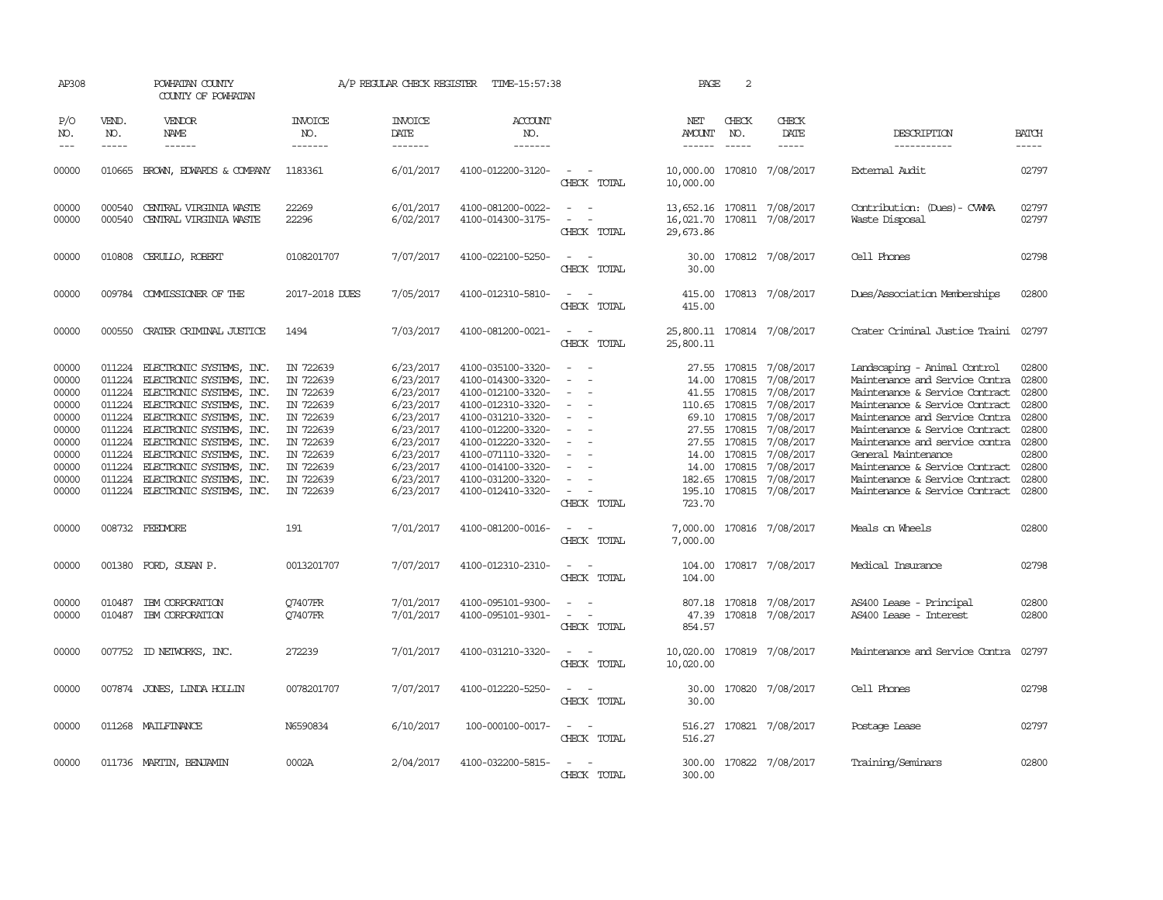| AP308                                                                                           |                                                                              | POWHATAN COUNTY<br>COUNTY OF POWHATAN                                                                                                                                                                                                                                                                                                 |                                                                                                                                             | A/P REGULAR CHECK REGISTER                                                                                                                  | TIME-15:57:38                                                                                                                                                                                                                       |                                                                                                   | PAGE                                                                           | 2                                                                                                                         |                                                                                                                                             |                                                                                                                                                                                                                                                                                                                                                                       |                                                                                                 |
|-------------------------------------------------------------------------------------------------|------------------------------------------------------------------------------|---------------------------------------------------------------------------------------------------------------------------------------------------------------------------------------------------------------------------------------------------------------------------------------------------------------------------------------|---------------------------------------------------------------------------------------------------------------------------------------------|---------------------------------------------------------------------------------------------------------------------------------------------|-------------------------------------------------------------------------------------------------------------------------------------------------------------------------------------------------------------------------------------|---------------------------------------------------------------------------------------------------|--------------------------------------------------------------------------------|---------------------------------------------------------------------------------------------------------------------------|---------------------------------------------------------------------------------------------------------------------------------------------|-----------------------------------------------------------------------------------------------------------------------------------------------------------------------------------------------------------------------------------------------------------------------------------------------------------------------------------------------------------------------|-------------------------------------------------------------------------------------------------|
| P/O<br>NO.<br>$ -$                                                                              | VEND.<br>NO.<br>$\frac{1}{2}$                                                | VENDOR<br><b>NAME</b><br>$- - - - - -$                                                                                                                                                                                                                                                                                                | INVOICE<br>NO.<br>-------                                                                                                                   | <b>INVOICE</b><br>DATE<br>-------                                                                                                           | <b>ACCOUNT</b><br>NO.<br>$- - - - - - -$                                                                                                                                                                                            |                                                                                                   | NET<br>AMOUNT<br>$- - - - - -$                                                 | CHECK<br>NO.<br>$- - - - -$                                                                                               | CHECK<br>DATE<br>$- - - - -$                                                                                                                | DESCRIPTION<br>-----------                                                                                                                                                                                                                                                                                                                                            | <b>BATCH</b><br>-----                                                                           |
| 00000                                                                                           | 010665                                                                       | BROWN, EDWARDS & COMPANY                                                                                                                                                                                                                                                                                                              | 1183361                                                                                                                                     | 6/01/2017                                                                                                                                   | 4100-012200-3120-                                                                                                                                                                                                                   | CHECK TOTAL                                                                                       | 10,000.00 170810 7/08/2017<br>10,000.00                                        |                                                                                                                           |                                                                                                                                             | External Audit                                                                                                                                                                                                                                                                                                                                                        | 02797                                                                                           |
| 00000<br>00000                                                                                  | 000540<br>000540                                                             | CENTRAL VIRGINIA WASTE<br>CENTRAL VIRGINIA WASTE                                                                                                                                                                                                                                                                                      | 22269<br>22296                                                                                                                              | 6/01/2017<br>6/02/2017                                                                                                                      | 4100-081200-0022-<br>4100-014300-3175-                                                                                                                                                                                              | $\sim$<br>$\sim$<br>$\sim$<br>$\overline{\phantom{a}}$<br>CHECK TOTAL                             | 13,652.16 170811 7/08/2017<br>16,021.70<br>29,673.86                           |                                                                                                                           | 170811 7/08/2017                                                                                                                            | Contribution: (Dues) - CWMA<br>Waste Disposal                                                                                                                                                                                                                                                                                                                         | 02797<br>02797                                                                                  |
| 00000                                                                                           |                                                                              | 010808 CERULLO, ROBERT                                                                                                                                                                                                                                                                                                                | 0108201707                                                                                                                                  | 7/07/2017                                                                                                                                   | 4100-022100-5250-                                                                                                                                                                                                                   | $\sim$<br>CHECK TOTAL                                                                             | 30.00                                                                          |                                                                                                                           | 30.00 170812 7/08/2017                                                                                                                      | Cell Phones                                                                                                                                                                                                                                                                                                                                                           | 02798                                                                                           |
| 00000                                                                                           |                                                                              | 009784 COMMISSIONER OF THE                                                                                                                                                                                                                                                                                                            | 2017-2018 DUES                                                                                                                              | 7/05/2017                                                                                                                                   | 4100-012310-5810-                                                                                                                                                                                                                   | CHECK TOTAL                                                                                       | 415.00<br>415.00                                                               |                                                                                                                           | 170813 7/08/2017                                                                                                                            | Dues/Association Memberships                                                                                                                                                                                                                                                                                                                                          | 02800                                                                                           |
| 00000                                                                                           | 000550                                                                       | CRATER CRIMINAL JUSTICE                                                                                                                                                                                                                                                                                                               | 1494                                                                                                                                        | 7/03/2017                                                                                                                                   | 4100-081200-0021-                                                                                                                                                                                                                   | $\sim$<br>CHECK TOTAL                                                                             | 25,800.11 170814 7/08/2017<br>25,800.11                                        |                                                                                                                           |                                                                                                                                             | Crater Criminal Justice Traini                                                                                                                                                                                                                                                                                                                                        | 02797                                                                                           |
| 00000<br>00000<br>00000<br>00000<br>00000<br>00000<br>00000<br>00000<br>00000<br>00000<br>00000 | 011224<br>011224<br>011224<br>011224<br>011224<br>011224<br>011224<br>011224 | ELECTRONIC SYSTEMS, INC.<br>ELECTRONIC SYSTEMS, INC.<br>ELECTRONIC SYSTEMS, INC.<br>011224 ELECTRONIC SYSTEMS, INC.<br>011224 ELECTRONIC SYSTEMS, INC.<br>ELECTRONIC SYSTEMS, INC.<br>ELECTRONIC SYSTEMS, INC.<br>ELECTRONIC SYSTEMS, INC.<br>ELECTRONIC SYSTEMS, INC.<br>ELECTRONIC SYSTEMS, INC.<br>011224 ELECTRONIC SYSTEMS, INC. | IN 722639<br>IN 722639<br>IN 722639<br>IN 722639<br>IN 722639<br>IN 722639<br>IN 722639<br>IN 722639<br>IN 722639<br>IN 722639<br>IN 722639 | 6/23/2017<br>6/23/2017<br>6/23/2017<br>6/23/2017<br>6/23/2017<br>6/23/2017<br>6/23/2017<br>6/23/2017<br>6/23/2017<br>6/23/2017<br>6/23/2017 | 4100-035100-3320-<br>4100-014300-3320-<br>4100-012100-3320-<br>4100-012310-3320-<br>4100-031210-3320-<br>4100-012200-3320-<br>4100-012220-3320-<br>4100-071110-3320-<br>4100-014100-3320-<br>4100-031200-3320-<br>4100-012410-3320- | CHECK TOTAL                                                                                       | 14.00<br>41.55<br>27.55<br>14.00<br>14.00<br>182.65 170815<br>195.10<br>723.70 | 27.55 170815<br>170815<br>170815<br>110.65 170815<br>69.10 170815<br>27.55 170815<br>170815<br>170815<br>170815<br>170815 | 7/08/2017<br>7/08/2017<br>7/08/2017<br>7/08/2017<br>7/08/2017<br>7/08/2017<br>7/08/2017<br>7/08/2017<br>7/08/2017<br>7/08/2017<br>7/08/2017 | Landscaping - Animal Control<br>Maintenance and Service Contra<br>Maintenance & Service Contract<br>Maintenance & Service Contract<br>Maintenance and Service Contra<br>Maintenance & Service Contract<br>Maintenance and service contra<br>General Maintenance<br>Maintenance & Service Contract<br>Maintenance & Service Contract<br>Maintenance & Service Contract | 02800<br>02800<br>02800<br>02800<br>02800<br>02800<br>02800<br>02800<br>02800<br>02800<br>02800 |
| 00000                                                                                           |                                                                              | 008732 FEEDVORE                                                                                                                                                                                                                                                                                                                       | 191                                                                                                                                         | 7/01/2017                                                                                                                                   | 4100-081200-0016-                                                                                                                                                                                                                   | CHECK TOTAL                                                                                       | 7,000.00<br>7,000.00                                                           |                                                                                                                           | 170816 7/08/2017                                                                                                                            | Meals on Wheels                                                                                                                                                                                                                                                                                                                                                       | 02800                                                                                           |
| 00000                                                                                           |                                                                              | 001380 FORD, SUSAN P.                                                                                                                                                                                                                                                                                                                 | 0013201707                                                                                                                                  | 7/07/2017                                                                                                                                   | 4100-012310-2310-                                                                                                                                                                                                                   | $\sim$<br>CHECK TOTAL                                                                             | 104.00<br>104.00                                                               |                                                                                                                           | 170817 7/08/2017                                                                                                                            | Medical Insurance                                                                                                                                                                                                                                                                                                                                                     | 02798                                                                                           |
| 00000<br>00000                                                                                  | 010487<br>010487                                                             | IBM CORPORATION<br>IBM CORPORATION                                                                                                                                                                                                                                                                                                    | Q7407FR<br>07407FR                                                                                                                          | 7/01/2017<br>7/01/2017                                                                                                                      | 4100-095101-9300-<br>4100-095101-9301-                                                                                                                                                                                              | $\sim$ 10 $\sim$ 10 $\sim$<br>$\overline{\phantom{a}}$<br>$\overline{\phantom{a}}$<br>CHECK TOTAL | 47.39<br>854.57                                                                |                                                                                                                           | 807.18 170818 7/08/2017<br>170818 7/08/2017                                                                                                 | AS400 Lease - Principal<br>AS400 Lease - Interest                                                                                                                                                                                                                                                                                                                     | 02800<br>02800                                                                                  |
| 00000                                                                                           |                                                                              | 007752 ID NEIWORKS, INC.                                                                                                                                                                                                                                                                                                              | 272239                                                                                                                                      | 7/01/2017                                                                                                                                   | 4100-031210-3320-                                                                                                                                                                                                                   | $\sim$<br>$\sim$<br>CHECK TOTAL                                                                   | 10,020.00<br>10,020.00                                                         |                                                                                                                           | 170819 7/08/2017                                                                                                                            | Maintenance and Service Contra                                                                                                                                                                                                                                                                                                                                        | 02797                                                                                           |
| 00000                                                                                           |                                                                              | 007874 JONES, LINDA HOLLIN                                                                                                                                                                                                                                                                                                            | 0078201707                                                                                                                                  | 7/07/2017                                                                                                                                   | 4100-012220-5250-                                                                                                                                                                                                                   | CHECK TOTAL                                                                                       | 30.00<br>30.00                                                                 |                                                                                                                           | 170820 7/08/2017                                                                                                                            | Cell Phones                                                                                                                                                                                                                                                                                                                                                           | 02798                                                                                           |
| 00000                                                                                           |                                                                              | 011268 MAILFINANCE                                                                                                                                                                                                                                                                                                                    | N6590834                                                                                                                                    | 6/10/2017                                                                                                                                   | 100-000100-0017-                                                                                                                                                                                                                    | $\sim$<br>- -<br>CHECK TOTAL                                                                      | 516.27<br>516.27                                                               |                                                                                                                           | 170821 7/08/2017                                                                                                                            | Postage Lease                                                                                                                                                                                                                                                                                                                                                         | 02797                                                                                           |
| 00000                                                                                           |                                                                              | 011736 MARTIN, BENJAMIN                                                                                                                                                                                                                                                                                                               | 0002A                                                                                                                                       | 2/04/2017                                                                                                                                   | 4100-032200-5815-                                                                                                                                                                                                                   | CHECK TOTAL                                                                                       | 300.00                                                                         |                                                                                                                           | 300.00 170822 7/08/2017                                                                                                                     | Training/Seminars                                                                                                                                                                                                                                                                                                                                                     | 02800                                                                                           |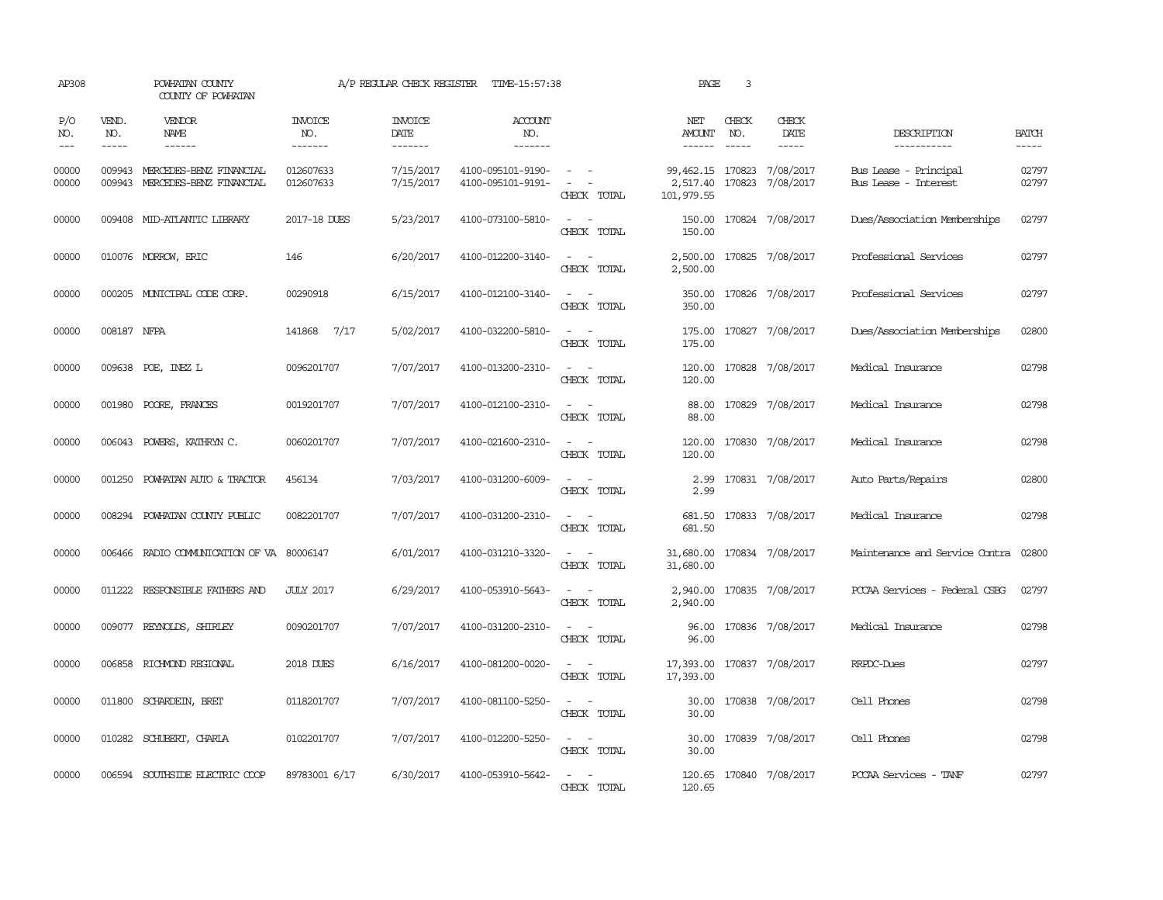| AP308                       |                             | POWHATAN COUNTY<br>COUNTY OF POWHATAN                            |                                  | A/P REGULAR CHECK REGISTER        | TIME-15:57:38                          |                                                                                                                             | PAGE                                                 | 3                             |                              |                                               |                       |
|-----------------------------|-----------------------------|------------------------------------------------------------------|----------------------------------|-----------------------------------|----------------------------------------|-----------------------------------------------------------------------------------------------------------------------------|------------------------------------------------------|-------------------------------|------------------------------|-----------------------------------------------|-----------------------|
| P/O<br>NO.<br>$\frac{1}{2}$ | VEND.<br>NO.<br>$- - - - -$ | VENDOR<br>NAME<br>------                                         | <b>INVOICE</b><br>NO.<br>------- | <b>INVOICE</b><br>DATE<br>------- | <b>ACCOUNT</b><br>NO.<br>-------       |                                                                                                                             | NET<br>AMOUNT<br>-------                             | CHECK<br>NO.<br>$\frac{1}{2}$ | CHECK<br>DATE<br>$- - - - -$ | DESCRIPTION<br>-----------                    | <b>BATCH</b><br>----- |
| 00000<br>00000              |                             | 009943 MERCEDES-BENZ FINANCIAL<br>009943 MERCEDES-BENZ FINANCIAL | 012607633<br>012607633           | 7/15/2017<br>7/15/2017            | 4100-095101-9190-<br>4100-095101-9191- | $\sim$ $ -$<br>$\sim$ $ -$<br>CHECK TOTAL                                                                                   | 99,462.15 170823 7/08/2017<br>2,517.40<br>101,979.55 |                               | 170823 7/08/2017             | Bus Lease - Principal<br>Bus Lease - Interest | 02797<br>02797        |
| 00000                       |                             | 009408 MID-ATLANTIC LIBRARY                                      | 2017-18 DUES                     | 5/23/2017                         | 4100-073100-5810-                      | $\sim$ $ \sim$<br>CHECK TOTAL                                                                                               | 150.00<br>150.00                                     |                               | 170824 7/08/2017             | Dues/Association Memberships                  | 02797                 |
| 00000                       |                             | 010076 MORROW, ERIC                                              | 146                              | 6/20/2017                         | 4100-012200-3140-                      | $\sim$<br>$\sim$ $-$<br>CHECK TOTAL                                                                                         | 2,500.00<br>2,500.00                                 |                               | 170825 7/08/2017             | Professional Services                         | 02797                 |
| 00000                       |                             | 000205 MUNICIPAL CODE CORP.                                      | 00290918                         | 6/15/2017                         | 4100-012100-3140-                      | $\sim$ $ \sim$<br>CHECK TOTAL                                                                                               | 350.00<br>350.00                                     |                               | 170826 7/08/2017             | Professional Services                         | 02797                 |
| 00000                       | 008187 NFPA                 |                                                                  | 141868 7/17                      | 5/02/2017                         | 4100-032200-5810-                      | $\sim$ 100 $\sim$<br>CHECK TOTAL                                                                                            | 175.00<br>175.00                                     |                               | 170827 7/08/2017             | Dues/Association Memberships                  | 02800                 |
| 00000                       |                             | 009638 POE, INEZ L                                               | 0096201707                       | 7/07/2017                         | 4100-013200-2310-                      | $\sim$ 100 $\sim$<br>CHECK TOTAL                                                                                            | 120.00<br>120.00                                     |                               | 170828 7/08/2017             | Medical Insurance                             | 02798                 |
| 00000                       |                             | 001980 POORE, FRANCES                                            | 0019201707                       | 7/07/2017                         | 4100-012100-2310-                      | CHECK TOTAL                                                                                                                 | 88.00<br>88.00                                       |                               | 170829 7/08/2017             | Medical Insurance                             | 02798                 |
| 00000                       | 006043                      | POWERS, KATHRYN C.                                               | 0060201707                       | 7/07/2017                         | 4100-021600-2310-                      | $\sim$<br>$\sim$<br>CHECK TOTAL                                                                                             | 120.00<br>120.00                                     |                               | 170830 7/08/2017             | Medical Insurance                             | 02798                 |
| 00000                       | 001250                      | POWHATAN AUTO & TRACTOR                                          | 456134                           | 7/03/2017                         | 4100-031200-6009-                      | $\overline{\phantom{a}}$<br>$\sim$<br>CHECK TOTAL                                                                           | 2.99<br>2.99                                         |                               | 170831 7/08/2017             | Auto Parts/Repairs                            | 02800                 |
| 00000                       |                             | 008294 POWHATAN COUNTY PUBLIC                                    | 0082201707                       | 7/07/2017                         | 4100-031200-2310-                      | $\omega_{\rm{max}}$ and $\omega_{\rm{max}}$<br>CHECK TOTAL                                                                  | 681.50                                               |                               | 681.50 170833 7/08/2017      | Medical Insurance                             | 02798                 |
| 00000                       |                             | 006466 RADIO COMMUNICATION OF VA 80006147                        |                                  | 6/01/2017                         | 4100-031210-3320-                      | $\frac{1}{2} \left( \frac{1}{2} \right) \left( \frac{1}{2} \right) = \frac{1}{2} \left( \frac{1}{2} \right)$<br>CHECK TOTAL | 31,680.00<br>31,680.00                               |                               | 170834 7/08/2017             | Maintenance and Service Contra                | 02800                 |
| 00000                       |                             | 011222 RESPONSIBLE FAIHERS AND                                   | <b>JULY 2017</b>                 | 6/29/2017                         | 4100-053910-5643-                      | $\frac{1}{2} \left( \frac{1}{2} \right) \left( \frac{1}{2} \right) = \frac{1}{2} \left( \frac{1}{2} \right)$<br>CHECK TOTAL | 2,940.00<br>2,940.00                                 |                               | 170835 7/08/2017             | PCCAA Services - Federal CSBG                 | 02797                 |
| 00000                       |                             | 009077 REYNOLDS, SHIRLEY                                         | 0090201707                       | 7/07/2017                         | 4100-031200-2310-                      | $\sim$ 100 $\sim$<br>CHECK TOTAL                                                                                            | 96.00<br>96.00                                       |                               | 170836 7/08/2017             | Medical Insurance                             | 02798                 |
| 00000                       |                             | 006858 RICHMOND REGIONAL                                         | 2018 DUES                        | 6/16/2017                         | 4100-081200-0020-                      | $\sim$<br>$\sim$<br>CHECK TOTAL                                                                                             | 17,393.00<br>17,393.00                               |                               | 170837 7/08/2017             | RRPDC-Dues                                    | 02797                 |
| 00000                       |                             | 011800 SCHARDEIN, BRET                                           | 0118201707                       | 7/07/2017                         | 4100-081100-5250-                      | $\sim$<br>CHECK TOTAL                                                                                                       | 30.00<br>30.00                                       |                               | 170838 7/08/2017             | Cell Phones                                   | 02798                 |
| 00000                       |                             | 010282 SCHUBERT, CHARLA                                          | 0102201707                       | 7/07/2017                         | 4100-012200-5250-                      | $\sim$ $ \sim$<br>CHECK TOTAL                                                                                               | 30.00<br>30.00                                       |                               | 170839 7/08/2017             | Cell Phones                                   | 02798                 |
| 00000                       |                             | 006594 SOUTHSIDE ELECTRIC COOP                                   | 89783001 6/17                    | 6/30/2017                         | 4100-053910-5642-                      | $\frac{1}{2} \left( \frac{1}{2} \right) \left( \frac{1}{2} \right) = \frac{1}{2} \left( \frac{1}{2} \right)$<br>CHECK TOTAL | 120.65<br>120.65                                     |                               | 170840 7/08/2017             | PCCAA Services - TANF                         | 02797                 |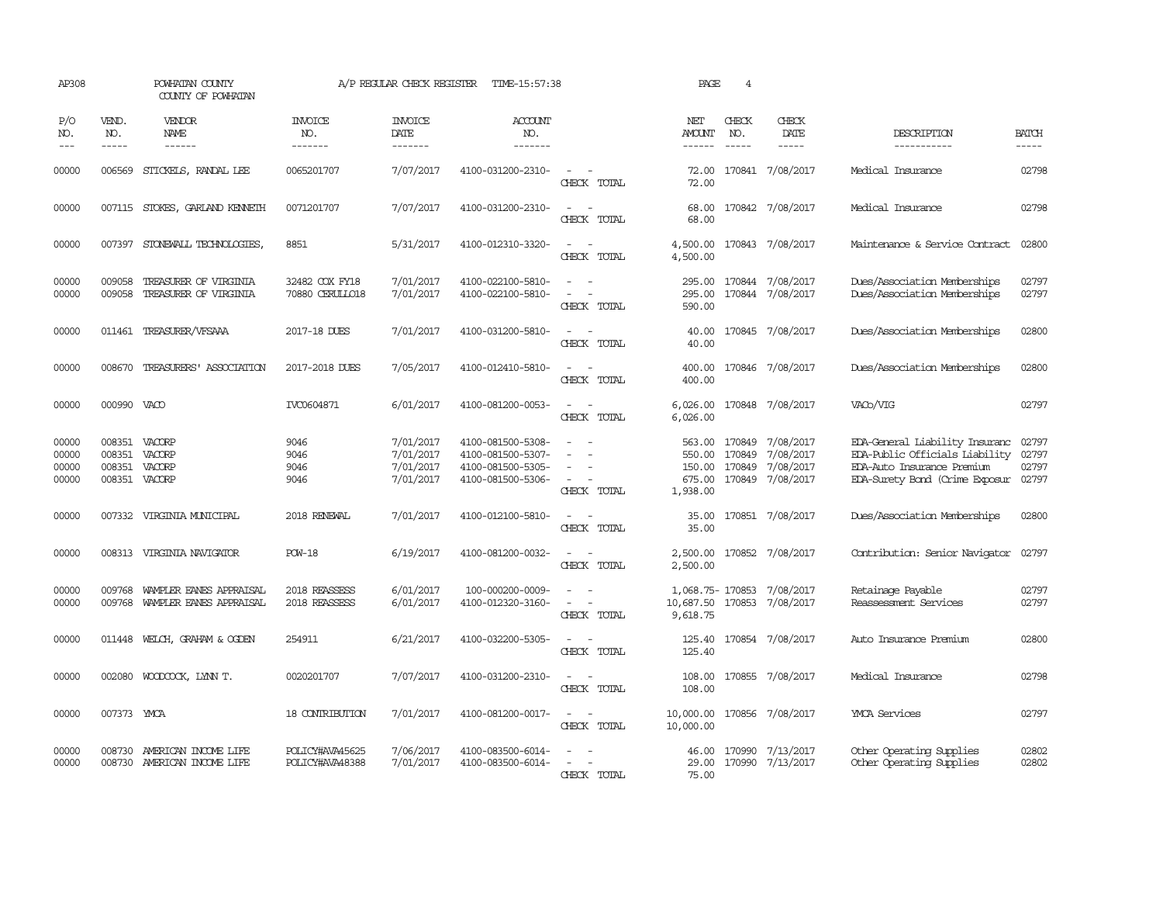| AP308                            |                            | POWHATAN COUNTY<br>COUNTY OF POWHATAN               |                                    | A/P REGULAR CHECK REGISTER                       | TIME-15:57:38                                                                    |                                         | PAGE                                             | 4                                    |                                                  |                                                                                                                                        |                         |
|----------------------------------|----------------------------|-----------------------------------------------------|------------------------------------|--------------------------------------------------|----------------------------------------------------------------------------------|-----------------------------------------|--------------------------------------------------|--------------------------------------|--------------------------------------------------|----------------------------------------------------------------------------------------------------------------------------------------|-------------------------|
| P/O<br>NO.<br>$---$              | VEND.<br>NO.               | VENDOR<br>NAME<br>$- - - - - -$                     | <b>INVOICE</b><br>NO.<br>-------   | <b>INVOICE</b><br><b>DATE</b><br>-------         | <b>ACCOUNT</b><br>NO.<br>$- - - - - - -$                                         |                                         | NET<br>AMOUNT<br>------                          | CHECK<br>NO.<br>$\frac{1}{2}$        | CHECK<br><b>DATE</b>                             | DESCRIPTION<br>-----------                                                                                                             | <b>BATCH</b><br>-----   |
| 00000                            | 006569                     | STICKELS, RANDAL LEE                                | 0065201707                         | 7/07/2017                                        | 4100-031200-2310-                                                                | CHECK TOTAL                             | 72.00<br>72.00                                   |                                      | 170841 7/08/2017                                 | Medical Insurance                                                                                                                      | 02798                   |
| 00000                            | 007115                     | STOKES, GARLAND KENNETH                             | 0071201707                         | 7/07/2017                                        | 4100-031200-2310-                                                                | CHECK TOTAL                             | 68.00<br>68.00                                   |                                      | 170842 7/08/2017                                 | Medical Insurance                                                                                                                      | 02798                   |
| 00000                            | 007397                     | STONEWALL TECHNOLOGIES,                             | 8851                               | 5/31/2017                                        | 4100-012310-3320-                                                                | CHECK TOTAL                             | 4,500.00<br>4,500.00                             |                                      | 170843 7/08/2017                                 | Maintenance & Service Contract                                                                                                         | 02800                   |
| 00000<br>00000                   | 009058<br>009058           | TREASURER OF VIRGINIA<br>TREASURER OF VIRGINIA      | 32482 COX FY18<br>70880 CERULLO18  | 7/01/2017<br>7/01/2017                           | 4100-022100-5810-<br>4100-022100-5810-                                           | CHECK TOTAL                             | 295.00<br>295.00<br>590.00                       |                                      | 170844 7/08/2017<br>170844 7/08/2017             | Dues/Association Memberships<br>Dues/Association Memberships                                                                           | 02797<br>02797          |
| 00000                            |                            | 011461 TREASURER/VFSAAA                             | 2017-18 DUES                       | 7/01/2017                                        | 4100-031200-5810-                                                                | $\sim$<br>CHECK TOTAL                   | 40.00<br>40.00                                   |                                      | 170845 7/08/2017                                 | Dues/Association Memberships                                                                                                           | 02800                   |
| 00000                            | 008670                     | TREASURERS' ASSOCIATION                             | 2017-2018 DUES                     | 7/05/2017                                        | 4100-012410-5810-                                                                | CHECK TOTAL                             | 400.00<br>400.00                                 |                                      | 170846 7/08/2017                                 | Dues/Association Memberships                                                                                                           | 02800                   |
| 00000                            | 000990 VACO                |                                                     | IVC0604871                         | 6/01/2017                                        | 4100-081200-0053-                                                                | CHECK TOTAL                             | 6,026.00<br>6,026.00                             |                                      | 170848 7/08/2017                                 | VACo/VIG                                                                                                                               | 02797                   |
| 00000<br>00000<br>00000<br>00000 | 008351<br>008351<br>008351 | VACORP<br>VACORP<br>VACORP<br>008351 VACORP         | 9046<br>9046<br>9046<br>9046       | 7/01/2017<br>7/01/2017<br>7/01/2017<br>7/01/2017 | 4100-081500-5308-<br>4100-081500-5307-<br>4100-081500-5305-<br>4100-081500-5306- | $\overline{\phantom{a}}$<br>CHECK TOTAL | 563.00<br>550.00<br>150.00<br>675.00<br>1,938.00 | 170849<br>170849<br>170849<br>170849 | 7/08/2017<br>7/08/2017<br>7/08/2017<br>7/08/2017 | EDA-General Liability Insuranc<br>EDA-Public Officials Liability<br>EDA-Auto Insurance Premium<br>EDA-Surety Bond (Crime Exposur 02797 | 02797<br>02797<br>02797 |
| 00000                            | 007332                     | VIRGINIA MUNICIPAL                                  | 2018 RENEWAL                       | 7/01/2017                                        | 4100-012100-5810-                                                                | $\overline{\phantom{a}}$<br>CHECK TOTAL | 35.00<br>35.00                                   |                                      | 170851 7/08/2017                                 | Dues/Association Memberships                                                                                                           | 02800                   |
| 00000                            |                            | 008313 VIRGINIA NAVIGATOR                           | <b>POW-18</b>                      | 6/19/2017                                        | 4100-081200-0032-                                                                | $\sim$<br>CHECK TOTAL                   | 2,500.00<br>2,500.00                             |                                      | 170852 7/08/2017                                 | Contribution: Senior Navigator                                                                                                         | 02797                   |
| 00000<br>00000                   | 009768<br>009768           | WAMPLER EANES APPRAISAL<br>WAMPLER EANES APPRAISAL  | 2018 REASSESS<br>2018 REASSESS     | 6/01/2017<br>6/01/2017                           | 100-000200-0009-<br>4100-012320-3160-                                            | CHECK TOTAL                             | 1,068.75- 170853<br>10,687.50<br>9,618.75        | 170853                               | 7/08/2017<br>7/08/2017                           | Retainage Payable<br>Reassessment Services                                                                                             | 02797<br>02797          |
| 00000                            | 011448                     | WELCH, GRAHAM & OGDEN                               | 254911                             | 6/21/2017                                        | 4100-032200-5305-                                                                | CHRCK TOTAL                             | 125.40<br>125.40                                 |                                      | 170854 7/08/2017                                 | Auto Insurance Premium                                                                                                                 | 02800                   |
| 00000                            | 002080                     | WOODCOCK, LYNN T.                                   | 0020201707                         | 7/07/2017                                        | 4100-031200-2310-                                                                | CHECK TOTAL                             | 108.00<br>108.00                                 |                                      | 170855 7/08/2017                                 | Medical Insurance                                                                                                                      | 02798                   |
| 00000                            | 007373 YMCA                |                                                     | 18 CONTRIBUTION                    | 7/01/2017                                        | 4100-081200-0017-                                                                | $\sim$<br>CHECK TOTAL                   | 10,000.00<br>10,000.00                           |                                      | 170856 7/08/2017                                 | <b>YMCA</b> Services                                                                                                                   | 02797                   |
| 00000<br>00000                   | 008730                     | AMERICAN INCOME LIFE<br>008730 AMERICAN INCOME LIFE | POLICY#AVA45625<br>POLICY#AVA48388 | 7/06/2017<br>7/01/2017                           | 4100-083500-6014-<br>4100-083500-6014-                                           | CHECK TOTAL                             | 46.00<br>29.00<br>75.00                          | 170990                               | 7/13/2017<br>170990 7/13/2017                    | Other Operating Supplies<br>Other Operating Supplies                                                                                   | 02802<br>02802          |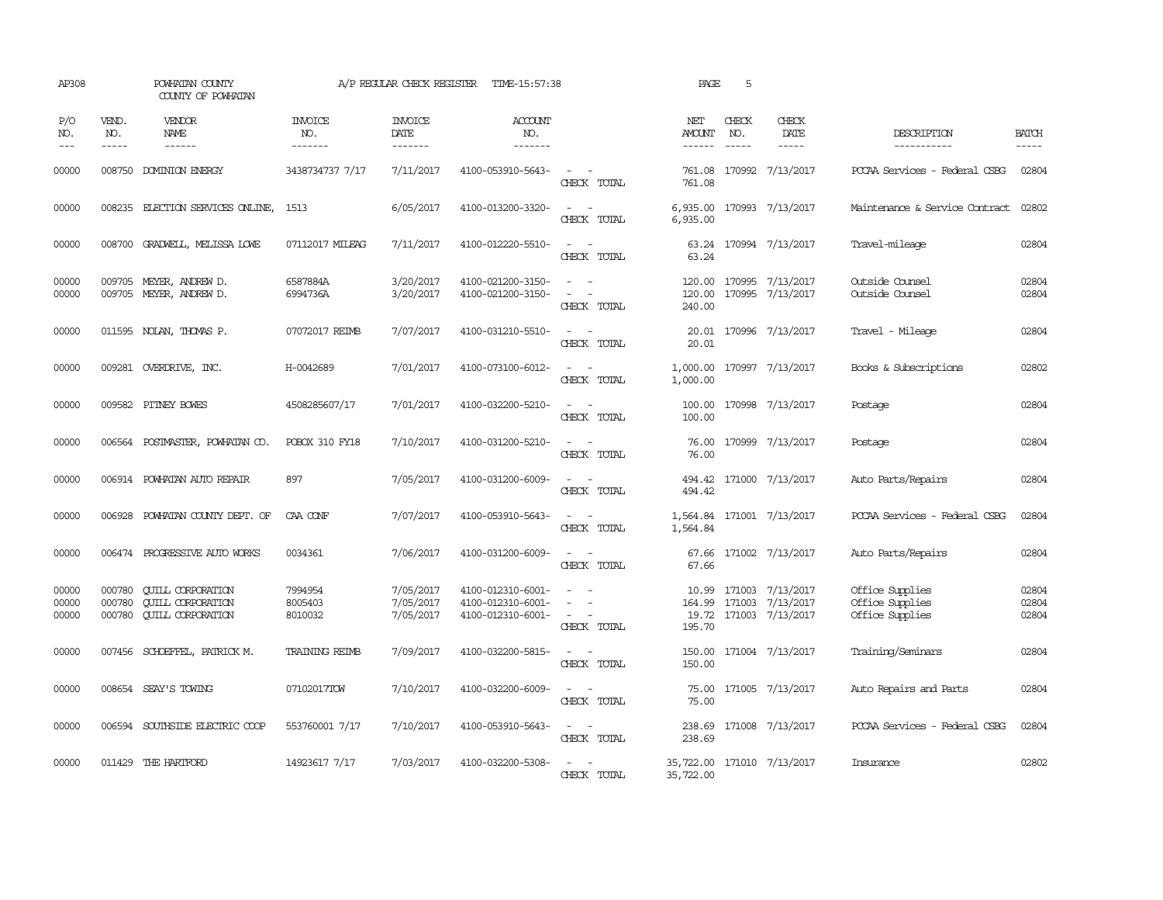| AP308                   |                               | POWHATAN COUNTY<br>COUNTY OF POWHATAN                                                                                                                                                                                                                                                                                                                                                                                                                                     |                               | A/P REGULAR CHECK REGISTER          | TIME-15:57:38                                               |                                                                                                                             | PAGE                                    | 5            |                                                                             |                                                       |                         |
|-------------------------|-------------------------------|---------------------------------------------------------------------------------------------------------------------------------------------------------------------------------------------------------------------------------------------------------------------------------------------------------------------------------------------------------------------------------------------------------------------------------------------------------------------------|-------------------------------|-------------------------------------|-------------------------------------------------------------|-----------------------------------------------------------------------------------------------------------------------------|-----------------------------------------|--------------|-----------------------------------------------------------------------------|-------------------------------------------------------|-------------------------|
| P/O<br>NO.<br>$---$     | VEND.<br>NO.<br>$\frac{1}{2}$ | VENDOR<br>NAME<br>$\begin{tabular}{ccccc} \multicolumn{2}{c }{\multicolumn{2}{c }{\multicolumn{2}{c }{\multicolumn{2}{c}}{\hspace{-2.2cm}}}} \multicolumn{2}{c }{\multicolumn{2}{c }{\hspace{-2.2cm}}\hline} \multicolumn{2}{c }{\hspace{-2.2cm}}\hline \multicolumn{2}{c }{\hspace{-2.2cm}}\hline \multicolumn{2}{c }{\hspace{-2.2cm}}\hline \multicolumn{2}{c }{\hspace{-2.2cm}}\hline \multicolumn{2}{c }{\hspace{-2.2cm}}\hline \multicolumn{2}{c }{\hspace{-2.2cm}}$ | INVOICE<br>NO.<br>-------     | <b>INVOICE</b><br>DATE<br>-------   | <b>ACCOUNT</b><br>NO.<br>-------                            |                                                                                                                             | NET<br><b>AMOUNT</b><br>$- - - - - -$   | CHECK<br>NO. | CHECK<br>DATE<br>$\cdots$                                                   | DESCRIPTION<br>-----------                            | <b>BATCH</b><br>-----   |
| 00000                   | 008750                        | DOMINION ENERGY                                                                                                                                                                                                                                                                                                                                                                                                                                                           | 3438734737 7/17               | 7/11/2017                           | 4100-053910-5643-                                           | $\overline{\phantom{a}}$<br>CHECK TOTAL                                                                                     | 761.08<br>761.08                        |              | 170992 7/13/2017                                                            | PCCAA Services - Federal CSBG                         | 02804                   |
| 00000                   |                               | 008235 ELECTION SERVICES ONLINE,                                                                                                                                                                                                                                                                                                                                                                                                                                          | 1513                          | 6/05/2017                           | 4100-013200-3320-                                           | $\sim$<br>$\sim$<br>CHECK TOTAL                                                                                             | 6,935.00<br>6,935.00                    |              | 170993 7/13/2017                                                            | Maintenance & Service Contract                        | 02802                   |
| 00000                   |                               | 008700 GRADWELL, MELISSA LOWE                                                                                                                                                                                                                                                                                                                                                                                                                                             | 07112017 MILEAG               | 7/11/2017                           | 4100-012220-5510-                                           | $\sim$<br>$\sim$<br>CHECK TOTAL                                                                                             | 63.24                                   |              | 63.24 170994 7/13/2017                                                      | Travel-mileage                                        | 02804                   |
| 00000<br>00000          |                               | 009705 MEYER, ANDREW D.<br>009705 MEYER, ANDREW D.                                                                                                                                                                                                                                                                                                                                                                                                                        | 6587884A<br>6994736A          | 3/20/2017<br>3/20/2017              | 4100-021200-3150-<br>4100-021200-3150-                      | $\sim 100$ km $^{-1}$<br>$\overline{\phantom{a}}$<br>$\sim$<br>CHECK TOTAL                                                  | 120.00<br>240.00                        |              | 120.00 170995 7/13/2017<br>170995 7/13/2017                                 | Outside Counsel<br>Outside Counsel                    | 02804<br>02804          |
| 00000                   |                               | 011595 NOLAN, THOMAS P.                                                                                                                                                                                                                                                                                                                                                                                                                                                   | 07072017 REIMB                | 7/07/2017                           | 4100-031210-5510-                                           | $\overline{\phantom{a}}$<br>$\sim$<br>CHECK TOTAL                                                                           | 20.01<br>20.01                          |              | 170996 7/13/2017                                                            | Travel - Mileage                                      | 02804                   |
| 00000                   |                               | 009281 OVERDRIVE, INC.                                                                                                                                                                                                                                                                                                                                                                                                                                                    | H-0042689                     | 7/01/2017                           | 4100-073100-6012-                                           | $\sim$<br>CHECK TOTAL                                                                                                       | 1,000.00<br>1,000.00                    |              | 170997 7/13/2017                                                            | Books & Subscriptions                                 | 02802                   |
| 00000                   |                               | 009582 PITNEY BOWES                                                                                                                                                                                                                                                                                                                                                                                                                                                       | 4508285607/17                 | 7/01/2017                           | 4100-032200-5210-                                           | $\sim$ $ \sim$<br>CHECK TOTAL                                                                                               | 100.00<br>100.00                        |              | 170998 7/13/2017                                                            | Postage                                               | 02804                   |
| 00000                   |                               | 006564 POSTMASTER, POWHATAN CO.                                                                                                                                                                                                                                                                                                                                                                                                                                           | POBOX 310 FY18                | 7/10/2017                           | 4100-031200-5210-                                           | $\frac{1}{2} \left( \frac{1}{2} \right) \left( \frac{1}{2} \right) = \frac{1}{2} \left( \frac{1}{2} \right)$<br>CHECK TOTAL | 76.00                                   |              | 76.00 170999 7/13/2017                                                      | Postage                                               | 02804                   |
| 00000                   |                               | 006914 POWHATAN AUTO REPAIR                                                                                                                                                                                                                                                                                                                                                                                                                                               | 897                           | 7/05/2017                           | 4100-031200-6009-                                           | CHECK TOTAL                                                                                                                 | 494.42                                  |              | 494.42 171000 7/13/2017                                                     | Auto Parts/Repairs                                    | 02804                   |
| 00000                   | 006928                        | POWHATAN COUNTY DEPT. OF                                                                                                                                                                                                                                                                                                                                                                                                                                                  | CAA CONF                      | 7/07/2017                           | 4100-053910-5643-                                           | $\sim$ $ \sim$<br>CHECK TOTAL                                                                                               | 1,564.84                                |              | 1,564.84 171001 7/13/2017                                                   | PCCAA Services - Federal CSBG                         | 02804                   |
| 00000                   |                               | 006474 PROGRESSIVE AUTO WORKS                                                                                                                                                                                                                                                                                                                                                                                                                                             | 0034361                       | 7/06/2017                           | 4100-031200-6009-                                           | $\sim$ $\sim$<br>CHECK TOTAL                                                                                                | 67.66                                   |              | 67.66 171002 7/13/2017                                                      | Auto Parts/Repairs                                    | 02804                   |
| 00000<br>00000<br>00000 | 000780<br>000780<br>000780    | <b>CUILL CORPORATION</b><br><b>CUILL CORPORATION</b><br><b>QUILL CORPORATION</b>                                                                                                                                                                                                                                                                                                                                                                                          | 7994954<br>8005403<br>8010032 | 7/05/2017<br>7/05/2017<br>7/05/2017 | 4100-012310-6001-<br>4100-012310-6001-<br>4100-012310-6001- | $\sim$<br>$\sim$ 100 $\mu$<br>CHECK TOTAL                                                                                   | 195.70                                  |              | 10.99 171003 7/13/2017<br>164.99 171003 7/13/2017<br>19.72 171003 7/13/2017 | Office Supplies<br>Office Supplies<br>Office Supplies | 02804<br>02804<br>02804 |
| 00000                   |                               | 007456 SCHOEFFEL, PATRICK M.                                                                                                                                                                                                                                                                                                                                                                                                                                              | <b>TRAINING REIMB</b>         | 7/09/2017                           | 4100-032200-5815-                                           | $\sim$<br>$\sim$<br>CHECK TOTAL                                                                                             | 150.00<br>150.00                        |              | 171004 7/13/2017                                                            | Training/Seminars                                     | 02804                   |
| 00000                   |                               | 008654 SEAY'S TOWING                                                                                                                                                                                                                                                                                                                                                                                                                                                      | 07102017TOW                   | 7/10/2017                           | 4100-032200-6009-                                           | $\frac{1}{2} \left( \frac{1}{2} \right) \left( \frac{1}{2} \right) = \frac{1}{2} \left( \frac{1}{2} \right)$<br>CHECK TOTAL | 75.00<br>75.00                          |              | 171005 7/13/2017                                                            | Auto Repairs and Parts                                | 02804                   |
| 00000                   |                               | 006594 SOUTHSIDE ELECTRIC COOP                                                                                                                                                                                                                                                                                                                                                                                                                                            | 553760001 7/17                | 7/10/2017                           | 4100-053910-5643-                                           | $\sim$ $\sim$<br>CHECK TOTAL                                                                                                | 238.69                                  |              | 238.69 171008 7/13/2017                                                     | PCCAA Services - Federal CSBG                         | 02804                   |
| 00000                   |                               | 011429 THE HARTFORD                                                                                                                                                                                                                                                                                                                                                                                                                                                       | 14923617 7/17                 | 7/03/2017                           | 4100-032200-5308-                                           | CHECK TOTAL                                                                                                                 | 35,722.00 171010 7/13/2017<br>35,722.00 |              |                                                                             | Insurance                                             | 02802                   |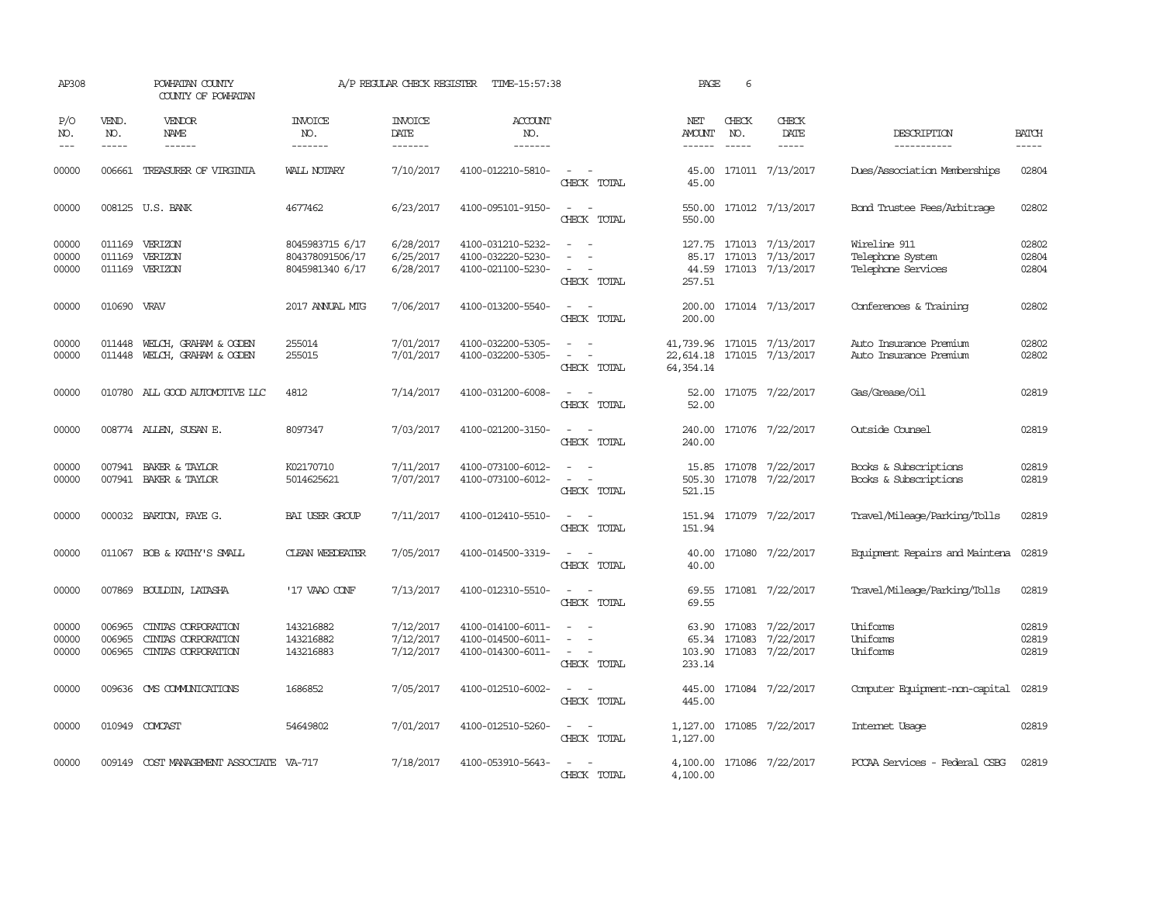| AP308                   |                               | POWHATAN COUNTY<br>COUNTY OF POWHATAN                          |                                                       | A/P REGULAR CHECK REGISTER          | TIME-15:57:38                                               |                                                                     | PAGE                                                   | 6                             |                                                                                                                                                                                                                                                                                                                                                                                                                                                                                                      |                                                        |                         |
|-------------------------|-------------------------------|----------------------------------------------------------------|-------------------------------------------------------|-------------------------------------|-------------------------------------------------------------|---------------------------------------------------------------------|--------------------------------------------------------|-------------------------------|------------------------------------------------------------------------------------------------------------------------------------------------------------------------------------------------------------------------------------------------------------------------------------------------------------------------------------------------------------------------------------------------------------------------------------------------------------------------------------------------------|--------------------------------------------------------|-------------------------|
| P/O<br>NO.<br>$---$     | VEND.<br>NO.<br>$\frac{1}{2}$ | VENDOR<br><b>NAME</b><br>$- - - - - -$                         | <b>INVOICE</b><br>NO.<br>-------                      | <b>INVOICE</b><br>DATE<br>-------   | <b>ACCOUNT</b><br>NO.<br>-------                            |                                                                     | NET<br><b>AMOUNT</b>                                   | CHECK<br>NO.<br>$\frac{1}{2}$ | CHECK<br>DATE<br>$\begin{tabular}{ccccc} \multicolumn{2}{c}{} & \multicolumn{2}{c}{} & \multicolumn{2}{c}{} & \multicolumn{2}{c}{} & \multicolumn{2}{c}{} & \multicolumn{2}{c}{} & \multicolumn{2}{c}{} & \multicolumn{2}{c}{} & \multicolumn{2}{c}{} & \multicolumn{2}{c}{} & \multicolumn{2}{c}{} & \multicolumn{2}{c}{} & \multicolumn{2}{c}{} & \multicolumn{2}{c}{} & \multicolumn{2}{c}{} & \multicolumn{2}{c}{} & \multicolumn{2}{c}{} & \multicolumn{2}{c}{} & \multicolumn{2}{c}{} & \mult$ | DESCRIPTION<br>-----------                             | <b>BATCH</b><br>-----   |
| 00000                   |                               | 006661 TREASURER OF VIRGINIA                                   | WALL NOTARY                                           | 7/10/2017                           | 4100-012210-5810-                                           | CHECK TOTAL                                                         | 45.00<br>45.00                                         |                               | 171011 7/13/2017                                                                                                                                                                                                                                                                                                                                                                                                                                                                                     | Dues/Association Memberships                           | 02804                   |
| 00000                   |                               | 008125 U.S. BANK                                               | 4677462                                               | 6/23/2017                           | 4100-095101-9150-                                           | $\overline{\phantom{a}}$<br>CHECK TOTAL                             | 550.00<br>550.00                                       |                               | 171012 7/13/2017                                                                                                                                                                                                                                                                                                                                                                                                                                                                                     | Bond Trustee Fees/Arbitrage                            | 02802                   |
| 00000<br>00000<br>00000 | 011169                        | 011169 VERIZON<br>VERIZON<br>011169 VERIZON                    | 8045983715 6/17<br>804378091506/17<br>8045981340 6/17 | 6/28/2017<br>6/25/2017<br>6/28/2017 | 4100-031210-5232-<br>4100-032220-5230-<br>4100-021100-5230- | $\overline{\phantom{a}}$<br>CHECK TOTAL                             | 127.75<br>85.17<br>44.59<br>257.51                     |                               | 171013 7/13/2017<br>171013 7/13/2017<br>171013 7/13/2017                                                                                                                                                                                                                                                                                                                                                                                                                                             | Wireline 911<br>Telephone System<br>Telephone Services | 02802<br>02804<br>02804 |
| 00000                   | 010690 VRAV                   |                                                                | 2017 ANNUAL MTG                                       | 7/06/2017                           | 4100-013200-5540-                                           | CHECK TOTAL                                                         | 200.00<br>200.00                                       |                               | 171014 7/13/2017                                                                                                                                                                                                                                                                                                                                                                                                                                                                                     | Conferences & Training                                 | 02802                   |
| 00000<br>00000          | 011448                        | WELCH, GRAHAM & OGDEN<br>011448 WELCH, GRAHAM & OGDEN          | 255014<br>255015                                      | 7/01/2017<br>7/01/2017              | 4100-032200-5305-<br>4100-032200-5305-                      | $\sim$<br>$\sim$<br>$\sim$<br>CHECK TOTAL                           | 41,739.96<br>22,614.18 171015 7/13/2017<br>64, 354, 14 |                               | 171015 7/13/2017                                                                                                                                                                                                                                                                                                                                                                                                                                                                                     | Auto Insurance Premium<br>Auto Insurance Premium       | 02802<br>02802          |
| 00000                   |                               | 010780 ALL GOOD AUTOMOTTVE LLC                                 | 4812                                                  | 7/14/2017                           | 4100-031200-6008-                                           | $\sim$<br>$\sim$<br>CHECK TOTAL                                     | 52.00<br>52.00                                         |                               | 171075 7/22/2017                                                                                                                                                                                                                                                                                                                                                                                                                                                                                     | Gas/Grease/Oil                                         | 02819                   |
| 00000                   |                               | 008774 ALLEN, SUSAN E.                                         | 8097347                                               | 7/03/2017                           | 4100-021200-3150-                                           | $\sim$ $\sim$<br>CHECK TOTAL                                        | 240.00<br>240.00                                       |                               | 171076 7/22/2017                                                                                                                                                                                                                                                                                                                                                                                                                                                                                     | Outside Counsel                                        | 02819                   |
| 00000<br>00000          |                               | 007941 BAKER & TAYLOR<br>007941 BAKER & TAYLOR                 | K02170710<br>5014625621                               | 7/11/2017<br>7/07/2017              | 4100-073100-6012-<br>4100-073100-6012-                      | $\equiv$<br>CHECK TOTAL                                             | 15.85<br>505.30<br>521.15                              |                               | 171078 7/22/2017<br>171078 7/22/2017                                                                                                                                                                                                                                                                                                                                                                                                                                                                 | Books & Subscriptions<br>Books & Subscriptions         | 02819<br>02819          |
| 00000                   |                               | 000032 BARTON, FAYE G.                                         | BAI USER GROUP                                        | 7/11/2017                           | 4100-012410-5510-                                           | $\overline{\phantom{a}}$<br>CHECK TOTAL                             | 151.94                                                 |                               | 151.94 171079 7/22/2017                                                                                                                                                                                                                                                                                                                                                                                                                                                                              | Travel/Mileage/Parking/Tolls                           | 02819                   |
| 00000                   |                               | 011067 BOB & KATHY'S SMALL                                     | <b>CLEAN WEEDEATER</b>                                | 7/05/2017                           | 4100-014500-3319-                                           | CHECK TOTAL                                                         | 40.00<br>40.00                                         |                               | 171080 7/22/2017                                                                                                                                                                                                                                                                                                                                                                                                                                                                                     | Equipment Repairs and Maintena                         | 02819                   |
| 00000                   |                               | 007869 BOULDIN, LATASHA                                        | '17 VAAO CONF                                         | 7/13/2017                           | 4100-012310-5510-                                           | $\sim$<br>$\sim$<br>CHECK TOTAL                                     | 69.55<br>69.55                                         |                               | 171081 7/22/2017                                                                                                                                                                                                                                                                                                                                                                                                                                                                                     | Travel/Mileage/Parking/Tolls                           | 02819                   |
| 00000<br>00000<br>00000 | 006965<br>006965<br>006965    | CINIAS CORPORATION<br>CINIAS CORPORATION<br>CINIAS CORPORATION | 143216882<br>143216882<br>143216883                   | 7/12/2017<br>7/12/2017<br>7/12/2017 | 4100-014100-6011-<br>4100-014500-6011-<br>4100-014300-6011- | $\overline{\phantom{a}}$<br>$\overline{\phantom{a}}$<br>CHECK TOTAL | 63.90<br>65.34<br>103.90<br>233.14                     | 171083                        | 171083 7/22/2017<br>7/22/2017<br>171083 7/22/2017                                                                                                                                                                                                                                                                                                                                                                                                                                                    | Uniforms<br>Uniforms<br>Uniforms                       | 02819<br>02819<br>02819 |
| 00000                   |                               | 009636 CMS COMMUNICATIONS                                      | 1686852                                               | 7/05/2017                           | 4100-012510-6002-                                           | $\overline{\phantom{a}}$<br>. —<br>CHECK TOTAL                      | 445.00<br>445.00                                       |                               | 171084 7/22/2017                                                                                                                                                                                                                                                                                                                                                                                                                                                                                     | Computer Equipment-non-capital                         | 02819                   |
| 00000                   |                               | 010949 COMCAST                                                 | 54649802                                              | 7/01/2017                           | 4100-012510-5260-                                           | $ -$<br>CHECK TOTAL                                                 | 1,127.00<br>1,127.00                                   |                               | 171085 7/22/2017                                                                                                                                                                                                                                                                                                                                                                                                                                                                                     | Internet Usage                                         | 02819                   |
| 00000                   |                               | 009149 COST MANAGEMENT ASSOCIATE VA-717                        |                                                       | 7/18/2017                           | 4100-053910-5643-                                           | CHECK TOTAL                                                         | 4,100.00<br>4,100.00                                   |                               | 171086 7/22/2017                                                                                                                                                                                                                                                                                                                                                                                                                                                                                     | PCCAA Services - Federal CSBG                          | 02819                   |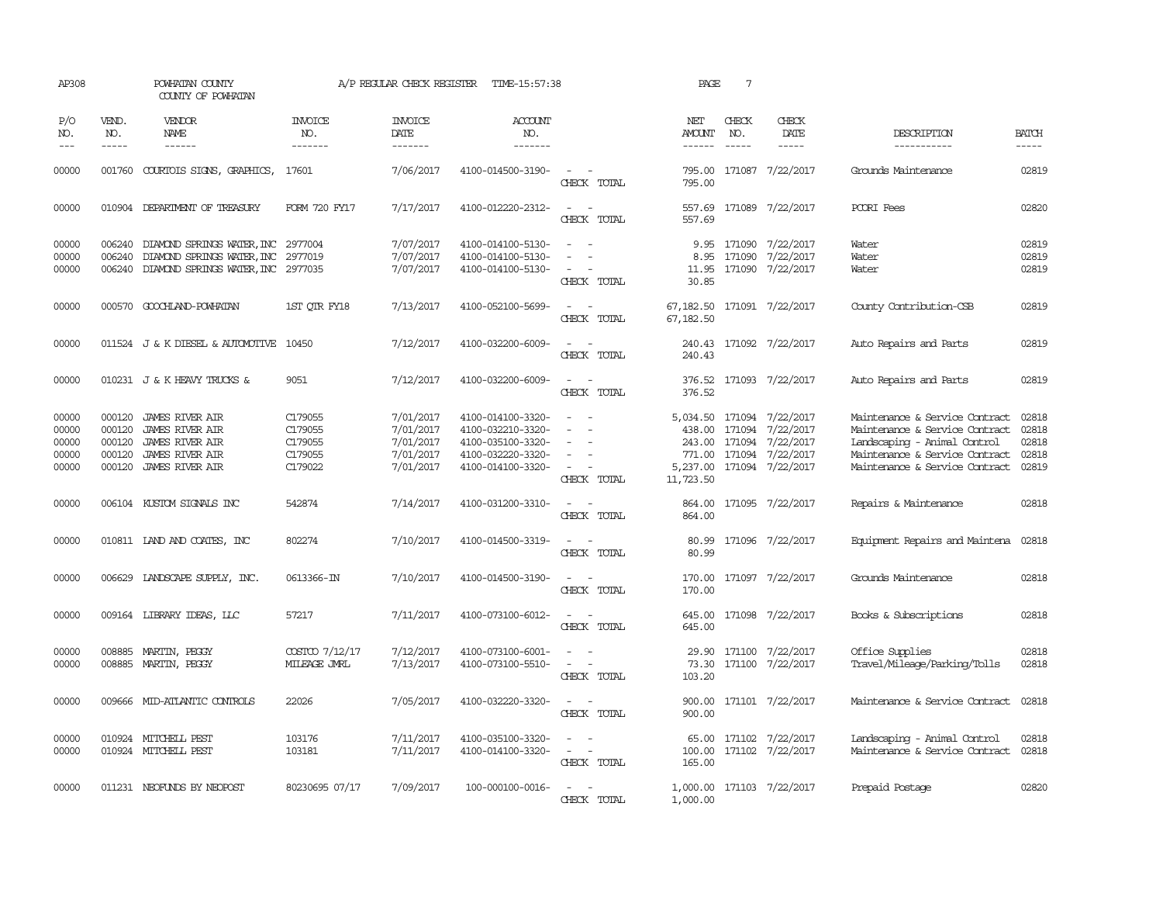| AP308                                     |                                                | POWHATAN COUNTY<br>COUNTY OF POWHATAN                                                                                   |                                                     | A/P REGULAR CHECK REGISTER                                    | TIME-15:57:38                                                                                         |                                                                                                                             | PAGE                                                            | 7                                    |                                                                      |                                                                                                                                                                      |                                           |
|-------------------------------------------|------------------------------------------------|-------------------------------------------------------------------------------------------------------------------------|-----------------------------------------------------|---------------------------------------------------------------|-------------------------------------------------------------------------------------------------------|-----------------------------------------------------------------------------------------------------------------------------|-----------------------------------------------------------------|--------------------------------------|----------------------------------------------------------------------|----------------------------------------------------------------------------------------------------------------------------------------------------------------------|-------------------------------------------|
| P/O<br>NO.<br>$---$                       | VEND.<br>NO.<br>$- - - - -$                    | VENDOR<br>NAME<br>------                                                                                                | <b>INVOICE</b><br>NO.<br>-------                    | <b>INVOICE</b><br>DATE<br>-------                             | <b>ACCOUNT</b><br>NO.<br>-------                                                                      |                                                                                                                             | NET<br><b>AMOUNT</b><br>------                                  | CHECK<br>NO.<br>$\frac{1}{2}$        | CHECK<br>DATE<br>-----                                               | DESCRIPTION<br>-----------                                                                                                                                           | <b>BATCH</b><br>-----                     |
| 00000                                     |                                                | 001760 COURTOIS SIGNS, GRAPHICS,                                                                                        | 17601                                               | 7/06/2017                                                     | 4100-014500-3190-                                                                                     | $\sim$ 10 $\,$<br>CHECK TOTAL                                                                                               | 795.00                                                          |                                      | 795.00 171087 7/22/2017                                              | Grounds Maintenance                                                                                                                                                  | 02819                                     |
| 00000                                     |                                                | 010904 DEPARIMENT OF TREASURY                                                                                           | FORM 720 FY17                                       | 7/17/2017                                                     | 4100-012220-2312-                                                                                     | $\sim$ $\sim$<br>CHECK TOTAL                                                                                                | 557.69<br>557.69                                                |                                      | 171089 7/22/2017                                                     | PCORI Fees                                                                                                                                                           | 02820                                     |
| 00000<br>00000<br>00000                   | 006240<br>006240                               | DIAMOND SPRINGS WATER, INC 2977004<br>DIAMOND SPRINGS WATER, INC<br>006240 DIAMOND SPRINGS WATER, INC 2977035           | 2977019                                             | 7/07/2017<br>7/07/2017<br>7/07/2017                           | 4100-014100-5130-<br>4100-014100-5130-<br>4100-014100-5130-                                           | $\equiv$<br>CHECK TOTAL                                                                                                     | 8.95<br>11.95<br>30.85                                          | 9.95 171090<br>171090                | 7/22/2017<br>7/22/2017<br>171090 7/22/2017                           | Water<br>Water<br>Water                                                                                                                                              | 02819<br>02819<br>02819                   |
| 00000                                     |                                                | 000570 GOOCHLAND-POWHATAN                                                                                               | 1ST OTR FY18                                        | 7/13/2017                                                     | 4100-052100-5699-                                                                                     | $\frac{1}{2} \left( \frac{1}{2} \right) \left( \frac{1}{2} \right) = \frac{1}{2} \left( \frac{1}{2} \right)$<br>CHECK TOTAL | 67,182.50 171091 7/22/2017<br>67,182.50                         |                                      |                                                                      | County Contribution-CSB                                                                                                                                              | 02819                                     |
| 00000                                     |                                                | 011524 J & K DIESEL & AUTOMOTIVE 10450                                                                                  |                                                     | 7/12/2017                                                     | 4100-032200-6009-                                                                                     | $\sim$ $\sim$<br>CHECK TOTAL                                                                                                | 240.43                                                          |                                      | 240.43 171092 7/22/2017                                              | Auto Repairs and Parts                                                                                                                                               | 02819                                     |
| 00000                                     |                                                | 010231 J & K HEAVY TRUCKS &                                                                                             | 9051                                                | 7/12/2017                                                     | 4100-032200-6009-                                                                                     | $\overline{\phantom{a}}$<br>CHECK TOTAL                                                                                     | 376.52<br>376.52                                                |                                      | 171093 7/22/2017                                                     | Auto Repairs and Parts                                                                                                                                               | 02819                                     |
| 00000<br>00000<br>00000<br>00000<br>00000 | 000120<br>000120<br>000120<br>000120<br>000120 | <b>JAMES RIVER AIR</b><br><b>JAMES RIVER AIR</b><br><b>JAMES RIVER AIR</b><br>JAMES RIVER AIR<br><b>JAMES RIVER AIR</b> | C179055<br>C179055<br>C179055<br>C179055<br>C179022 | 7/01/2017<br>7/01/2017<br>7/01/2017<br>7/01/2017<br>7/01/2017 | 4100-014100-3320-<br>4100-032210-3320-<br>4100-035100-3320-<br>4100-032220-3320-<br>4100-014100-3320- | $\equiv$<br>$\equiv$<br>CHECK TOTAL                                                                                         | 5,034.50<br>438.00<br>243.00<br>771.00<br>5,237.00<br>11,723.50 | 171094<br>171094<br>171094<br>171094 | 7/22/2017<br>7/22/2017<br>7/22/2017<br>7/22/2017<br>171094 7/22/2017 | Maintenance & Service Contract<br>Maintenance & Service Contract<br>Landscaping - Animal Control<br>Maintenance & Service Contract<br>Maintenance & Service Contract | 02818<br>02818<br>02818<br>02818<br>02819 |
| 00000                                     |                                                | 006104 KUSTOM SIGNALS INC                                                                                               | 542874                                              | 7/14/2017                                                     | 4100-031200-3310-                                                                                     | CHECK TOTAL                                                                                                                 | 864.00                                                          |                                      | 864.00 171095 7/22/2017                                              | Repairs & Maintenance                                                                                                                                                | 02818                                     |
| 00000                                     |                                                | 010811 IAND AND COATES, INC                                                                                             | 802274                                              | 7/10/2017                                                     | 4100-014500-3319-                                                                                     | $\sim$ $\sim$<br>CHECK TOTAL                                                                                                | 80.99<br>80.99                                                  |                                      | 171096 7/22/2017                                                     | Equipment Repairs and Maintena                                                                                                                                       | 02818                                     |
| 00000                                     |                                                | 006629 LANDSCAPE SUPPLY, INC.                                                                                           | 0613366-IN                                          | 7/10/2017                                                     | 4100-014500-3190-                                                                                     | CHECK TOTAL                                                                                                                 | 170.00<br>170.00                                                |                                      | 171097 7/22/2017                                                     | Grounds Maintenance                                                                                                                                                  | 02818                                     |
| 00000                                     |                                                | 009164 LIBRARY IDEAS, LLC                                                                                               | 57217                                               | 7/11/2017                                                     | 4100-073100-6012-                                                                                     | $\sim$<br>CHECK TOTAL                                                                                                       | 645.00<br>645.00                                                |                                      | 171098 7/22/2017                                                     | Books & Subscriptions                                                                                                                                                | 02818                                     |
| 00000<br>00000                            | 008885                                         | 008885 MARTIN, PEGGY<br>MARTIN, PEGGY                                                                                   | COSTCO 7/12/17<br>MILEAGE JMRL                      | 7/12/2017<br>7/13/2017                                        | 4100-073100-6001-<br>4100-073100-5510-                                                                | $\sim$<br>CHECK TOTAL                                                                                                       | 29.90<br>73.30<br>103.20                                        | 171100                               | 171100 7/22/2017<br>7/22/2017                                        | Office Supplies<br>Travel/Mileage/Parking/Tolls                                                                                                                      | 02818<br>02818                            |
| 00000                                     |                                                | 009666 MID-ATLANTIC CONTROLS                                                                                            | 22026                                               | 7/05/2017                                                     | 4100-032220-3320-                                                                                     | $\sim$ 100 $\mu$<br>CHECK TOTAL                                                                                             | 900.00                                                          |                                      | 900.00 171101 7/22/2017                                              | Maintenance & Service Contract                                                                                                                                       | 02818                                     |
| 00000<br>00000                            |                                                | 010924 MITCHELL PEST<br>010924 MITCHELL PEST                                                                            | 103176<br>103181                                    | 7/11/2017<br>7/11/2017                                        | 4100-035100-3320-<br>4100-014100-3320-                                                                | $\equiv$<br>$\sim$<br>CHECK TOTAL                                                                                           | 100.00<br>165.00                                                |                                      | 65.00 171102 7/22/2017<br>171102 7/22/2017                           | Landscaping - Animal Control<br>Maintenance & Service Contract                                                                                                       | 02818<br>02818                            |
| 00000                                     |                                                | 011231 NEOFUNDS BY NEOPOST                                                                                              | 80230695 07/17                                      | 7/09/2017                                                     | 100-000100-0016-                                                                                      | $ -$<br>CHECK TOTAL                                                                                                         | 1,000.00                                                        |                                      | 1,000.00 171103 7/22/2017                                            | Prepaid Postage                                                                                                                                                      | 02820                                     |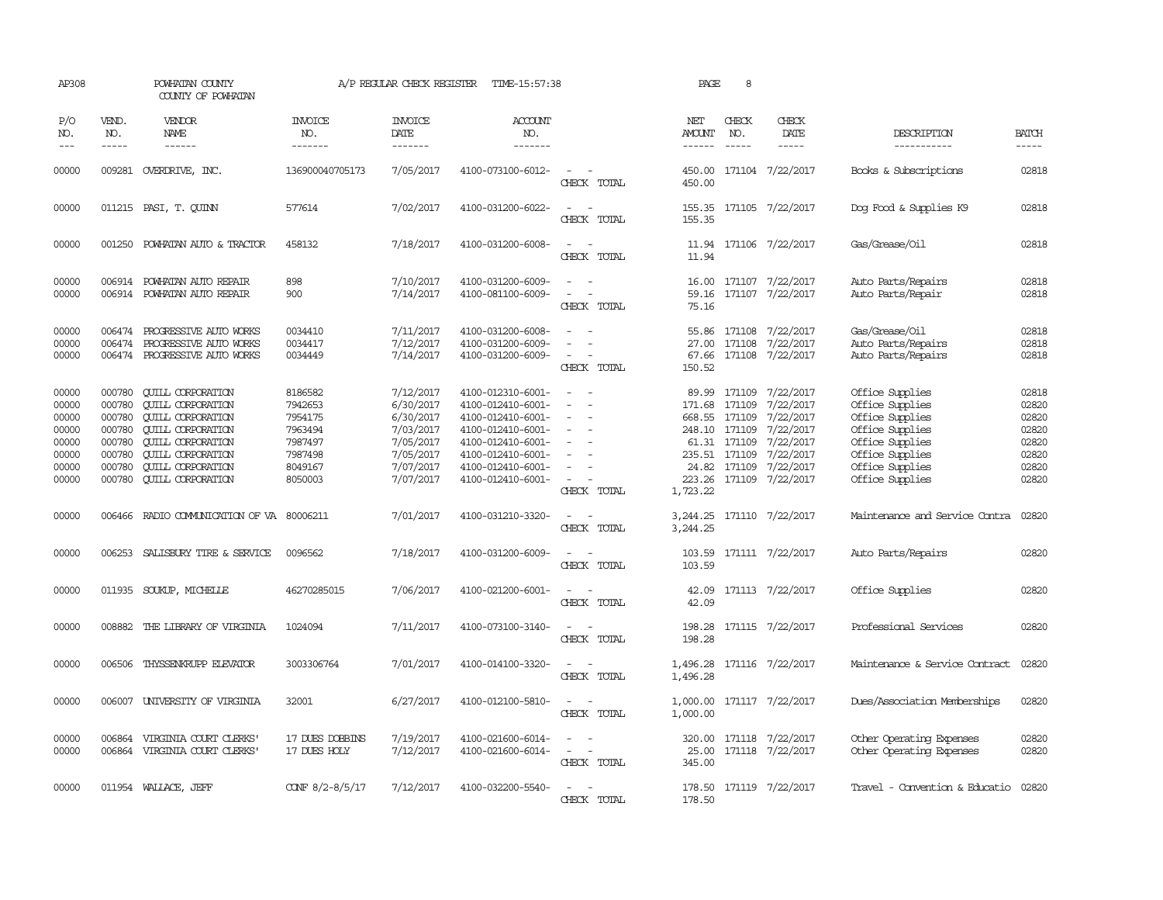| AP308                                                                |                                                                              | POWHATAN COUNTY<br>COUNTY OF POWHATAN                                                                                                                                                                                        |                                                                                      | A/P REGULAR CHECK REGISTER                                                                           | TIME-15:57:38                                                                                                                                                        |                                                                         | PAGE                                                          | 8                             |                                                                                                                                                      |                                                                                                                                                      |                                                                      |
|----------------------------------------------------------------------|------------------------------------------------------------------------------|------------------------------------------------------------------------------------------------------------------------------------------------------------------------------------------------------------------------------|--------------------------------------------------------------------------------------|------------------------------------------------------------------------------------------------------|----------------------------------------------------------------------------------------------------------------------------------------------------------------------|-------------------------------------------------------------------------|---------------------------------------------------------------|-------------------------------|------------------------------------------------------------------------------------------------------------------------------------------------------|------------------------------------------------------------------------------------------------------------------------------------------------------|----------------------------------------------------------------------|
| P/O<br>NO.<br>$- - -$                                                | VEND.<br>NO.<br>$- - - - -$                                                  | <b>VENDOR</b><br>NAME<br>$- - - - - -$                                                                                                                                                                                       | <b>INVOICE</b><br>NO.<br>--------                                                    | <b>INVOICE</b><br>DATE<br>$- - - - - - -$                                                            | <b>ACCOUNT</b><br>NO.<br>-------                                                                                                                                     |                                                                         | NET<br>AMOUNT<br>------                                       | CHECK<br>NO.<br>$\frac{1}{2}$ | CHECK<br>DATE<br>$- - - - -$                                                                                                                         | DESCRIPTION<br>-----------                                                                                                                           | <b>BATCH</b><br>$- - - - -$                                          |
| 00000                                                                |                                                                              | 009281 OVERDRIVE, INC.                                                                                                                                                                                                       | 136900040705173                                                                      | 7/05/2017                                                                                            | 4100-073100-6012-                                                                                                                                                    | $\sim$<br>CHECK TOTAL                                                   | 450.00                                                        |                               | 450.00 171104 7/22/2017                                                                                                                              | Books & Subscriptions                                                                                                                                | 02818                                                                |
| 00000                                                                |                                                                              | 011215 PASI, T. CUINN                                                                                                                                                                                                        | 577614                                                                               | 7/02/2017                                                                                            | 4100-031200-6022-                                                                                                                                                    | CHECK TOTAL                                                             | 155.35                                                        |                               | 155.35 171105 7/22/2017                                                                                                                              | Dog Food & Supplies K9                                                                                                                               | 02818                                                                |
| 00000                                                                | 001250                                                                       | POWHATAN AUTO & TRACTOR                                                                                                                                                                                                      | 458132                                                                               | 7/18/2017                                                                                            | 4100-031200-6008-                                                                                                                                                    | $ -$<br>CHECK TOTAL                                                     | 11.94                                                         |                               | 11.94 171106 7/22/2017                                                                                                                               | Gas/Grease/Oil                                                                                                                                       | 02818                                                                |
| 00000<br>00000                                                       |                                                                              | 006914 POWHATAN AUTO REPAIR<br>006914 POWHATAN AUTO REPAIR                                                                                                                                                                   | 898<br>900                                                                           | 7/10/2017<br>7/14/2017                                                                               | 4100-031200-6009-<br>4100-081100-6009-                                                                                                                               | $\equiv$<br>CHECK TOTAL                                                 | 59.16<br>75.16                                                |                               | 16.00 171107 7/22/2017<br>171107 7/22/2017                                                                                                           | Auto Parts/Repairs<br>Auto Parts/Repair                                                                                                              | 02818<br>02818                                                       |
| 00000<br>00000<br>00000                                              | 006474<br>006474                                                             | PROGRESSIVE AUTO WORKS<br>PROGRESSIVE AUTO WORKS<br>006474 PROGRESSIVE AUTO WORKS                                                                                                                                            | 0034410<br>0034417<br>0034449                                                        | 7/11/2017<br>7/12/2017<br>7/14/2017                                                                  | 4100-031200-6008-<br>4100-031200-6009-<br>4100-031200-6009-                                                                                                          | $\equiv$<br>$\equiv$<br>CHECK TOTAL                                     | 27.00<br>67.66<br>150.52                                      | 171108                        | 55.86 171108 7/22/2017<br>7/22/2017<br>171108 7/22/2017                                                                                              | Gas/Grease/Oil<br>Auto Parts/Repairs<br>Auto Parts/Repairs                                                                                           | 02818<br>02818<br>02818                                              |
| 00000<br>00000<br>00000<br>00000<br>00000<br>00000<br>00000<br>00000 | 000780<br>000780<br>000780<br>000780<br>000780<br>000780<br>000780<br>000780 | <b>CUILL CORPORATION</b><br><b>QUILL CORPORATION</b><br><b>CUILL CORPORATION</b><br><b>CUILL CORPORATION</b><br><b>QUILL CORPORATION</b><br><b>QUILL CORPORATION</b><br><b>QUILL CORPORATION</b><br><b>QUILL CORPORATION</b> | 8186582<br>7942653<br>7954175<br>7963494<br>7987497<br>7987498<br>8049167<br>8050003 | 7/12/2017<br>6/30/2017<br>6/30/2017<br>7/03/2017<br>7/05/2017<br>7/05/2017<br>7/07/2017<br>7/07/2017 | 4100-012310-6001-<br>4100-012410-6001-<br>4100-012410-6001-<br>4100-012410-6001-<br>4100-012410-6001-<br>4100-012410-6001-<br>4100-012410-6001-<br>4100-012410-6001- | $\sim$<br>$\sim$<br>$\equiv$<br>$\overline{\phantom{a}}$<br>CHECK TOTAL | 89.99<br>171.68<br>248.10 171109<br>235.51 171109<br>1,723.22 | 171109<br>61.31 171109        | 171109 7/22/2017<br>7/22/2017<br>668.55 171109 7/22/2017<br>7/22/2017<br>7/22/2017<br>7/22/2017<br>24.82 171109 7/22/2017<br>223.26 171109 7/22/2017 | Office Supplies<br>Office Supplies<br>Office Supplies<br>Office Supplies<br>Office Supplies<br>Office Supplies<br>Office Supplies<br>Office Supplies | 02818<br>02820<br>02820<br>02820<br>02820<br>02820<br>02820<br>02820 |
| 00000                                                                |                                                                              | 006466 RADIO COMMUNICATION OF VA 80006211                                                                                                                                                                                    |                                                                                      | 7/01/2017                                                                                            | 4100-031210-3320-                                                                                                                                                    | $\sim$<br>CHECK TOTAL                                                   | 3,244.25                                                      |                               | 3, 244. 25 171110 7/22/2017                                                                                                                          | Maintenance and Service Contra                                                                                                                       | 02820                                                                |
| 00000                                                                |                                                                              | 006253 SALISBURY TIRE & SERVICE                                                                                                                                                                                              | 0096562                                                                              | 7/18/2017                                                                                            | 4100-031200-6009-                                                                                                                                                    | $\overline{\phantom{a}}$<br>CHECK TOTAL                                 | 103.59                                                        |                               | 103.59 171111 7/22/2017                                                                                                                              | Auto Parts/Repairs                                                                                                                                   | 02820                                                                |
| 00000                                                                |                                                                              | 011935 SOUKUP, MICHELLE                                                                                                                                                                                                      | 46270285015                                                                          | 7/06/2017                                                                                            | 4100-021200-6001-                                                                                                                                                    | $\overline{\phantom{a}}$<br>CHECK TOTAL                                 | 42.09<br>42.09                                                |                               | 171113 7/22/2017                                                                                                                                     | Office Supplies                                                                                                                                      | 02820                                                                |
| 00000                                                                |                                                                              | 008882 THE LIBRARY OF VIRGINIA                                                                                                                                                                                               | 1024094                                                                              | 7/11/2017                                                                                            | 4100-073100-3140-                                                                                                                                                    | $\equiv$<br>CHECK TOTAL                                                 | 198.28<br>198.28                                              |                               | 171115 7/22/2017                                                                                                                                     | Professional Services                                                                                                                                | 02820                                                                |
| 00000                                                                |                                                                              | 006506 THYSSENKRUPP ELEVATOR                                                                                                                                                                                                 | 3003306764                                                                           | 7/01/2017                                                                                            | 4100-014100-3320-                                                                                                                                                    | $\sim$<br>CHECK TOTAL                                                   | 1,496.28                                                      |                               | 1,496.28 171116 7/22/2017                                                                                                                            | Maintenance & Service Contract                                                                                                                       | 02820                                                                |
| 00000                                                                | 006007                                                                       | UNIVERSITY OF VIRGINIA                                                                                                                                                                                                       | 32001                                                                                | 6/27/2017                                                                                            | 4100-012100-5810-                                                                                                                                                    | $ -$<br>CHECK TOTAL                                                     | 1,000.00                                                      |                               | 1,000.00 171117 7/22/2017                                                                                                                            | Dues/Association Memberships                                                                                                                         | 02820                                                                |
| 00000<br>00000                                                       | 006864<br>006864                                                             | VIRGINIA COURT CLERKS'<br>VIRGINIA COURT CLERKS'                                                                                                                                                                             | 17 DUES DOBBINS<br>17 DUES HOLY                                                      | 7/19/2017<br>7/12/2017                                                                               | 4100-021600-6014-<br>4100-021600-6014-                                                                                                                               | $\overline{\phantom{a}}$<br>CHECK TOTAL                                 | 25.00<br>345.00                                               |                               | 320.00 171118 7/22/2017<br>171118 7/22/2017                                                                                                          | Other Operating Expenses<br>Other Operating Expenses                                                                                                 | 02820<br>02820                                                       |
| 00000                                                                |                                                                              | 011954 WALLACE, JEFF                                                                                                                                                                                                         | CONF 8/2-8/5/17                                                                      | 7/12/2017                                                                                            | 4100-032200-5540-                                                                                                                                                    | $\equiv$<br>CHECK TOTAL                                                 | 178.50                                                        |                               | 178.50 171119 7/22/2017                                                                                                                              | Travel - Convention & Educatio                                                                                                                       | 02820                                                                |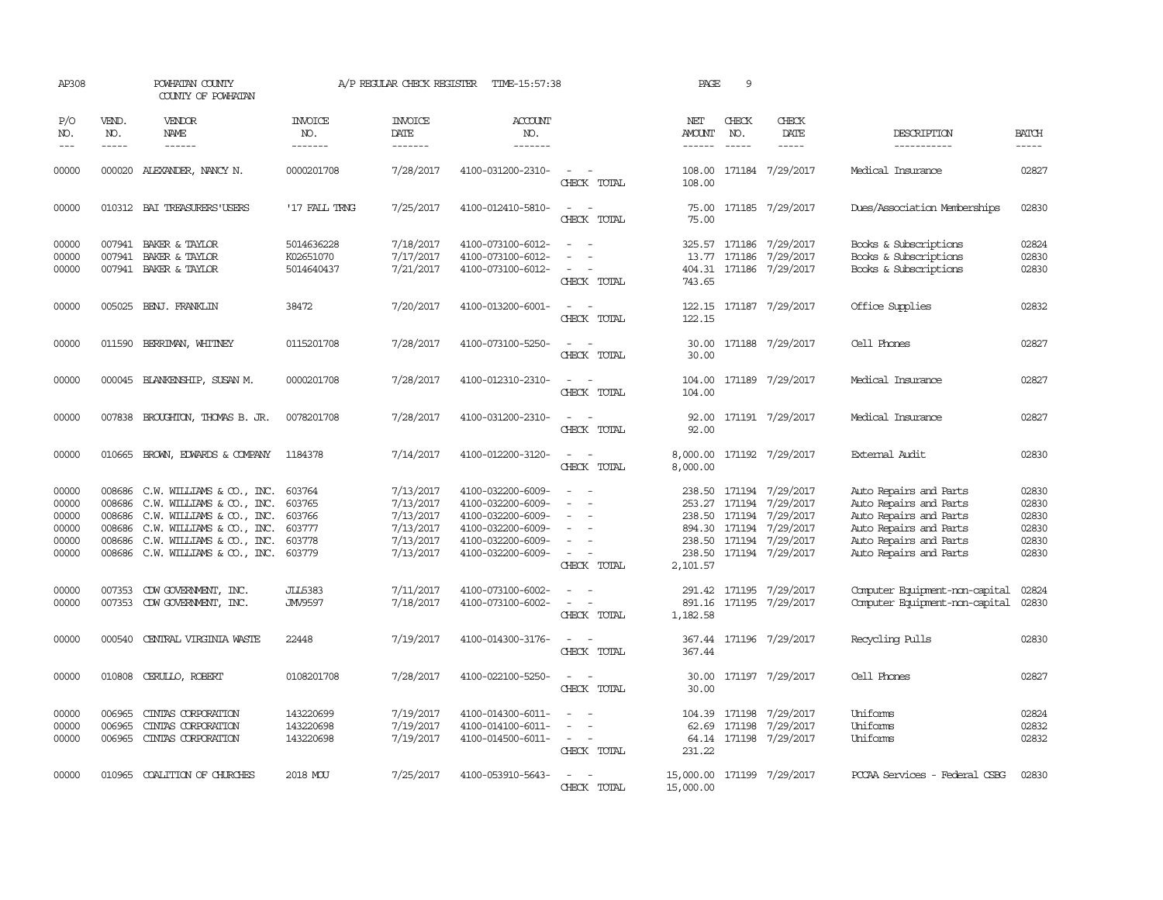| AP308                                              |                                                | POWHATAN COUNTY<br>COUNTY OF POWHATAN                                                                                                                                             |                                                          | A/P REGULAR CHECK REGISTER                                                 | TIME-15:57:38                                                                                                              |                                                                                           | PAGE                                                                                   | 9                           |                                                                                                 |                                                                                                                                                          |                                                    |
|----------------------------------------------------|------------------------------------------------|-----------------------------------------------------------------------------------------------------------------------------------------------------------------------------------|----------------------------------------------------------|----------------------------------------------------------------------------|----------------------------------------------------------------------------------------------------------------------------|-------------------------------------------------------------------------------------------|----------------------------------------------------------------------------------------|-----------------------------|-------------------------------------------------------------------------------------------------|----------------------------------------------------------------------------------------------------------------------------------------------------------|----------------------------------------------------|
| P/O<br>NO.                                         | VEND.<br>NO.<br>$- - - - -$                    | VENDOR<br>NAME                                                                                                                                                                    | <b>INVOICE</b><br>NO.                                    | <b>INVOICE</b><br><b>DATE</b>                                              | <b>ACCOUNT</b><br>NO.<br>-------                                                                                           |                                                                                           | NET<br>AMOUNT<br>$- - - - - -$                                                         | CHECK<br>NO.<br>$- - - - -$ | CHECK<br>DATE                                                                                   | DESCRIPTION<br>-----------                                                                                                                               | <b>BATCH</b>                                       |
| $---$                                              |                                                | $- - - - - -$                                                                                                                                                                     | -------                                                  | -------                                                                    |                                                                                                                            |                                                                                           |                                                                                        |                             | -----                                                                                           |                                                                                                                                                          | -----                                              |
| 00000                                              |                                                | 000020 ALEXANDER, NANCY N.                                                                                                                                                        | 0000201708                                               | 7/28/2017                                                                  | 4100-031200-2310-                                                                                                          | $\overline{\phantom{a}}$<br>CHECK TOTAL                                                   | 108.00<br>108.00                                                                       |                             | 171184 7/29/2017                                                                                | Medical Insurance                                                                                                                                        | 02827                                              |
| 00000                                              |                                                | 010312 BAI TREASURERS USERS                                                                                                                                                       | '17 FALL TRNG                                            | 7/25/2017                                                                  | 4100-012410-5810-                                                                                                          | $\sim$<br>$\sim$<br>CHECK TOTAL                                                           | 75.00                                                                                  |                             | 75.00 171185 7/29/2017                                                                          | Dues/Association Memberships                                                                                                                             | 02830                                              |
| 00000<br>00000<br>00000                            |                                                | 007941 BAKER & TAYLOR<br>007941 BAKER & TAYLOR<br>007941 BAKER & TAYLOR                                                                                                           | 5014636228<br>K02651070<br>5014640437                    | 7/18/2017<br>7/17/2017<br>7/21/2017                                        | 4100-073100-6012-<br>4100-073100-6012-<br>4100-073100-6012-                                                                | $\sim$<br>$\equiv$<br>$\overline{\phantom{a}}$<br>$\overline{\phantom{a}}$<br>CHECK TOTAL | 13.77<br>404.31<br>743.65                                                              |                             | 325.57 171186 7/29/2017<br>171186 7/29/2017<br>171186 7/29/2017                                 | Books & Subscriptions<br>Books & Subscriptions<br>Books & Subscriptions                                                                                  | 02824<br>02830<br>02830                            |
| 00000                                              |                                                | 005025 BENJ. FRANKLIN                                                                                                                                                             | 38472                                                    | 7/20/2017                                                                  | 4100-013200-6001-                                                                                                          | CHECK TOTAL                                                                               | 122.15                                                                                 |                             | 122.15 171187 7/29/2017                                                                         | Office Supplies                                                                                                                                          | 02832                                              |
| 00000                                              |                                                | 011590 BERRIMAN, WHITNEY                                                                                                                                                          | 0115201708                                               | 7/28/2017                                                                  | 4100-073100-5250-                                                                                                          | CHECK TOTAL                                                                               | 30.00<br>30.00                                                                         |                             | 171188 7/29/2017                                                                                | Cell Phones                                                                                                                                              | 02827                                              |
| 00000                                              |                                                | 000045 BLANKENSHIP, SUSAN M.                                                                                                                                                      | 0000201708                                               | 7/28/2017                                                                  | 4100-012310-2310-                                                                                                          | $\equiv$<br>$\sim$<br>CHECK TOTAL                                                         | 104.00<br>104.00                                                                       |                             | 171189 7/29/2017                                                                                | Medical Insurance                                                                                                                                        | 02827                                              |
| 00000                                              |                                                | 007838 BROUGHTON, THOMAS B. JR.                                                                                                                                                   | 0078201708                                               | 7/28/2017                                                                  | 4100-031200-2310-                                                                                                          | CHECK TOTAL                                                                               | 92.00<br>92.00                                                                         |                             | 171191 7/29/2017                                                                                | Medical Insurance                                                                                                                                        | 02827                                              |
| 00000                                              |                                                | 010665 BROWN, EDWARDS & COMPANY                                                                                                                                                   | 1184378                                                  | 7/14/2017                                                                  | 4100-012200-3120-                                                                                                          | $\sim$<br>$\overline{\phantom{a}}$<br>CHECK TOTAL                                         | 8,000.00<br>8,000.00                                                                   |                             | 171192 7/29/2017                                                                                | External Audit                                                                                                                                           | 02830                                              |
| 00000<br>00000<br>00000<br>00000<br>00000<br>00000 | 008686<br>008686<br>008686<br>008686<br>008686 | C.W. WILLIAMS & CO., INC.<br>C.W. WILLIAMS & CO., INC.<br>C.W. WILLIAMS & CO., INC.<br>C.W. WILLIAMS & CO., INC.<br>C.W. WILLIAMS & CO., INC.<br>008686 C.W. WILLIAMS & CO., INC. | 603764<br>603765<br>603766<br>603777<br>603778<br>603779 | 7/13/2017<br>7/13/2017<br>7/13/2017<br>7/13/2017<br>7/13/2017<br>7/13/2017 | 4100-032200-6009-<br>4100-032200-6009-<br>4100-032200-6009-<br>4100-032200-6009-<br>4100-032200-6009-<br>4100-032200-6009- | $\sim$ 10 $\,$<br>$\overline{\phantom{a}}$<br>CHECK TOTAL                                 | 238.50<br>253.27 171194<br>238.50 171194<br>894.30 171194<br>238.50 171194<br>2,101.57 |                             | 171194 7/29/2017<br>7/29/2017<br>7/29/2017<br>7/29/2017<br>7/29/2017<br>238.50 171194 7/29/2017 | Auto Repairs and Parts<br>Auto Repairs and Parts<br>Auto Repairs and Parts<br>Auto Repairs and Parts<br>Auto Repairs and Parts<br>Auto Repairs and Parts | 02830<br>02830<br>02830<br>02830<br>02830<br>02830 |
| 00000<br>00000                                     | 007353                                         | CDW GOVERNMENT, INC.<br>007353 CDW GOVERNMENT, INC.                                                                                                                               | <b>JLL5383</b><br>JMV9597                                | 7/11/2017<br>7/18/2017                                                     | 4100-073100-6002-<br>4100-073100-6002-                                                                                     | $\overline{\phantom{a}}$<br>CHECK TOTAL                                                   | 891.16<br>1,182.58                                                                     |                             | 291.42 171195 7/29/2017<br>171195 7/29/2017                                                     | Computer Equipment-non-capital<br>Computer Equipment-non-capital                                                                                         | 02824<br>02830                                     |
| 00000                                              | 000540                                         | CENTRAL VIRGINIA WASTE                                                                                                                                                            | 22448                                                    | 7/19/2017                                                                  | 4100-014300-3176-                                                                                                          | CHECK TOTAL                                                                               | 367.44                                                                                 |                             | 367.44 171196 7/29/2017                                                                         | Recycling Pulls                                                                                                                                          | 02830                                              |
| 00000                                              | 010808                                         | CERULLO, ROBERT                                                                                                                                                                   | 0108201708                                               | 7/28/2017                                                                  | 4100-022100-5250-                                                                                                          | CHECK TOTAL                                                                               | 30.00<br>30.00                                                                         |                             | 171197 7/29/2017                                                                                | Cell Phones                                                                                                                                              | 02827                                              |
| 00000<br>00000<br>00000                            | 006965<br>006965<br>006965                     | CINIAS CORPORATION<br>CINIAS CORPORATION<br>CINIAS CORPORATION                                                                                                                    | 143220699<br>143220698<br>143220698                      | 7/19/2017<br>7/19/2017<br>7/19/2017                                        | 4100-014300-6011-<br>4100-014100-6011-<br>4100-014500-6011-                                                                | $\overline{\phantom{a}}$<br>CHECK TOTAL                                                   | 104.39<br>62.69<br>231.22                                                              |                             | 171198 7/29/2017<br>171198 7/29/2017<br>64.14 171198 7/29/2017                                  | Uniforms<br>Uniforms<br>Uniforms                                                                                                                         | 02824<br>02832<br>02832                            |
| 00000                                              | 010965                                         | COALITION OF CHURCHES                                                                                                                                                             | 2018 MOU                                                 | 7/25/2017                                                                  | 4100-053910-5643-                                                                                                          | CHECK TOTAL                                                                               | 15,000.00 171199 7/29/2017<br>15,000.00                                                |                             |                                                                                                 | PCCAA Services - Federal CSBG                                                                                                                            | 02830                                              |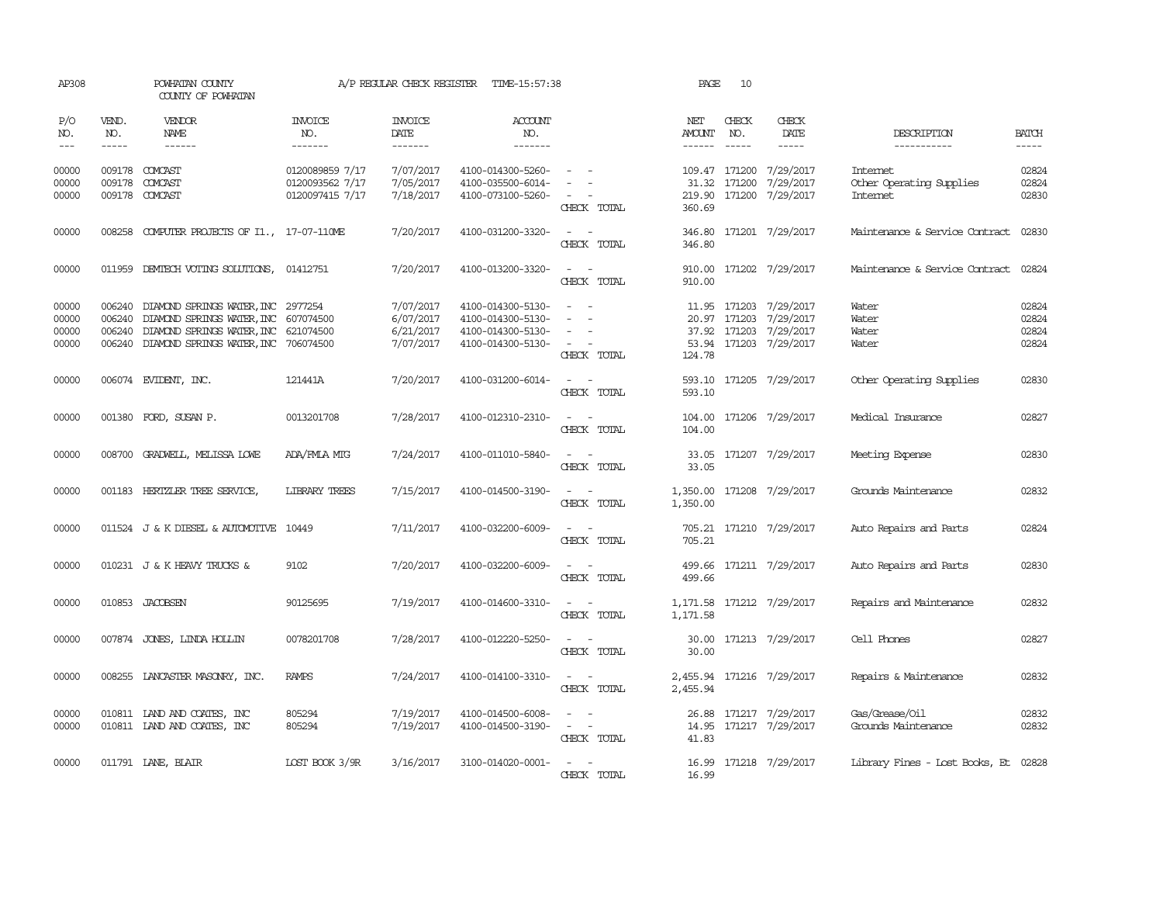| AP308                            |                             | POWHATAN COUNTY<br>COUNTY OF POWHATAN                                                                                                                   |                                                       | A/P REGULAR CHECK REGISTER                       | TIME-15:57:38                                                                    |                                                                                                                             | PAGE                     | 10                            |                                                                                                      |                                                                |                                  |
|----------------------------------|-----------------------------|---------------------------------------------------------------------------------------------------------------------------------------------------------|-------------------------------------------------------|--------------------------------------------------|----------------------------------------------------------------------------------|-----------------------------------------------------------------------------------------------------------------------------|--------------------------|-------------------------------|------------------------------------------------------------------------------------------------------|----------------------------------------------------------------|----------------------------------|
| P/O<br>NO.<br>$---$              | VEND.<br>NO.<br>$- - - - -$ | VENDOR<br><b>NAME</b><br>$- - - - - -$                                                                                                                  | INVOICE<br>NO.<br>-------                             | <b>INVOICE</b><br>DATE<br>$- - - - - - -$        | ACCOUNT<br>NO.<br>$- - - - - - -$                                                |                                                                                                                             | NET<br>AMOUNT<br>------- | CHECK<br>NO.                  | CHECK<br>DATE<br>$- - - - -$                                                                         | DESCRIPTION<br>-----------                                     | <b>BATCH</b><br>-----            |
| 00000<br>00000<br>00000          | 009178<br>009178            | COMCAST<br>COMCAST<br>009178 COMCAST                                                                                                                    | 0120089859 7/17<br>0120093562 7/17<br>0120097415 7/17 | 7/07/2017<br>7/05/2017<br>7/18/2017              | 4100-014300-5260-<br>4100-035500-6014-<br>4100-073100-5260-                      | $\sim$<br>CHECK TOTAL                                                                                                       | 360.69                   | 109.47 171200<br>31.32 171200 | 7/29/2017<br>7/29/2017<br>219.90 171200 7/29/2017                                                    | <b>Internet</b><br>Other Operating Supplies<br><b>Internet</b> | 02824<br>02824<br>02830          |
| 00000                            |                             | 008258 COMPUTER PROJECTS OF I1., 17-07-110ME                                                                                                            |                                                       | 7/20/2017                                        | 4100-031200-3320-                                                                | $\sim$<br>CHECK TOTAL                                                                                                       | 346.80                   |                               | 346.80 171201 7/29/2017                                                                              | Maintenance & Service Contract                                 | 02830                            |
| 00000                            |                             | 011959 DEMIECH VOTING SOLUTIONS,                                                                                                                        | 01412751                                              | 7/20/2017                                        | 4100-013200-3320-                                                                | $\sim$ $\sim$<br>CHECK TOTAL                                                                                                | 910.00                   |                               | 910.00 171202 7/29/2017                                                                              | Maintenance & Service Contract                                 | 02824                            |
| 00000<br>00000<br>00000<br>00000 | 006240<br>006240<br>006240  | DIAMOND SPRINGS WATER, INC 2977254<br>DIAMOND SPRINGS WATER, INC 607074500<br>DIAMOND SPRINGS WATER, INC<br>006240 DIAMOND SPRINGS WATER, INC 706074500 | 621074500                                             | 7/07/2017<br>6/07/2017<br>6/21/2017<br>7/07/2017 | 4100-014300-5130-<br>4100-014300-5130-<br>4100-014300-5130-<br>4100-014300-5130- | $\sim$<br>$\overline{a}$<br>$\sim$<br>$\sim$ $-$<br>CHECK TOTAL                                                             | 124.78                   |                               | 11.95 171203 7/29/2017<br>20.97 171203 7/29/2017<br>37.92 171203 7/29/2017<br>53.94 171203 7/29/2017 | Water<br>Water<br>Water<br>Water                               | 02824<br>02824<br>02824<br>02824 |
| 00000                            |                             | 006074 EVIDENT, INC.                                                                                                                                    | 121441A                                               | 7/20/2017                                        | 4100-031200-6014-                                                                | CHECK TOTAL                                                                                                                 | 593.10                   |                               | 593.10 171205 7/29/2017                                                                              | Other Operating Supplies                                       | 02830                            |
| 00000                            |                             | 001380 FORD, SUSAN P.                                                                                                                                   | 0013201708                                            | 7/28/2017                                        | 4100-012310-2310-                                                                | CHECK TOTAL                                                                                                                 | 104.00                   |                               | 104.00 171206 7/29/2017                                                                              | Medical Insurance                                              | 02827                            |
| 00000                            | 008700                      | GRADWEIL, MELISSA LOWE                                                                                                                                  | ADA/FMLA MTG                                          | 7/24/2017                                        | 4100-011010-5840-                                                                | $\sim$<br>CHECK TOTAL                                                                                                       | 33.05<br>33.05           |                               | 171207 7/29/2017                                                                                     | Meeting Expense                                                | 02830                            |
| 00000                            |                             | 001183 HERTZLER TREE SERVICE,                                                                                                                           | <b>LIBRARY TREES</b>                                  | 7/15/2017                                        | 4100-014500-3190-                                                                | $\sim$<br>CHECK TOTAL                                                                                                       | 1,350.00<br>1,350.00     |                               | 171208 7/29/2017                                                                                     | Grounds Maintenance                                            | 02832                            |
| 00000                            |                             | 011524 J & K DIESEL & AUTOMOTTVE 10449                                                                                                                  |                                                       | 7/11/2017                                        | 4100-032200-6009-                                                                | $\sim$<br>CHECK TOTAL                                                                                                       | 705.21                   |                               | 705.21 171210 7/29/2017                                                                              | Auto Repairs and Parts                                         | 02824                            |
| 00000                            |                             | 010231 J & K HEAVY TRUCKS &                                                                                                                             | 9102                                                  | 7/20/2017                                        | 4100-032200-6009-                                                                | $\frac{1}{2} \left( \frac{1}{2} \right) \left( \frac{1}{2} \right) = \frac{1}{2} \left( \frac{1}{2} \right)$<br>CHECK TOTAL | 499.66                   |                               | 499.66 171211 7/29/2017                                                                              | Auto Repairs and Parts                                         | 02830                            |
| 00000                            |                             | 010853 JACOBSEN                                                                                                                                         | 90125695                                              | 7/19/2017                                        | 4100-014600-3310-                                                                | $\omega_{\rm{max}}$ and $\omega_{\rm{max}}$<br>CHECK TOTAL                                                                  | 1,171.58                 |                               | 1, 171.58 171212 7/29/2017                                                                           | Repairs and Maintenance                                        | 02832                            |
| 00000                            |                             | 007874 JONES, LINDA HOLLIN                                                                                                                              | 0078201708                                            | 7/28/2017                                        | 4100-012220-5250-                                                                | $\sim$<br>$\sim$<br>CHECK TOTAL                                                                                             | 30.00                    |                               | 30.00 171213 7/29/2017                                                                               | Cell Phones                                                    | 02827                            |
| 00000                            |                             | 008255 LANCASTER MASONRY, INC.                                                                                                                          | <b>RAMPS</b>                                          | 7/24/2017                                        | 4100-014100-3310-                                                                | $\omega_{\rm{max}}$ and $\omega_{\rm{max}}$<br>CHECK TOTAL                                                                  | 2,455.94                 |                               | 2,455.94 171216 7/29/2017                                                                            | Repairs & Maintenance                                          | 02832                            |
| 00000<br>00000                   |                             | 010811 LAND AND COATES, INC<br>010811 LAND AND COATES, INC                                                                                              | 805294<br>805294                                      | 7/19/2017<br>7/19/2017                           | 4100-014500-6008-<br>4100-014500-3190-                                           | $\sim$ $-$<br>$\sim$<br>CHECK TOTAL                                                                                         | 41.83                    |                               | 26.88 171217 7/29/2017<br>14.95 171217 7/29/2017                                                     | Gas/Grease/Oil<br>Grounds Maintenance                          | 02832<br>02832                   |
| 00000                            |                             | 011791 LANE, BLAIR                                                                                                                                      | LOST BOOK 3/9R                                        | 3/16/2017                                        | 3100-014020-0001-                                                                | $\frac{1}{2} \left( \frac{1}{2} \right) \left( \frac{1}{2} \right) = \frac{1}{2} \left( \frac{1}{2} \right)$<br>CHECK TOTAL | 16.99                    |                               | 16.99 171218 7/29/2017                                                                               | Library Fines - Lost Books, Et 02828                           |                                  |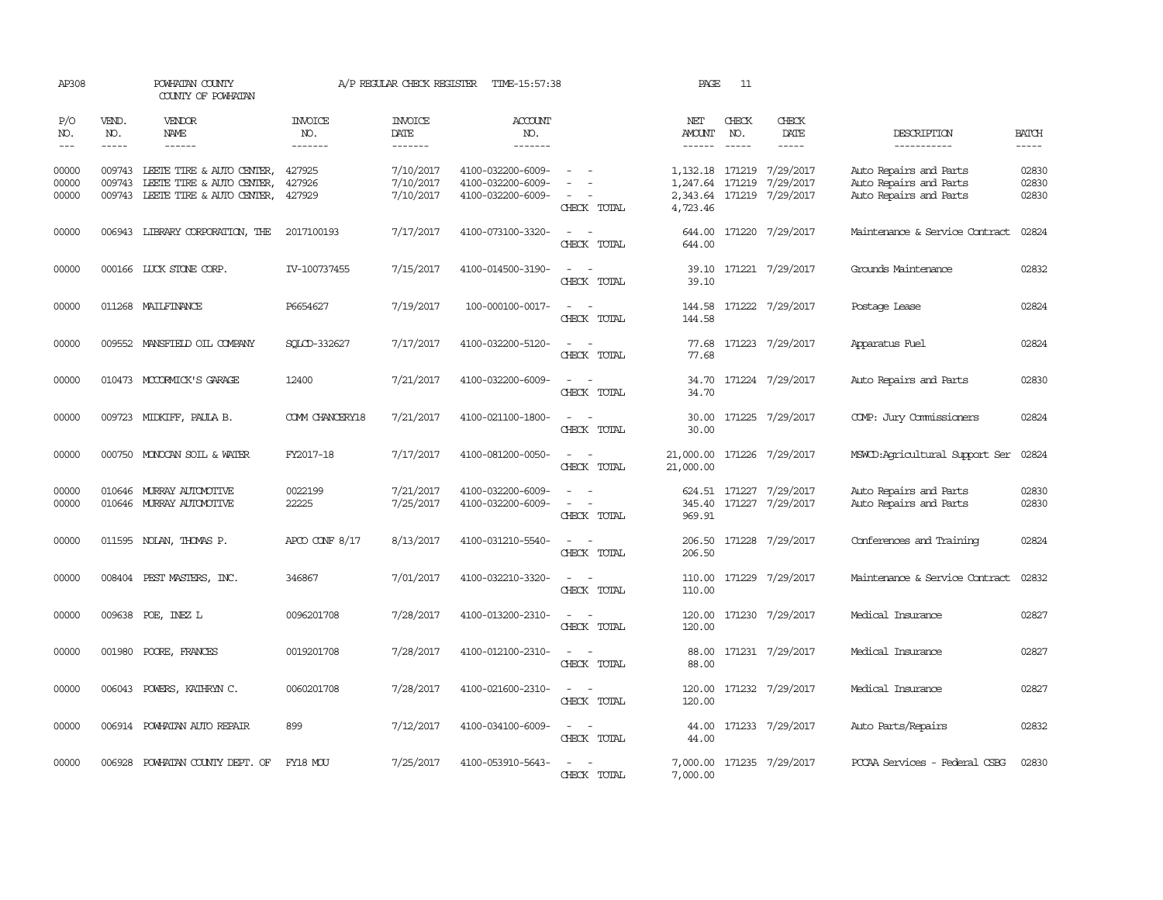| AP308                       |                             | POWHATAN COUNTY<br>COUNTY OF POWHATAN                                                      |                                  | A/P REGULAR CHECK REGISTER          | TIME-15:57:38                                               |                                                                                                                                          | PAGE                    | 11                            |                                                                      |                                                                            |                         |
|-----------------------------|-----------------------------|--------------------------------------------------------------------------------------------|----------------------------------|-------------------------------------|-------------------------------------------------------------|------------------------------------------------------------------------------------------------------------------------------------------|-------------------------|-------------------------------|----------------------------------------------------------------------|----------------------------------------------------------------------------|-------------------------|
| P/O<br>NO.<br>$\frac{1}{2}$ | VEND.<br>NO.<br>$- - - - -$ | <b>VENDOR</b><br>NAME<br>$- - - - - -$                                                     | <b>INVOICE</b><br>NO.<br>------- | <b>INVOICE</b><br>DATE<br>-------   | <b>ACCOUNT</b><br>NO.<br>-------                            |                                                                                                                                          | NET<br>AMOUNT<br>------ | CHECK<br>NO.<br>$\frac{1}{2}$ | CHECK<br>DATE<br>-----                                               | DESCRIPTION<br>-----------                                                 | <b>BATCH</b><br>-----   |
| 00000<br>00000<br>00000     | 009743<br>009743            | LEETE TIRE & AUTO CENTER,<br>LEETE TIRE & AUTO CENTER,<br>009743 LEETE TIRE & AUTO CENTER, | 427925<br>427926<br>427929       | 7/10/2017<br>7/10/2017<br>7/10/2017 | 4100-032200-6009-<br>4100-032200-6009-<br>4100-032200-6009- | CHECK TOTAL                                                                                                                              | 1,247.64<br>4,723.46    | 171219                        | 1, 132.18 171219 7/29/2017<br>7/29/2017<br>2,343.64 171219 7/29/2017 | Auto Repairs and Parts<br>Auto Repairs and Parts<br>Auto Repairs and Parts | 02830<br>02830<br>02830 |
| 00000                       |                             | 006943 LIBRARY CORPORATION, THE                                                            | 2017100193                       | 7/17/2017                           | 4100-073100-3320-                                           | $\sim$ 10 $\sim$<br>CHECK TOTAL                                                                                                          | 644.00<br>644.00        |                               | 171220 7/29/2017                                                     | Maintenance & Service Contract                                             | 02824                   |
| 00000                       |                             | 000166 LUCK STONE CORP.                                                                    | IV-100737455                     | 7/15/2017                           | 4100-014500-3190-                                           | CHECK TOTAL                                                                                                                              | 39.10<br>39.10          |                               | 171221 7/29/2017                                                     | Grounds Maintenance                                                        | 02832                   |
| 00000                       |                             | 011268 MAILFINANCE                                                                         | P6654627                         | 7/19/2017                           | 100-000100-0017-                                            | $\overline{\phantom{a}}$<br>- -<br>CHECK TOTAL                                                                                           | 144.58<br>144.58        |                               | 171222 7/29/2017                                                     | Postage Lease                                                              | 02824                   |
| 00000                       |                             | 009552 MANSFIELD OIL COMPANY                                                               | SOLCD-332627                     | 7/17/2017                           | 4100-032200-5120-                                           | CHECK TOTAL                                                                                                                              | 77.68<br>77.68          |                               | 171223 7/29/2017                                                     | Apparatus Fuel                                                             | 02824                   |
| 00000                       |                             | 010473 MCCORMICK'S GARAGE                                                                  | 12400                            | 7/21/2017                           | 4100-032200-6009-                                           | CHECK TOTAL                                                                                                                              | 34.70<br>34.70          |                               | 171224 7/29/2017                                                     | Auto Repairs and Parts                                                     | 02830                   |
| 00000                       |                             | 009723 MIDKIFF, PAULA B.                                                                   | COMM CHANCERY18                  | 7/21/2017                           | 4100-021100-1800-                                           | CHECK TOTAL                                                                                                                              | 30.00<br>30.00          |                               | 171225 7/29/2017                                                     | COMP: Jury Commissioners                                                   | 02824                   |
| 00000                       |                             | 000750 MONOCAN SOIL & WATER                                                                | FY2017-18                        | 7/17/2017                           | 4100-081200-0050-                                           | $\overline{\phantom{a}}$<br>CHECK TOTAL                                                                                                  | 21,000.00<br>21,000.00  |                               | 171226 7/29/2017                                                     | MSWCD: Agricultural Support Ser                                            | 02824                   |
| 00000<br>00000              |                             | 010646 MURRAY AUTOMOTTVE<br>010646 MURRAY AUTOMOTTVE                                       | 0022199<br>22225                 | 7/21/2017<br>7/25/2017              | 4100-032200-6009-<br>4100-032200-6009-                      | $\sim$<br>$\overline{\phantom{a}}$<br>CHECK TOTAL                                                                                        | 345.40<br>969.91        |                               | 624.51 171227 7/29/2017<br>171227 7/29/2017                          | Auto Repairs and Parts<br>Auto Repairs and Parts                           | 02830<br>02830          |
| 00000                       |                             | 011595 NOLAN, THOMAS P.                                                                    | APCO CONF $8/17$                 | 8/13/2017                           | 4100-031210-5540-                                           | CHECK TOTAL                                                                                                                              | 206.50<br>206.50        |                               | 171228 7/29/2017                                                     | Conferences and Training                                                   | 02824                   |
| 00000                       |                             | 008404 PEST MASTERS, INC.                                                                  | 346867                           | 7/01/2017                           | 4100-032210-3320-                                           | $\sim$<br>$\sim$<br>CHECK TOTAL                                                                                                          | 110.00<br>110.00        |                               | 171229 7/29/2017                                                     | Maintenance & Service Contract                                             | 02832                   |
| 00000                       |                             | 009638 POE, INEZ L                                                                         | 0096201708                       | 7/28/2017                           | 4100-013200-2310-                                           | $\sim$<br>$\sim$<br>CHECK TOTAL                                                                                                          | 120.00<br>120.00        |                               | 171230 7/29/2017                                                     | Medical Insurance                                                          | 02827                   |
| 00000                       |                             | 001980 POORE, FRANCES                                                                      | 0019201708                       | 7/28/2017                           | 4100-012100-2310-                                           | $\equiv$<br>$\sim$<br>CHECK TOTAL                                                                                                        | 88.00<br>88.00          |                               | 171231 7/29/2017                                                     | Medical Insurance                                                          | 02827                   |
| 00000                       |                             | 006043 POWERS, KATHRYN C.                                                                  | 0060201708                       | 7/28/2017                           | 4100-021600-2310-                                           | $\frac{1}{2} \left( \frac{1}{2} \right) \left( \frac{1}{2} \right) \left( \frac{1}{2} \right) \left( \frac{1}{2} \right)$<br>CHECK TOTAL | 120.00<br>120.00        |                               | 171232 7/29/2017                                                     | Medical Insurance                                                          | 02827                   |
| 00000                       |                             | 006914 POWHATAN AUTO REPAIR                                                                | 899                              | 7/12/2017                           | 4100-034100-6009-                                           | $\sim$<br>CHECK TOTAL                                                                                                                    | 44.00<br>44.00          |                               | 171233 7/29/2017                                                     | Auto Parts/Repairs                                                         | 02832                   |
| 00000                       |                             | 006928 POWHATAN COUNTY DEPT. OF                                                            | FY18 MOU                         | 7/25/2017                           | 4100-053910-5643-                                           | CHECK TOTAL                                                                                                                              | 7,000.00<br>7,000.00    |                               | 171235 7/29/2017                                                     | PCCAA Services - Federal CSBG                                              | 02830                   |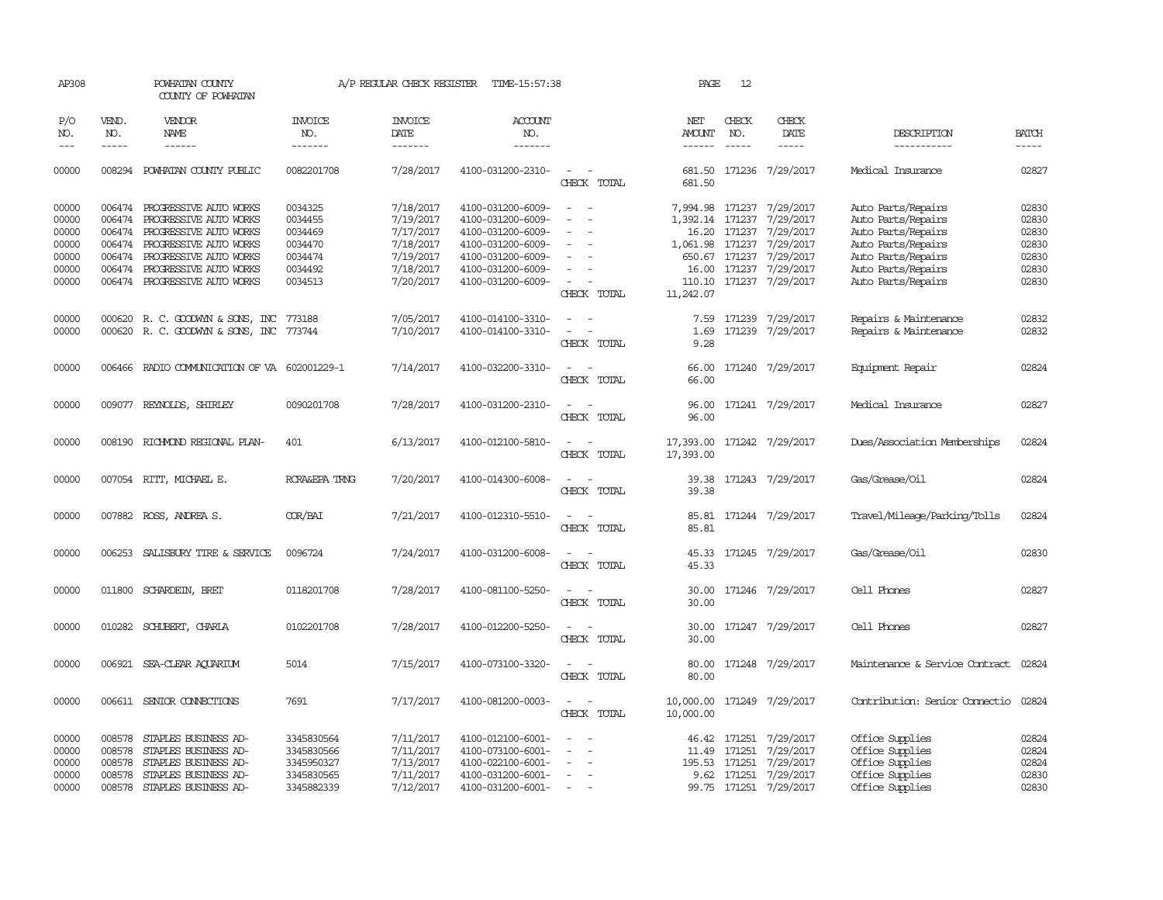| AP308                                                       |                                                | POWHATAN COUNTY<br>COUNTY OF POWHATAN                                                                                                                                                                                 |                                                                           | A/P REGULAR CHECK REGISTER                                                              | TIME-15:57:38                                                                                                                                   |                                                                                                                                                               | PAGE                                    | 12                                      |                                                                                                                                       |                                                                                                                                                        |                                                             |
|-------------------------------------------------------------|------------------------------------------------|-----------------------------------------------------------------------------------------------------------------------------------------------------------------------------------------------------------------------|---------------------------------------------------------------------------|-----------------------------------------------------------------------------------------|-------------------------------------------------------------------------------------------------------------------------------------------------|---------------------------------------------------------------------------------------------------------------------------------------------------------------|-----------------------------------------|-----------------------------------------|---------------------------------------------------------------------------------------------------------------------------------------|--------------------------------------------------------------------------------------------------------------------------------------------------------|-------------------------------------------------------------|
| P/O<br>NO.<br>$---$                                         | VEND.<br>NO.<br>$\frac{1}{2}$                  | <b>VENDOR</b><br>NAME<br>$- - - - - -$                                                                                                                                                                                | <b>INVOICE</b><br>NO.<br>-------                                          | <b>INVOICE</b><br>DATE<br>-------                                                       | ACCOUNT<br>NO.<br>-------                                                                                                                       |                                                                                                                                                               | NET<br><b>AMOUNT</b><br>$- - - - - -$   | CHECK<br>NO.<br>$\frac{1}{2}$           | CHECK<br>DATE<br>$- - - - -$                                                                                                          | DESCRIPTION<br>-----------                                                                                                                             | <b>BATCH</b><br>$- - - - -$                                 |
| 00000                                                       | 008294                                         | POWHATAN COUNTY PUBLIC                                                                                                                                                                                                | 0082201708                                                                | 7/28/2017                                                                               | 4100-031200-2310-                                                                                                                               | $\sim$ $ \sim$<br>CHECK TOTAL                                                                                                                                 | 681.50                                  |                                         | 681.50 171236 7/29/2017                                                                                                               | Medical Insurance                                                                                                                                      | 02827                                                       |
| 00000<br>00000<br>00000<br>00000<br>00000<br>00000<br>00000 | 006474<br>006474                               | 006474 PROGRESSIVE AUTO WORKS<br>PROGRESSIVE AUTO WORKS<br>PROGRESSIVE AUTO WORKS<br>006474 PROGRESSIVE AUTO WORKS<br>006474 PROGRESSIVE AUTO WORKS<br>006474 PROGRESSIVE AUTO WORKS<br>006474 PROGRESSIVE AUTO WORKS | 0034325<br>0034455<br>0034469<br>0034470<br>0034474<br>0034492<br>0034513 | 7/18/2017<br>7/19/2017<br>7/17/2017<br>7/18/2017<br>7/19/2017<br>7/18/2017<br>7/20/2017 | 4100-031200-6009-<br>4100-031200-6009-<br>4100-031200-6009-<br>4100-031200-6009-<br>4100-031200-6009-<br>4100-031200-6009-<br>4100-031200-6009- | $\sim$<br>$\sim$<br>$\equiv$<br>$\sim$<br>$\overline{\phantom{a}}$<br>$\overline{\phantom{a}}$<br>$\overline{\phantom{a}}$<br>$\sim$<br>$\sim$<br>CHECK TOTAL | 1,392.14 171237<br>16.00<br>11,242.07   | 16.20 171237<br>650.67 171237<br>171237 | 7,994.98 171237 7/29/2017<br>7/29/2017<br>7/29/2017<br>1,061.98 171237 7/29/2017<br>7/29/2017<br>7/29/2017<br>110.10 171237 7/29/2017 | Auto Parts/Repairs<br>Auto Parts/Repairs<br>Auto Parts/Repairs<br>Auto Parts/Repairs<br>Auto Parts/Repairs<br>Auto Parts/Repairs<br>Auto Parts/Repairs | 02830<br>02830<br>02830<br>02830<br>02830<br>02830<br>02830 |
| 00000<br>00000                                              |                                                | 000620 R. C. GOODWYN & SONS, INC<br>000620 R. C. GOODWYN & SONS, INC                                                                                                                                                  | 773188<br>773744                                                          | 7/05/2017<br>7/10/2017                                                                  | 4100-014100-3310-<br>4100-014100-3310-                                                                                                          | $\overline{\phantom{a}}$<br>$\overline{\phantom{a}}$<br>$\sim$<br>$\sim$<br>CHECK TOTAL                                                                       | 7.59<br>1.69<br>9.28                    | 171239                                  | 7/29/2017<br>171239 7/29/2017                                                                                                         | Repairs & Maintenance<br>Repairs & Maintenance                                                                                                         | 02832<br>02832                                              |
| 00000                                                       |                                                | 006466 RADIO COMMUNICATION OF VA 602001229-1                                                                                                                                                                          |                                                                           | 7/14/2017                                                                               | 4100-032200-3310-                                                                                                                               | $\omega_{\rm{max}}$ and $\omega_{\rm{max}}$<br>CHECK TOTAL                                                                                                    | 66.00<br>66.00                          |                                         | 171240 7/29/2017                                                                                                                      | Equipment Repair                                                                                                                                       | 02824                                                       |
| 00000                                                       |                                                | 009077 REYNOLDS, SHIRLEY                                                                                                                                                                                              | 0090201708                                                                | 7/28/2017                                                                               | 4100-031200-2310-                                                                                                                               | $\sim$<br>$\sim$<br>CHECK TOTAL                                                                                                                               | 96.00                                   |                                         | 96.00 171241 7/29/2017                                                                                                                | Medical Insurance                                                                                                                                      | 02827                                                       |
| 00000                                                       |                                                | 008190 RICHMOND REGIONAL PLAN-                                                                                                                                                                                        | 401                                                                       | 6/13/2017                                                                               | 4100-012100-5810-                                                                                                                               | CHECK TOTAL                                                                                                                                                   | 17,393.00 171242 7/29/2017<br>17,393.00 |                                         |                                                                                                                                       | Dues/Association Memberships                                                                                                                           | 02824                                                       |
| 00000                                                       |                                                | 007054 RITT, MICHAEL E.                                                                                                                                                                                               | RCRA&EPA TRNG                                                             | 7/20/2017                                                                               | 4100-014300-6008-                                                                                                                               | CHECK TOTAL                                                                                                                                                   | 39.38<br>39.38                          |                                         | 171243 7/29/2017                                                                                                                      | Gas/Grease/Oil                                                                                                                                         | 02824                                                       |
| 00000                                                       |                                                | 007882 ROSS, ANDREA S.                                                                                                                                                                                                | COR/BAI                                                                   | 7/21/2017                                                                               | 4100-012310-5510-                                                                                                                               | $\sim$<br>$\overline{\phantom{a}}$<br>CHECK TOTAL                                                                                                             | 85.81<br>85.81                          |                                         | 171244 7/29/2017                                                                                                                      | Travel/Mileage/Parking/Tolls                                                                                                                           | 02824                                                       |
| 00000                                                       |                                                | 006253 SALISBURY TIRE & SERVICE                                                                                                                                                                                       | 0096724                                                                   | 7/24/2017                                                                               | 4100-031200-6008-                                                                                                                               | $\equiv$<br>$\sim$<br>CHECK TOTAL                                                                                                                             | 45.33                                   |                                         | 45.33 171245 7/29/2017                                                                                                                | Gas/Grease/Oil                                                                                                                                         | 02830                                                       |
| 00000                                                       |                                                | 011800 SCHARDEIN, BRET                                                                                                                                                                                                | 0118201708                                                                | 7/28/2017                                                                               | 4100-081100-5250-                                                                                                                               | CHECK TOTAL                                                                                                                                                   | 30.00                                   |                                         | 30.00 171246 7/29/2017                                                                                                                | Cell Phones                                                                                                                                            | 02827                                                       |
| 00000                                                       |                                                | 010282 SCHUBERT, CHARLA                                                                                                                                                                                               | 0102201708                                                                | 7/28/2017                                                                               | 4100-012200-5250-                                                                                                                               | $\sim$<br>$\sim$<br>CHECK TOTAL                                                                                                                               | 30.00                                   |                                         | 30.00 171247 7/29/2017                                                                                                                | Cell Phones                                                                                                                                            | 02827                                                       |
| 00000                                                       |                                                | 006921 SEA-CLEAR AQUARIUM                                                                                                                                                                                             | 5014                                                                      | 7/15/2017                                                                               | 4100-073100-3320-                                                                                                                               | $\sim$<br>CHECK TOTAL                                                                                                                                         | 80.00                                   |                                         | 80.00 171248 7/29/2017                                                                                                                | Maintenance & Service Contract 02824                                                                                                                   |                                                             |
| 00000                                                       |                                                | 006611 SENIOR CONNECTIONS                                                                                                                                                                                             | 7691                                                                      | 7/17/2017                                                                               | 4100-081200-0003-                                                                                                                               | $\sim$<br>$\sim$<br>CHECK TOTAL                                                                                                                               | 10,000.00                               |                                         | 10,000.00 171249 7/29/2017                                                                                                            | Contribution: Senior Connectio                                                                                                                         | 02824                                                       |
| 00000<br>00000<br>00000<br>00000<br>00000                   | 008578<br>008578<br>008578<br>008578<br>008578 | STAPLES BUSINESS AD-<br>STAPLES BUSINESS AD-<br>STAPLES BUSINESS AD-<br>STAPLES BUSINESS AD-<br>STAPLES BUSINESS AD-                                                                                                  | 3345830564<br>3345830566<br>3345950327<br>3345830565<br>3345882339        | 7/11/2017<br>7/11/2017<br>7/13/2017<br>7/11/2017<br>7/12/2017                           | 4100-012100-6001-<br>4100-073100-6001-<br>4100-022100-6001-<br>4100-031200-6001-<br>4100-031200-6001-                                           | $\sim$<br>$\sim$<br>$\sim$<br>$\overline{a}$                                                                                                                  | 11.49                                   | 171251<br>195.53 171251                 | 46.42 171251 7/29/2017<br>7/29/2017<br>7/29/2017<br>9.62 171251 7/29/2017<br>99.75 171251 7/29/2017                                   | Office Supplies<br>Office Supplies<br>Office Supplies<br>Office Supplies<br>Office Supplies                                                            | 02824<br>02824<br>02824<br>02830<br>02830                   |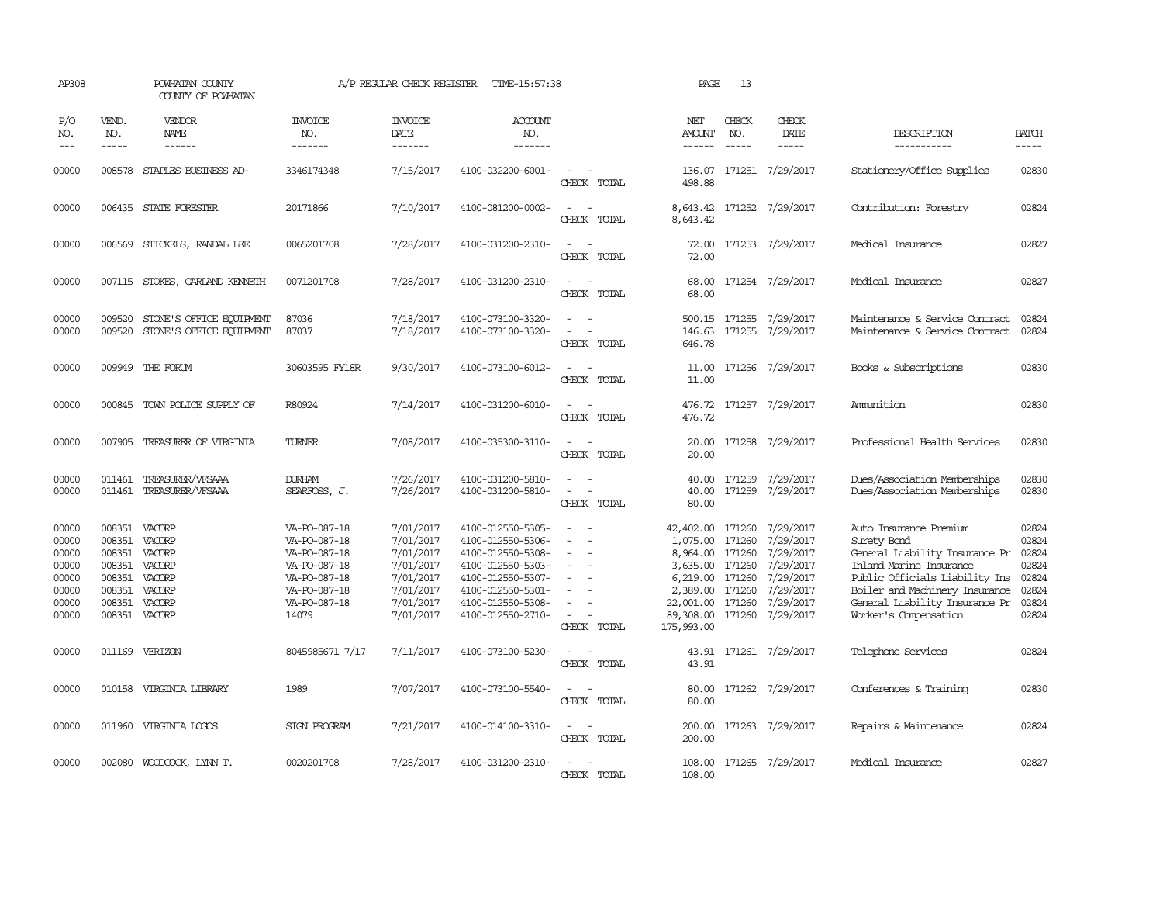| AP308                                                                |                                                                    | POWHATAN COUNTY<br>COUNTY OF POWHATAN                                               |                                                                                                                       | A/P REGULAR CHECK REGISTER                                                                           | TIME-15:57:38                                                                                                                                                        |                                                   | PAGE                                                                                                          | 13                                                                 |                                                                                                             |                                                                                                                                                                                                                                   |                                                                      |
|----------------------------------------------------------------------|--------------------------------------------------------------------|-------------------------------------------------------------------------------------|-----------------------------------------------------------------------------------------------------------------------|------------------------------------------------------------------------------------------------------|----------------------------------------------------------------------------------------------------------------------------------------------------------------------|---------------------------------------------------|---------------------------------------------------------------------------------------------------------------|--------------------------------------------------------------------|-------------------------------------------------------------------------------------------------------------|-----------------------------------------------------------------------------------------------------------------------------------------------------------------------------------------------------------------------------------|----------------------------------------------------------------------|
| P/O<br>NO.<br>$---$                                                  | VEND.<br>NO.<br>$\frac{1}{2}$                                      | VENDOR<br><b>NAME</b><br>$- - - - - -$                                              | <b>INVOICE</b><br>NO.<br>-------                                                                                      | <b>INVOICE</b><br>DATE<br>-------                                                                    | <b>ACCOUNT</b><br>NO.<br>-------                                                                                                                                     |                                                   | NET<br>AMOUNT<br>$- - - - - -$                                                                                | CHECK<br>NO.<br>$\frac{1}{2}$                                      | CHECK<br>DATE<br>$- - - - -$                                                                                | DESCRIPTION<br>-----------                                                                                                                                                                                                        | <b>BATCH</b><br>-----                                                |
| 00000                                                                | 008578                                                             | STAPLES BUSINESS AD-                                                                | 3346174348                                                                                                            | 7/15/2017                                                                                            | 4100-032200-6001-                                                                                                                                                    | CHECK TOTAL                                       | 136.07<br>498.88                                                                                              |                                                                    | 171251 7/29/2017                                                                                            | Stationery/Office Supplies                                                                                                                                                                                                        | 02830                                                                |
| 00000                                                                |                                                                    | 006435 STATE FORESTER                                                               | 20171866                                                                                                              | 7/10/2017                                                                                            | 4100-081200-0002-                                                                                                                                                    | CHECK TOTAL                                       | 8,643.42<br>8,643.42                                                                                          |                                                                    | 171252 7/29/2017                                                                                            | Contribution: Forestry                                                                                                                                                                                                            | 02824                                                                |
| 00000                                                                | 006569                                                             | STICKELS, RANDAL LEE                                                                | 0065201708                                                                                                            | 7/28/2017                                                                                            | 4100-031200-2310-                                                                                                                                                    | CHECK TOTAL                                       | 72.00<br>72.00                                                                                                |                                                                    | 171253 7/29/2017                                                                                            | Medical Insurance                                                                                                                                                                                                                 | 02827                                                                |
| 00000                                                                |                                                                    | 007115 STOKES, GARLAND KENNETH                                                      | 0071201708                                                                                                            | 7/28/2017                                                                                            | 4100-031200-2310-                                                                                                                                                    | CHECK TOTAL                                       | 68.00<br>68.00                                                                                                |                                                                    | 171254 7/29/2017                                                                                            | Medical Insurance                                                                                                                                                                                                                 | 02827                                                                |
| 00000<br>00000                                                       | 009520<br>009520                                                   | STONE'S OFFICE EQUIPMENT<br>STONE'S OFFICE EQUIPMENT                                | 87036<br>87037                                                                                                        | 7/18/2017<br>7/18/2017                                                                               | 4100-073100-3320-<br>4100-073100-3320-                                                                                                                               | . —<br>$\equiv$<br>CHECK TOTAL                    | 146.63<br>646.78                                                                                              |                                                                    | 500.15 171255 7/29/2017<br>171255 7/29/2017                                                                 | Maintenance & Service Contract<br>Maintenance & Service Contract                                                                                                                                                                  | 02824<br>02824                                                       |
| 00000                                                                | 009949                                                             | THE FORUM                                                                           | 30603595 FY18R                                                                                                        | 9/30/2017                                                                                            | 4100-073100-6012-                                                                                                                                                    | CHECK TOTAL                                       | 11.00<br>11.00                                                                                                |                                                                    | 171256 7/29/2017                                                                                            | Books & Subscriptions                                                                                                                                                                                                             | 02830                                                                |
| 00000                                                                | 000845                                                             | TOWN POLICE SUPPLY OF                                                               | R80924                                                                                                                | 7/14/2017                                                                                            | 4100-031200-6010-                                                                                                                                                    | $\sim$<br>CHECK TOTAL                             | 476.72<br>476.72                                                                                              |                                                                    | 171257 7/29/2017                                                                                            | Ammition                                                                                                                                                                                                                          | 02830                                                                |
| 00000                                                                | 007905                                                             | TREASURER OF VIRGINIA                                                               | TURNER                                                                                                                | 7/08/2017                                                                                            | 4100-035300-3110-                                                                                                                                                    | $\overline{\phantom{a}}$<br>CHECK TOTAL           | 20.00<br>20.00                                                                                                |                                                                    | 171258 7/29/2017                                                                                            | Professional Health Services                                                                                                                                                                                                      | 02830                                                                |
| 00000<br>00000                                                       | 011461<br>011461                                                   | TREASURER/VFSAAA<br>TREASURER/VFSAAA                                                | <b>DURHAM</b><br>SEARFOSS, J.                                                                                         | 7/26/2017<br>7/26/2017                                                                               | 4100-031200-5810-<br>4100-031200-5810-                                                                                                                               | CHECK TOTAL                                       | 40.00<br>40.00<br>80.00                                                                                       | 171259<br>171259                                                   | 7/29/2017<br>7/29/2017                                                                                      | Dues/Association Memberships<br>Dues/Association Memberships                                                                                                                                                                      | 02830<br>02830                                                       |
| 00000<br>00000<br>00000<br>00000<br>00000<br>00000<br>00000<br>00000 | 008351<br>008351<br>008351<br>008351<br>008351<br>008351<br>008351 | VACORP<br>VACORP<br>VACORP<br>VACORP<br>VACORP<br>VACORP<br>VACORP<br>008351 VACORP | VA-PO-087-18<br>VA-PO-087-18<br>VA-PO-087-18<br>VA-PO-087-18<br>VA-PO-087-18<br>VA-PO-087-18<br>VA-PO-087-18<br>14079 | 7/01/2017<br>7/01/2017<br>7/01/2017<br>7/01/2017<br>7/01/2017<br>7/01/2017<br>7/01/2017<br>7/01/2017 | 4100-012550-5305-<br>4100-012550-5306-<br>4100-012550-5308-<br>4100-012550-5303-<br>4100-012550-5307-<br>4100-012550-5301-<br>4100-012550-5308-<br>4100-012550-2710- | $\sim$<br>$\overline{\phantom{a}}$<br>CHECK TOTAL | 42,402.00<br>1,075.00<br>8,964.00<br>3,635.00<br>6,219.00<br>2,389.00<br>22,001.00<br>89,308.00<br>175,993.00 | 171260<br>171260<br>171260<br>171260<br>171260<br>171260<br>171260 | 7/29/2017<br>7/29/2017<br>7/29/2017<br>7/29/2017<br>7/29/2017<br>7/29/2017<br>7/29/2017<br>171260 7/29/2017 | Auto Insurance Premium<br>Surety Band<br>General Liability Insurance Pr<br>Inland Marine Insurance<br>Public Officials Liability Ins<br>Boiler and Machinery Insurance<br>General Liability Insurance Pr<br>Worker's Compensation | 02824<br>02824<br>02824<br>02824<br>02824<br>02824<br>02824<br>02824 |
| 00000                                                                |                                                                    | 011169 VERIZON                                                                      | 8045985671 7/17                                                                                                       | 7/11/2017                                                                                            | 4100-073100-5230-                                                                                                                                                    | CHECK TOTAL                                       | 43.91                                                                                                         |                                                                    | 43.91 171261 7/29/2017                                                                                      | Telephone Services                                                                                                                                                                                                                | 02824                                                                |
| 00000                                                                |                                                                    | 010158 VIRGINIA LIBRARY                                                             | 1989                                                                                                                  | 7/07/2017                                                                                            | 4100-073100-5540-                                                                                                                                                    | CHECK TOTAL                                       | 80.00<br>80.00                                                                                                |                                                                    | 171262 7/29/2017                                                                                            | Conferences & Training                                                                                                                                                                                                            | 02830                                                                |
| 00000                                                                |                                                                    | 011960 VIRGINIA LOGOS                                                               | SIGN PROGRAM                                                                                                          | 7/21/2017                                                                                            | 4100-014100-3310-                                                                                                                                                    | CHECK TOTAL                                       | 200.00<br>200.00                                                                                              |                                                                    | 171263 7/29/2017                                                                                            | Repairs & Maintenance                                                                                                                                                                                                             | 02824                                                                |
| 00000                                                                | 002080                                                             | WOODCOCK, LYNN T.                                                                   | 0020201708                                                                                                            | 7/28/2017                                                                                            | 4100-031200-2310-                                                                                                                                                    | CHECK TOTAL                                       | 108.00<br>108.00                                                                                              |                                                                    | 171265 7/29/2017                                                                                            | Medical Insurance                                                                                                                                                                                                                 | 02827                                                                |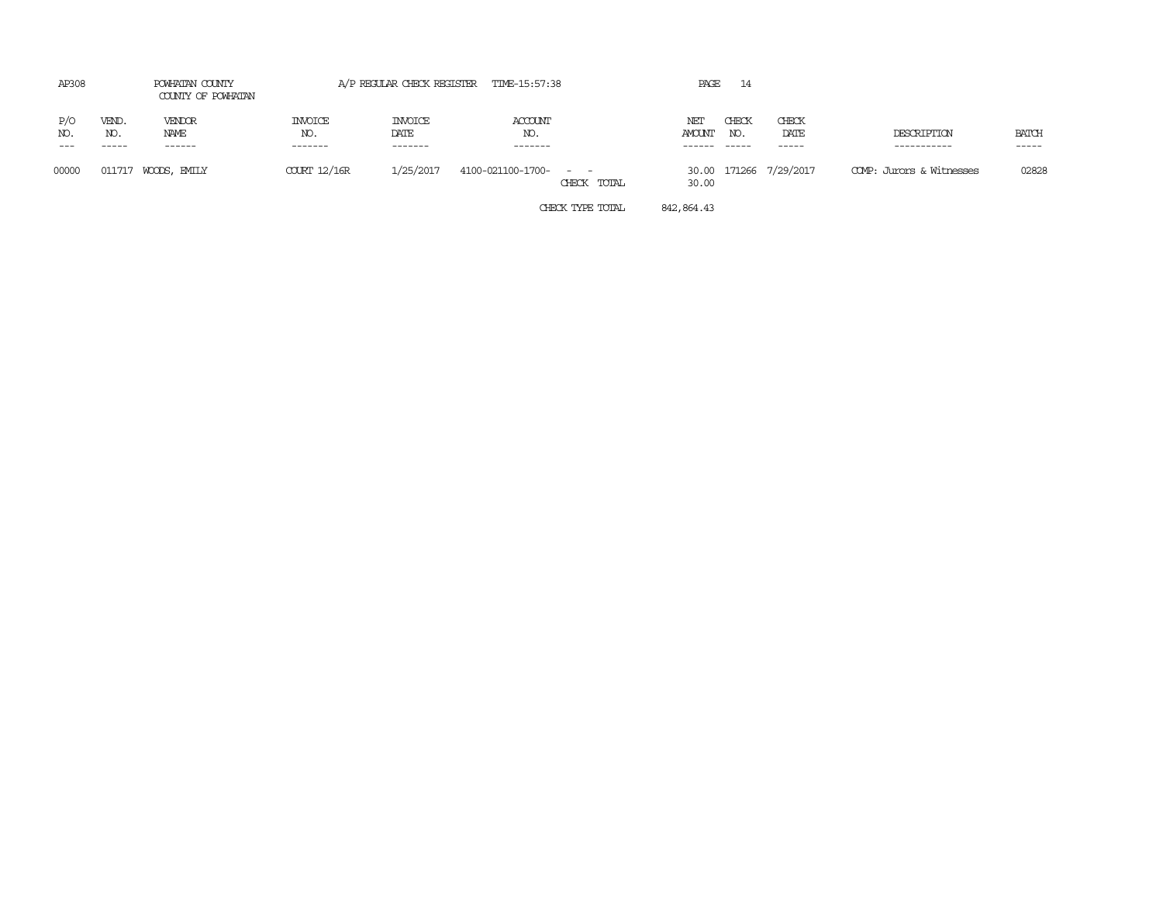| AP308      |                       | POWHATAN COUNTY<br>COUNTY OF POWHATAN |                           |                                   | A/P REGULAR CHECK REGISTER TIME-15:57:38 |             | PAGE                    | 14                     |                        |                            |                        |
|------------|-----------------------|---------------------------------------|---------------------------|-----------------------------------|------------------------------------------|-------------|-------------------------|------------------------|------------------------|----------------------------|------------------------|
| P/O<br>NO. | VEND.<br>NO.<br>----- | VENDOR<br>NAME<br>------              | INVOICE<br>NO.<br>------- | <b>INVOICE</b><br>DATE<br>------- | ACCOUNT<br>NO.<br>-------                |             | ΝEΙ<br>AMOUNT<br>------ | CHECK<br>NO.<br>------ | CHECK<br>DATE<br>----- | DESCRIPTION<br>----------- | <b>BATCH</b><br>------ |
| 00000      | 011717                | WOODS, EMILY                          | $C\text{URT}12/16R$       | 1/25/2017                         | 4100-021100-1700- - -                    | CHECK TOTAL | 30.00                   |                        | 30.00 171266 7/29/2017 | COMP: Jurors & Witnesses   | 02828                  |

CHECK TYPE TOTAL 842,864.43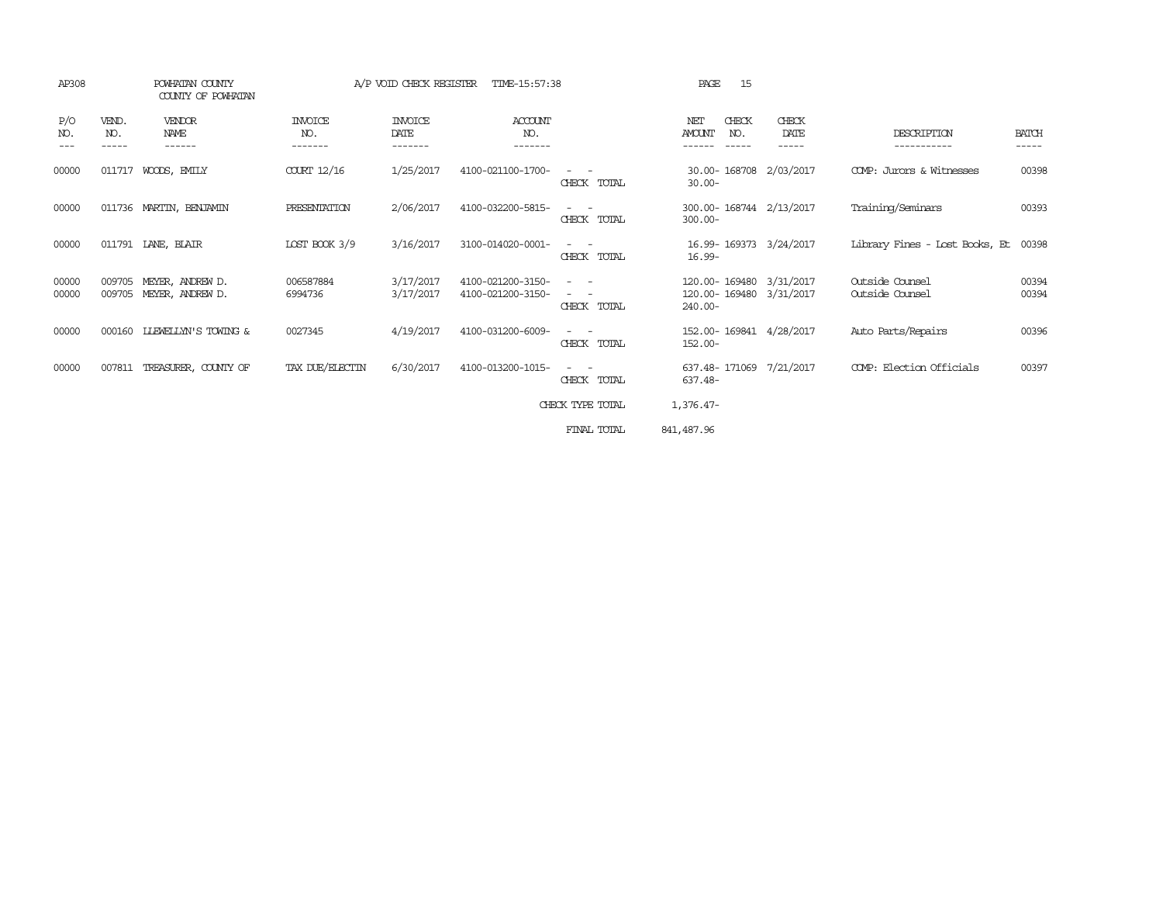| AP308             |                       | POWHATAN COUNTY<br>COUNTY OF POWHATAN |                                  | A/P VOID CHECK REGISTER           | TIME-15:57:38                          |                                                                                                                                                                                                                                                                       | 15<br>PAGE                                                    |                        |                                    |                       |
|-------------------|-----------------------|---------------------------------------|----------------------------------|-----------------------------------|----------------------------------------|-----------------------------------------------------------------------------------------------------------------------------------------------------------------------------------------------------------------------------------------------------------------------|---------------------------------------------------------------|------------------------|------------------------------------|-----------------------|
| P/O<br>NO.<br>--- | VEND.<br>NO.<br>----- | <b>VENDOR</b><br>NAME<br>------       | <b>INVOICE</b><br>NO.<br>------- | <b>INVOICE</b><br>DATE<br>------- | <b>ACCOUNT</b><br>NO.<br>-------       |                                                                                                                                                                                                                                                                       | CHECK<br>NET<br><b>AMOUNT</b><br>NO.<br>------<br>$- - - - -$ | CHECK<br>DATE<br>----- | DESCRIPTION<br>-----------         | <b>BATCH</b><br>----- |
| 00000             | 011717                | WOODS, EMILY                          | COURT 12/16                      | 1/25/2017                         | 4100-021100-1700-                      | CHECK TOTAL                                                                                                                                                                                                                                                           | 30.00-168708<br>$30.00 -$                                     | 2/03/2017              | COMP: Jurors & Witnesses           | 00398                 |
| 00000             |                       | 011736 MARTIN, BENJAMIN               | PRESENTATION                     | 2/06/2017                         | 4100-032200-5815-                      | $\frac{1}{2} \left( \frac{1}{2} \right) \left( \frac{1}{2} \right) \left( \frac{1}{2} \right) \left( \frac{1}{2} \right)$<br>CHECK TOTAL                                                                                                                              | 300.00-168744 2/13/2017<br>$300.00 -$                         |                        | Training/Seminars                  | 00393                 |
| 00000             |                       | 011791 LANE, BLAIR                    | LOST BOOK 3/9                    | 3/16/2017                         | 3100-014020-0001-                      | $\frac{1}{2} \left( \frac{1}{2} \right) \left( \frac{1}{2} \right) = \frac{1}{2} \left( \frac{1}{2} \right)$<br>CHECK TOTAL                                                                                                                                           | 16.99-169373 3/24/2017<br>$16.99 -$                           |                        | Library Fines - Lost Books, Et     | 00398                 |
| 00000<br>00000    | 009705<br>009705      | MEYER, ANDREW D.<br>MEYER, ANDREW D.  | 006587884<br>6994736             | 3/17/2017<br>3/17/2017            | 4100-021200-3150-<br>4100-021200-3150- | $\frac{1}{2} \left( \frac{1}{2} \right) \left( \frac{1}{2} \right) \left( \frac{1}{2} \right) \left( \frac{1}{2} \right)$<br>$\frac{1}{2} \left( \frac{1}{2} \right) \left( \frac{1}{2} \right) \left( \frac{1}{2} \right) \left( \frac{1}{2} \right)$<br>CHECK TOTAL | 120.00-169480 3/31/2017<br>120.00-169480 3/31/2017<br>240.00- |                        | Outside Counsel<br>Outside Counsel | 00394<br>00394        |
| 00000             | 000160                | LLEWELLYN'S TOWING &                  | 0027345                          | 4/19/2017                         | 4100-031200-6009-                      | $\frac{1}{2} \left( \frac{1}{2} \right) \left( \frac{1}{2} \right) = \frac{1}{2} \left( \frac{1}{2} \right)$<br>CHECK TOTAL                                                                                                                                           | 152.00-169841 4/28/2017<br>$152.00 -$                         |                        | Auto Parts/Repairs                 | 00396                 |
| 00000             | 007811                | TREASURER, COUNTY OF                  | TAX DUE/ELECTIN                  | 6/30/2017                         | 4100-013200-1015-                      | $\frac{1}{2} \left( \frac{1}{2} \right) \left( \frac{1}{2} \right) = \frac{1}{2} \left( \frac{1}{2} \right)$<br>CHECK TOTAL                                                                                                                                           | 637.48-171069 7/21/2017<br>637.48-                            |                        | COMP: Election Officials           | 00397                 |
|                   |                       |                                       |                                  |                                   |                                        | CHECK TYPE TOTAL                                                                                                                                                                                                                                                      | 1,376.47-                                                     |                        |                                    |                       |
|                   |                       |                                       |                                  |                                   |                                        | FINAL TOTAL                                                                                                                                                                                                                                                           | 841, 487.96                                                   |                        |                                    |                       |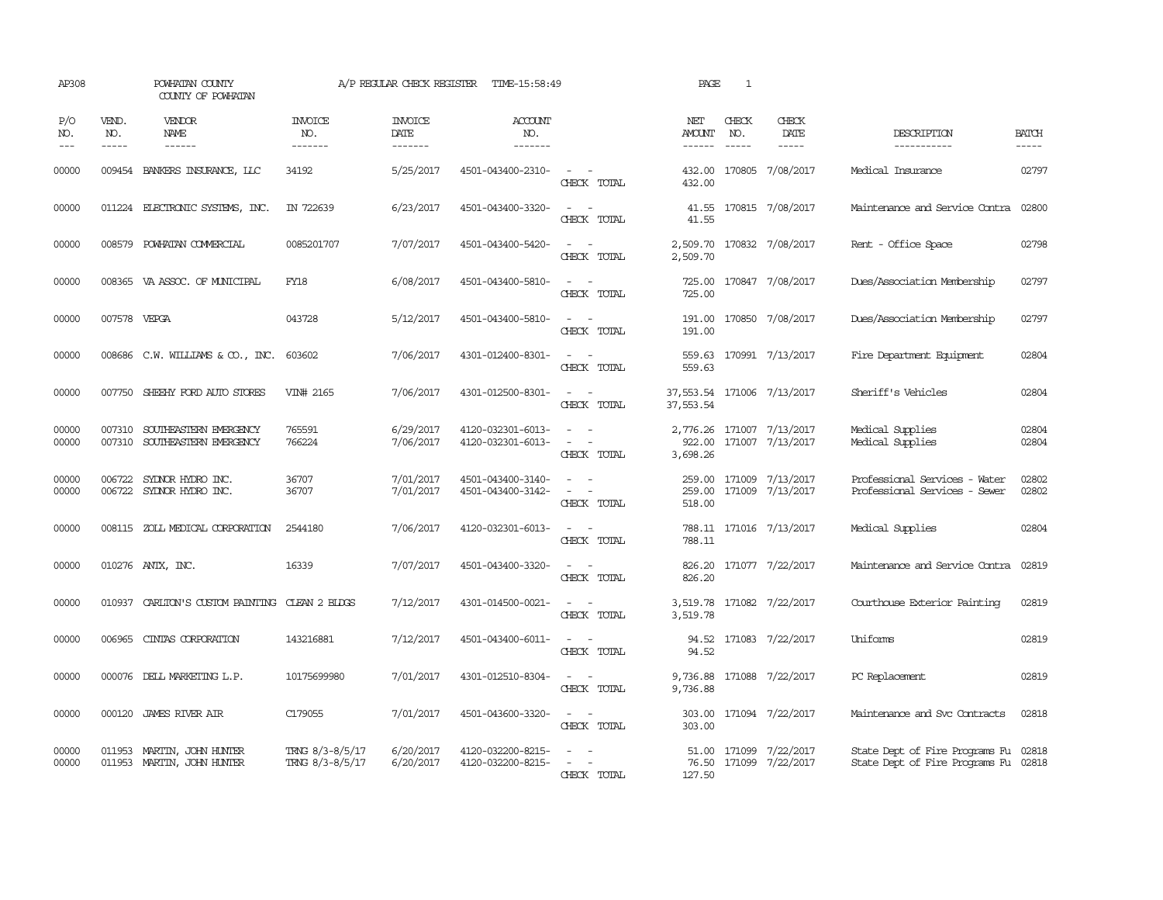| AP308                                                                                                                                                                                                                                                                                                                                                                                                      |                               | POWHATAN COUNTY<br>COUNTY OF POWHATAN                          |                                    | A/P REGULAR CHECK REGISTER        | TIME-15:58:49                            |                                                                                                                                                         | PAGE                    | $\mathbf{1}$                  |                                                  |                                                                              |                       |
|------------------------------------------------------------------------------------------------------------------------------------------------------------------------------------------------------------------------------------------------------------------------------------------------------------------------------------------------------------------------------------------------------------|-------------------------------|----------------------------------------------------------------|------------------------------------|-----------------------------------|------------------------------------------|---------------------------------------------------------------------------------------------------------------------------------------------------------|-------------------------|-------------------------------|--------------------------------------------------|------------------------------------------------------------------------------|-----------------------|
| P/O<br>NO.<br>$\frac{1}{2} \frac{1}{2} \frac{1}{2} \frac{1}{2} \frac{1}{2} \frac{1}{2} \frac{1}{2} \frac{1}{2} \frac{1}{2} \frac{1}{2} \frac{1}{2} \frac{1}{2} \frac{1}{2} \frac{1}{2} \frac{1}{2} \frac{1}{2} \frac{1}{2} \frac{1}{2} \frac{1}{2} \frac{1}{2} \frac{1}{2} \frac{1}{2} \frac{1}{2} \frac{1}{2} \frac{1}{2} \frac{1}{2} \frac{1}{2} \frac{1}{2} \frac{1}{2} \frac{1}{2} \frac{1}{2} \frac{$ | VEND.<br>NO.<br>$\frac{1}{2}$ | VENDOR<br><b>NAME</b><br>$- - - - - -$                         | <b>INVOICE</b><br>NO.<br>-------   | <b>INVOICE</b><br>DATE<br>------- | <b>ACCOUNT</b><br>NO.<br>$- - - - - - -$ |                                                                                                                                                         | NET<br>AMOUNT<br>------ | CHECK<br>NO.<br>$\frac{1}{2}$ | CHECK<br>DATE                                    | DESCRIPTION<br>-----------                                                   | <b>BATCH</b><br>----- |
| 00000                                                                                                                                                                                                                                                                                                                                                                                                      |                               | 009454 BANKERS INSURANCE, LLC                                  | 34192                              | 5/25/2017                         | 4501-043400-2310-                        | CHECK TOTAL                                                                                                                                             | 432.00                  |                               | 432.00 170805 7/08/2017                          | Medical Insurance                                                            | 02797                 |
| 00000                                                                                                                                                                                                                                                                                                                                                                                                      |                               | 011224 ELECTRONIC SYSTEMS, INC.                                | IN 722639                          | 6/23/2017                         | 4501-043400-3320-                        | $\overline{\phantom{a}}$<br>CHECK TOTAL                                                                                                                 | 41.55<br>41.55          |                               | 170815 7/08/2017                                 | Maintenance and Service Contra                                               | 02800                 |
| 00000                                                                                                                                                                                                                                                                                                                                                                                                      | 008579                        | POWHATAN COMMERCIAL                                            | 0085201707                         | 7/07/2017                         | 4501-043400-5420-                        | CHECK TOTAL                                                                                                                                             | 2,509.70<br>2,509.70    |                               | 170832 7/08/2017                                 | Rent - Office Space                                                          | 02798                 |
| 00000                                                                                                                                                                                                                                                                                                                                                                                                      |                               | 008365 VA ASSOC. OF MUNICIPAL                                  | FY18                               | 6/08/2017                         | 4501-043400-5810-                        | $\sim$<br>CHECK TOTAL                                                                                                                                   | 725.00<br>725.00        |                               | 170847 7/08/2017                                 | Dues/Association Membership                                                  | 02797                 |
| 00000                                                                                                                                                                                                                                                                                                                                                                                                      | 007578 VEPGA                  |                                                                | 043728                             | 5/12/2017                         | 4501-043400-5810-                        | $\sim$<br>CHECK TOTAL                                                                                                                                   | 191.00<br>191.00        |                               | 170850 7/08/2017                                 | Dues/Association Membership                                                  | 02797                 |
| 00000                                                                                                                                                                                                                                                                                                                                                                                                      |                               | 008686 C.W. WILLIAMS & CO., INC.                               | 603602                             | 7/06/2017                         | 4301-012400-8301-                        | $\overline{\phantom{a}}$<br>CHECK TOTAL                                                                                                                 | 559.63<br>559.63        |                               | 170991 7/13/2017                                 | Fire Department Equipment                                                    | 02804                 |
| 00000                                                                                                                                                                                                                                                                                                                                                                                                      |                               | 007750 SHEEHY FORD AUTO STORES                                 | VIN# 2165                          | 7/06/2017                         | 4301-012500-8301-                        | $\frac{1}{2} \left( \frac{1}{2} \right) \left( \frac{1}{2} \right) = \frac{1}{2} \left( \frac{1}{2} \right)$<br>CHECK TOTAL                             | 37,553.54               |                               | 37,553.54 171006 7/13/2017                       | Sheriff's Vehicles                                                           | 02804                 |
| 00000<br>00000                                                                                                                                                                                                                                                                                                                                                                                             |                               | 007310 SOUTHEASTERN EMERGENCY<br>007310 SOUTHEASTERN EMERGENCY | 765591<br>766224                   | 6/29/2017<br>7/06/2017            | 4120-032301-6013-<br>4120-032301-6013-   | $\frac{1}{2} \left( \frac{1}{2} \right) \left( \frac{1}{2} \right) = \frac{1}{2} \left( \frac{1}{2} \right)$<br>$\overline{\phantom{a}}$<br>CHECK TOTAL | 922.00<br>3,698.26      |                               | 2,776.26 171007 7/13/2017<br>171007 7/13/2017    | Medical Supplies<br>Medical Supplies                                         | 02804<br>02804        |
| 00000<br>00000                                                                                                                                                                                                                                                                                                                                                                                             | 006722                        | 006722 SYLNOR HYDRO INC.<br>SYLNOR HYDRO INC.                  | 36707<br>36707                     | 7/01/2017<br>7/01/2017            | 4501-043400-3140-<br>4501-043400-3142-   | $\sim$<br>CHECK TOTAL                                                                                                                                   | 259.00<br>518.00        |                               | 171009 7/13/2017<br>259.00 171009 7/13/2017      | Professional Services - Water<br>Professional Services - Sewer               | 02802<br>02802        |
| 00000                                                                                                                                                                                                                                                                                                                                                                                                      |                               | 008115 ZOLL MEDICAL CORPORATION                                | 2544180                            | 7/06/2017                         | 4120-032301-6013-                        | CHECK TOTAL                                                                                                                                             | 788.11                  |                               | 788.11 171016 7/13/2017                          | Medical Supplies                                                             | 02804                 |
| 00000                                                                                                                                                                                                                                                                                                                                                                                                      |                               | 010276 ANTX, INC.                                              | 16339                              | 7/07/2017                         | 4501-043400-3320-                        | CHECK TOTAL                                                                                                                                             | 826.20<br>826.20        |                               | 171077 7/22/2017                                 | Maintenance and Service Contra                                               | 02819                 |
| 00000                                                                                                                                                                                                                                                                                                                                                                                                      | 010937                        | CARLION'S CUSTOM PAINTING CLEAN 2 BLDGS                        |                                    | 7/12/2017                         | 4301-014500-0021-                        | $\overline{\phantom{a}}$<br>CHECK TOTAL                                                                                                                 | 3,519.78                |                               | 3,519.78 171082 7/22/2017                        | Courthouse Exterior Painting                                                 | 02819                 |
| 00000                                                                                                                                                                                                                                                                                                                                                                                                      | 006965                        | CINIAS CORPORATION                                             | 143216881                          | 7/12/2017                         | 4501-043400-6011-                        | CHECK TOTAL                                                                                                                                             | 94.52                   |                               | 94.52 171083 7/22/2017                           | Uniforms                                                                     | 02819                 |
| 00000                                                                                                                                                                                                                                                                                                                                                                                                      | 000076                        | DELL MARKETING L.P.                                            | 10175699980                        | 7/01/2017                         | 4301-012510-8304-                        | CHECK TOTAL                                                                                                                                             | 9,736.88<br>9,736.88    |                               | 171088 7/22/2017                                 | PC Replacement                                                               | 02819                 |
| 00000                                                                                                                                                                                                                                                                                                                                                                                                      | 000120                        | <b>JAMES RIVER AIR</b>                                         | C179055                            | 7/01/2017                         | 4501-043600-3320-                        | CHECK TOTAL                                                                                                                                             | 303.00<br>303.00        |                               | 171094 7/22/2017                                 | Maintenance and Svc Contracts                                                | 02818                 |
| 00000<br>00000                                                                                                                                                                                                                                                                                                                                                                                             | 011953                        | MARTIN, JOHN HUNTER<br>011953 MARTIN, JOHN HUNTER              | TRNG 8/3-8/5/17<br>TRNG 8/3-8/5/17 | 6/20/2017<br>6/20/2017            | 4120-032200-8215-<br>4120-032200-8215-   | ÷.<br>CHECK TOTAL                                                                                                                                       | 127.50                  |                               | 51.00 171099 7/22/2017<br>76.50 171099 7/22/2017 | State Dept of Fire Programs Fu 02818<br>State Dept of Fire Programs Fu 02818 |                       |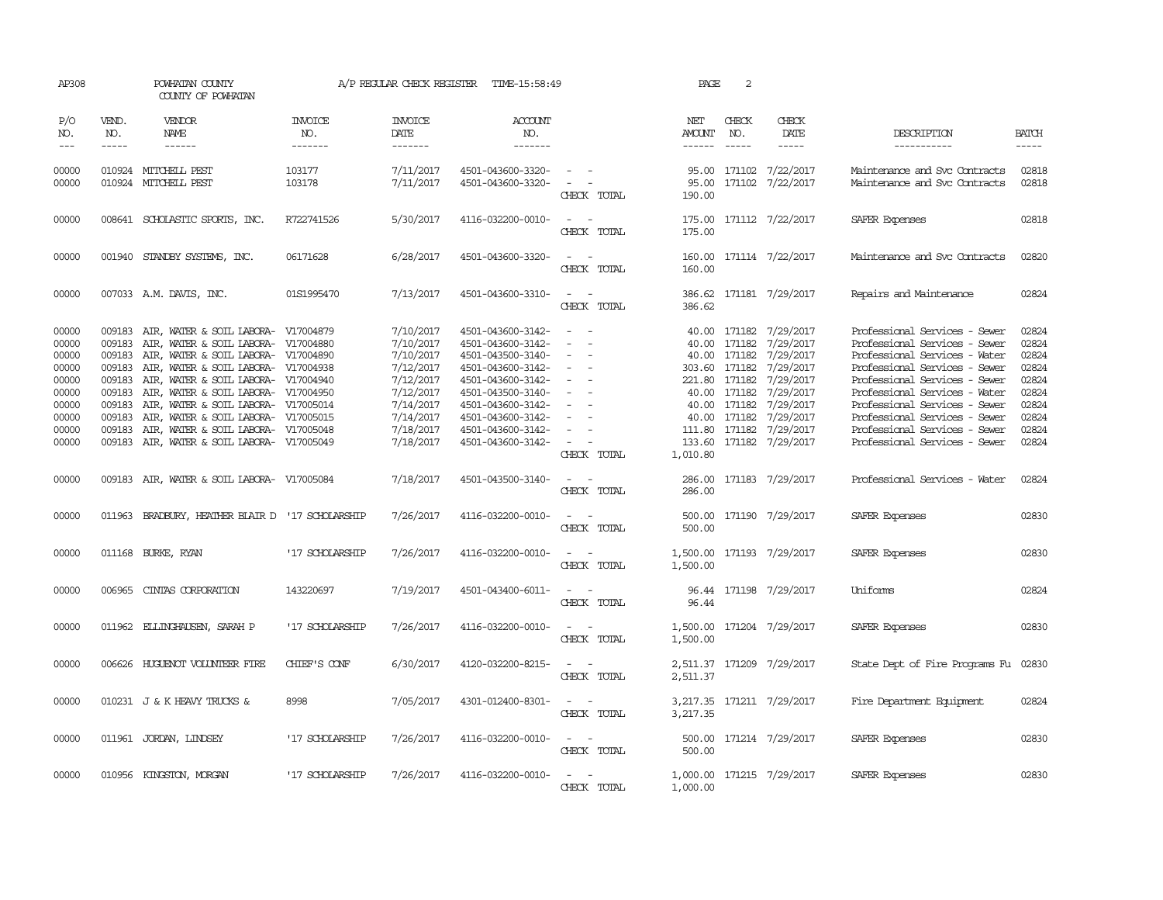| AP308                                                                                  |                                                                                        | POWHATAN COUNTY<br>COUNTY OF POWHATAN                                                                                                                                                                                                                                                                                                                                                                     |                                  | A/P REGULAR CHECK REGISTER                                                                                                     | TIME-15:58:49                                                                                                                                                                                                  |                                                                                                                                                                                     | PAGE                           | 2                             |                                                                                                                                                                                                                                                         |                                                                                                                                                                                                                                                                                                                                        |                                                                                        |
|----------------------------------------------------------------------------------------|----------------------------------------------------------------------------------------|-----------------------------------------------------------------------------------------------------------------------------------------------------------------------------------------------------------------------------------------------------------------------------------------------------------------------------------------------------------------------------------------------------------|----------------------------------|--------------------------------------------------------------------------------------------------------------------------------|----------------------------------------------------------------------------------------------------------------------------------------------------------------------------------------------------------------|-------------------------------------------------------------------------------------------------------------------------------------------------------------------------------------|--------------------------------|-------------------------------|---------------------------------------------------------------------------------------------------------------------------------------------------------------------------------------------------------------------------------------------------------|----------------------------------------------------------------------------------------------------------------------------------------------------------------------------------------------------------------------------------------------------------------------------------------------------------------------------------------|----------------------------------------------------------------------------------------|
| P/O<br>NO.<br>$---$                                                                    | VEND.<br>NO.<br>$- - - - -$                                                            | VENDOR<br>NAME<br>------                                                                                                                                                                                                                                                                                                                                                                                  | <b>INVOICE</b><br>NO.<br>------- | <b>INVOICE</b><br>DATE<br>$- - - - - - -$                                                                                      | <b>ACCOUNT</b><br>NO.<br>-------                                                                                                                                                                               |                                                                                                                                                                                     | NET<br>AMOUNT<br>$- - - - - -$ | CHECK<br>NO.<br>$\frac{1}{2}$ | CHECK<br>DATE                                                                                                                                                                                                                                           | DESCRIPTION<br>-----------                                                                                                                                                                                                                                                                                                             | <b>BATCH</b><br>-----                                                                  |
| 00000<br>00000                                                                         |                                                                                        | 010924 MITCHELL PEST<br>010924 MITCHELL PEST                                                                                                                                                                                                                                                                                                                                                              | 103177<br>103178                 | 7/11/2017<br>7/11/2017                                                                                                         | 4501-043600-3320-<br>4501-043600-3320-                                                                                                                                                                         | $\sim$ $ \sim$<br>$\sim$ $ \sim$<br>CHECK TOTAL                                                                                                                                     | 190.00                         |                               | 95.00 171102 7/22/2017<br>95.00 171102 7/22/2017                                                                                                                                                                                                        | Maintenance and Svc Contracts<br>Maintenance and Svc Contracts                                                                                                                                                                                                                                                                         | 02818<br>02818                                                                         |
| 00000                                                                                  |                                                                                        | 008641 SCHOLASTIC SPORTS, INC.                                                                                                                                                                                                                                                                                                                                                                            | R722741526                       | 5/30/2017                                                                                                                      | 4116-032200-0010-                                                                                                                                                                                              | $\sim$<br>CHECK TOTAL                                                                                                                                                               | 175.00<br>175.00               |                               | 171112 7/22/2017                                                                                                                                                                                                                                        | SAFER Expenses                                                                                                                                                                                                                                                                                                                         | 02818                                                                                  |
| 00000                                                                                  |                                                                                        | 001940 STANDBY SYSTEMS, INC.                                                                                                                                                                                                                                                                                                                                                                              | 06171628                         | 6/28/2017                                                                                                                      | 4501-043600-3320-                                                                                                                                                                                              | CHECK TOTAL                                                                                                                                                                         | 160.00<br>160.00               |                               | 171114 7/22/2017                                                                                                                                                                                                                                        | Maintenance and Svc Contracts                                                                                                                                                                                                                                                                                                          | 02820                                                                                  |
| 00000                                                                                  |                                                                                        | 007033 A.M. DAVIS, INC.                                                                                                                                                                                                                                                                                                                                                                                   | 01S1995470                       | 7/13/2017                                                                                                                      | 4501-043600-3310-                                                                                                                                                                                              | $ -$<br>CHECK TOTAL                                                                                                                                                                 | 386.62                         |                               | 386.62 171181 7/29/2017                                                                                                                                                                                                                                 | Repairs and Maintenance                                                                                                                                                                                                                                                                                                                | 02824                                                                                  |
| 00000<br>00000<br>00000<br>00000<br>00000<br>00000<br>00000<br>00000<br>00000<br>00000 | 009183<br>009183<br>009183<br>009183<br>009183<br>009183<br>009183<br>009183<br>009183 | AIR, WATER & SOIL LABORA- V17004879<br>AIR, WATER & SOIL LABORA- V17004880<br>AIR, WATER & SOIL LABORA- V17004890<br>AIR, WATER & SOIL LABORA- V17004938<br>AIR, WATER & SOIL LABORA- V17004940<br>AIR, WATER & SOIL LABORA- V17004950<br>AIR, WATER & SOIL LABORA- V17005014<br>AIR, WATER & SOIL LABORA- V17005015<br>AIR, WATER & SOIL LABORA- V17005048<br>009183 AIR, WATER & SOIL LABORA- V17005049 |                                  | 7/10/2017<br>7/10/2017<br>7/10/2017<br>7/12/2017<br>7/12/2017<br>7/12/2017<br>7/14/2017<br>7/14/2017<br>7/18/2017<br>7/18/2017 | 4501-043600-3142-<br>4501-043600-3142-<br>4501-043500-3140-<br>4501-043600-3142-<br>4501-043600-3142-<br>4501-043500-3140-<br>4501-043600-3142-<br>4501-043600-3142-<br>4501-043600-3142-<br>4501-043600-3142- | $\overline{\phantom{a}}$<br>$\overline{a}$<br>$\sim$<br>$\overline{\phantom{a}}$<br>$\overline{\phantom{a}}$<br>$\overline{\phantom{a}}$<br>$\overline{\phantom{a}}$<br>CHECK TOTAL | 1,010.80                       | 40.00 171182                  | 40.00 171182 7/29/2017<br>40.00 171182 7/29/2017<br>40.00 171182 7/29/2017<br>303.60 171182 7/29/2017<br>221.80 171182 7/29/2017<br>7/29/2017<br>40.00 171182 7/29/2017<br>40.00 171182 7/29/2017<br>111.80 171182 7/29/2017<br>133.60 171182 7/29/2017 | Professional Services - Sewer<br>Professional Services - Sewer<br>Professional Services - Water<br>Professional Services - Sewer<br>Professional Services - Sewer<br>Professional Services - Water<br>Professional Services - Sewer<br>Professional Services - Sewer<br>Professional Services - Sewer<br>Professional Services - Sewer | 02824<br>02824<br>02824<br>02824<br>02824<br>02824<br>02824<br>02824<br>02824<br>02824 |
| 00000                                                                                  |                                                                                        | 009183 AIR, WATER & SOIL LABORA- V17005084                                                                                                                                                                                                                                                                                                                                                                |                                  | 7/18/2017                                                                                                                      | 4501-043500-3140-                                                                                                                                                                                              | $\frac{1}{2} \left( \frac{1}{2} \right) \left( \frac{1}{2} \right) = \frac{1}{2} \left( \frac{1}{2} \right)$<br>CHECK TOTAL                                                         | 286.00<br>286.00               |                               | 171183 7/29/2017                                                                                                                                                                                                                                        | Professional Services - Water                                                                                                                                                                                                                                                                                                          | 02824                                                                                  |
| 00000                                                                                  |                                                                                        | 011963 BRADBURY, HEATHER BLAIR D '17 SCHOLARSHIP                                                                                                                                                                                                                                                                                                                                                          |                                  | 7/26/2017                                                                                                                      | 4116-032200-0010-                                                                                                                                                                                              | $ -$<br>CHECK TOTAL                                                                                                                                                                 | 500.00                         |                               | 500.00 171190 7/29/2017                                                                                                                                                                                                                                 | SAFER Expenses                                                                                                                                                                                                                                                                                                                         | 02830                                                                                  |
| 00000                                                                                  |                                                                                        | 011168 BURKE, RYAN                                                                                                                                                                                                                                                                                                                                                                                        | '17 SCHOLARSHIP                  | 7/26/2017                                                                                                                      | 4116-032200-0010-                                                                                                                                                                                              | CHECK TOTAL                                                                                                                                                                         | 1,500.00                       |                               | 1,500.00 171193 7/29/2017                                                                                                                                                                                                                               | SAFER Expenses                                                                                                                                                                                                                                                                                                                         | 02830                                                                                  |
| 00000                                                                                  |                                                                                        | 006965 CINIAS CORPORATION                                                                                                                                                                                                                                                                                                                                                                                 | 143220697                        | 7/19/2017                                                                                                                      | 4501-043400-6011-                                                                                                                                                                                              | CHECK TOTAL                                                                                                                                                                         | 96.44                          |                               | 96.44 171198 7/29/2017                                                                                                                                                                                                                                  | Uniforms                                                                                                                                                                                                                                                                                                                               | 02824                                                                                  |
| 00000                                                                                  |                                                                                        | 011962 ELLINGHAUSEN, SARAH P                                                                                                                                                                                                                                                                                                                                                                              | '17 SCHOLARSHIP                  | 7/26/2017                                                                                                                      | 4116-032200-0010-                                                                                                                                                                                              | $\sim$ $ \sim$<br>CHECK TOTAL                                                                                                                                                       | 1,500.00                       |                               | 1,500.00 171204 7/29/2017                                                                                                                                                                                                                               | SAFER Expenses                                                                                                                                                                                                                                                                                                                         | 02830                                                                                  |
| 00000                                                                                  |                                                                                        | 006626 HUGUENOT VOLUNTEER FIRE                                                                                                                                                                                                                                                                                                                                                                            | CHIEF'S CONF                     | 6/30/2017                                                                                                                      | 4120-032200-8215-                                                                                                                                                                                              | CHECK TOTAL                                                                                                                                                                         | 2,511.37                       |                               | 2,511.37 171209 7/29/2017                                                                                                                                                                                                                               | State Dept of Fire Programs Fu 02830                                                                                                                                                                                                                                                                                                   |                                                                                        |
| 00000                                                                                  |                                                                                        | 010231 J & K HEAVY TRUCKS &                                                                                                                                                                                                                                                                                                                                                                               | 8998                             | 7/05/2017                                                                                                                      | 4301-012400-8301-                                                                                                                                                                                              | CHECK TOTAL                                                                                                                                                                         | 3,217.35<br>3,217.35           |                               | 171211 7/29/2017                                                                                                                                                                                                                                        | Fire Department Equipment                                                                                                                                                                                                                                                                                                              | 02824                                                                                  |
| 00000                                                                                  |                                                                                        | 011961 JORDAN, LINDSEY                                                                                                                                                                                                                                                                                                                                                                                    | '17 SCHOLARSHIP                  | 7/26/2017                                                                                                                      | 4116-032200-0010-                                                                                                                                                                                              | $\frac{1}{2} \left( \frac{1}{2} \right) \left( \frac{1}{2} \right) = \frac{1}{2} \left( \frac{1}{2} \right)$<br>CHECK TOTAL                                                         | 500.00                         |                               | 500.00 171214 7/29/2017                                                                                                                                                                                                                                 | SAFER Expenses                                                                                                                                                                                                                                                                                                                         | 02830                                                                                  |
| 00000                                                                                  |                                                                                        | 010956 KINGSTON, MORGAN                                                                                                                                                                                                                                                                                                                                                                                   | '17 SCHOLARSHIP                  | 7/26/2017                                                                                                                      | 4116-032200-0010-                                                                                                                                                                                              | CHECK TOTAL                                                                                                                                                                         | 1,000.00                       |                               | 1,000.00 171215 7/29/2017                                                                                                                                                                                                                               | SAFER Expenses                                                                                                                                                                                                                                                                                                                         | 02830                                                                                  |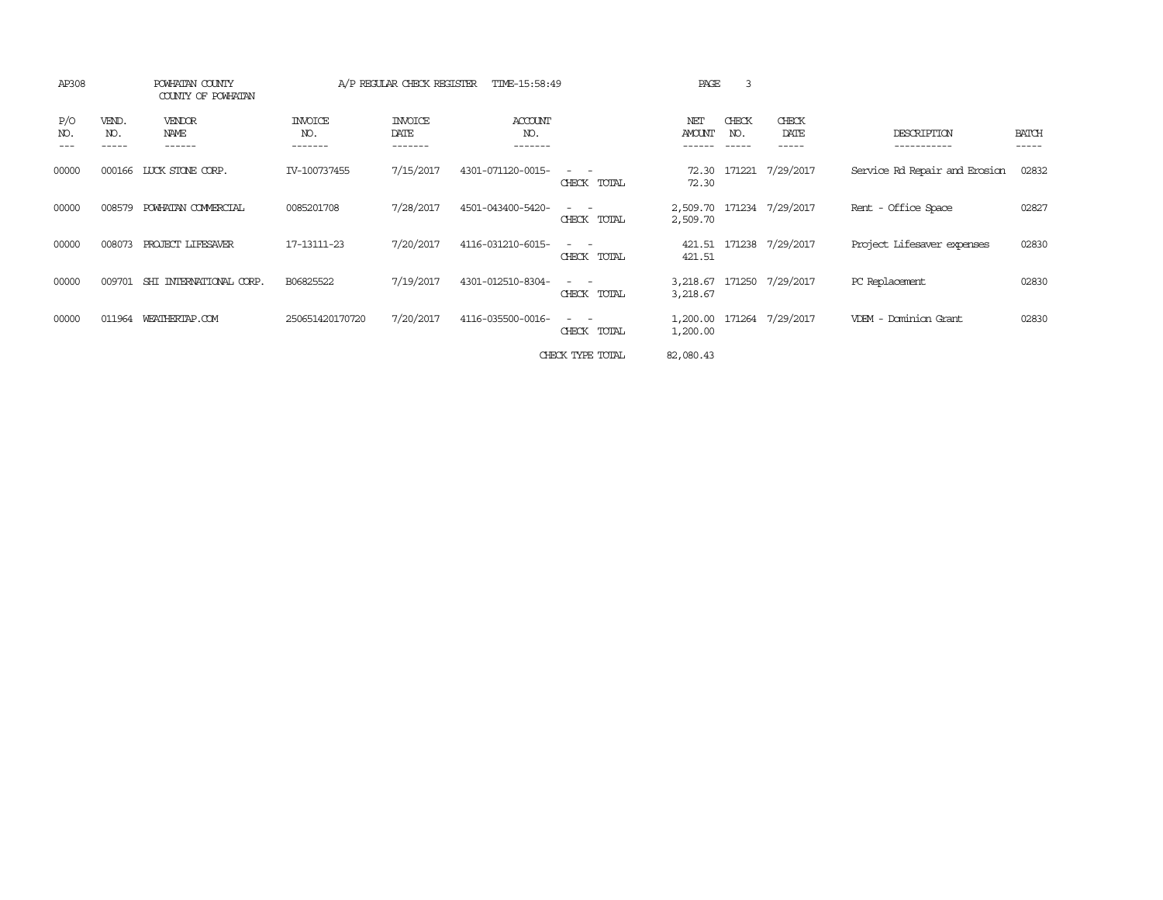| AP308      | POWHATAN COUNTY<br>COUNTY OF POWHATAN |                                        | A/P REGULAR CHECK REGISTER<br>TIME-15:58:49 |                                   |                           |                    | 3<br>PAGE            |              |                           |                               |                       |
|------------|---------------------------------------|----------------------------------------|---------------------------------------------|-----------------------------------|---------------------------|--------------------|----------------------|--------------|---------------------------|-------------------------------|-----------------------|
| P/O<br>NO. | VEND.<br>NO.<br>-----                 | <b>VENDOR</b><br><b>NAME</b><br>------ | <b>INVOICE</b><br>NO.<br>-------            | <b>INVOICE</b><br>DATE<br>------- | ACCOUNT<br>NO.<br>------- |                    | NET<br><b>AMOUNT</b> | CHECK<br>NO. | CHECK<br>DATE<br>-----    | DESCRIPTION<br>-----------    | <b>BATCH</b><br>----- |
| 00000      | 000166                                | LUCK STONE CORP.                       | IV-100737455                                | 7/15/2017                         | 4301-071120-0015-         | CHECK TOTAL        | 72.30                |              | 72.30 171221 7/29/2017    | Service Rd Repair and Erosion | 02832                 |
| 00000      | 008579                                | POWHATAN COMMERCIAL                    | 0085201708                                  | 7/28/2017                         | 4501-043400-5420-         | CHECK TOTAL        | 2,509.70             |              | 2,509.70 171234 7/29/2017 | Rent - Office Space           | 02827                 |
| 00000      | 008073                                | PROJECT LIFESAVER                      | 17-13111-23                                 | 7/20/2017                         | 4116-031210-6015-         | CHECK TOTAL        | 421.51<br>421.51     |              | 171238 7/29/2017          | Project Lifesaver expenses    | 02830                 |
| 00000      | 009701                                | SHI INTERNATIONAL CORP.                | B06825522                                   | 7/19/2017                         | 4301-012510-8304-         | - -<br>CHECK TOTAL | 3,218.67<br>3,218.67 | 171250       | 7/29/2017                 | PC Replacement                | 02830                 |
| 00000      | 011964                                | WEATHERTAP.COM                         | 250651420170720                             | 7/20/2017                         | 4116-035500-0016-         | CHECK TOTAL        | 1,200.00<br>1,200.00 |              | 171264 7/29/2017          | VDEM - Dominion Grant         | 02830                 |
|            |                                       |                                        |                                             |                                   |                           | CHECK TYPE TOTAL   | 82,080.43            |              |                           |                               |                       |